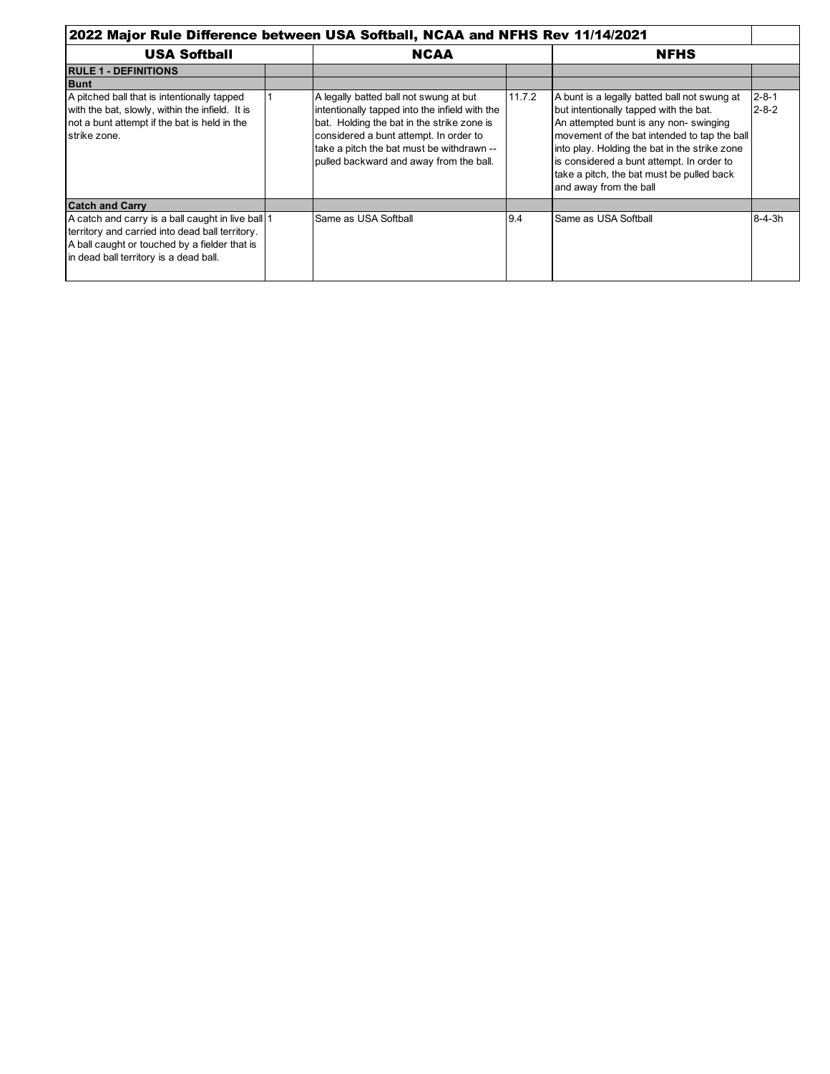| 2022 Major Rule Difference between USA Softball, NCAA and NFHS Rev 11/14/2021                                                                                                                   |  |                                                                                                                                                                                                                                                                          |        |                                                                                                                                                                                                                                                                                                                                                      |                            |
|-------------------------------------------------------------------------------------------------------------------------------------------------------------------------------------------------|--|--------------------------------------------------------------------------------------------------------------------------------------------------------------------------------------------------------------------------------------------------------------------------|--------|------------------------------------------------------------------------------------------------------------------------------------------------------------------------------------------------------------------------------------------------------------------------------------------------------------------------------------------------------|----------------------------|
| <b>USA Softball</b>                                                                                                                                                                             |  | <b>NCAA</b>                                                                                                                                                                                                                                                              |        | <b>NFHS</b>                                                                                                                                                                                                                                                                                                                                          |                            |
| <b>RULE 1 - DEFINITIONS</b>                                                                                                                                                                     |  |                                                                                                                                                                                                                                                                          |        |                                                                                                                                                                                                                                                                                                                                                      |                            |
| <b>Bunt</b>                                                                                                                                                                                     |  |                                                                                                                                                                                                                                                                          |        |                                                                                                                                                                                                                                                                                                                                                      |                            |
| A pitched ball that is intentionally tapped<br>with the bat, slowly, within the infield. It is<br>not a bunt attempt if the bat is held in the<br>strike zone.                                  |  | A legally batted ball not swung at but<br>intentionally tapped into the infield with the<br>bat. Holding the bat in the strike zone is<br>considered a bunt attempt. In order to<br>take a pitch the bat must be withdrawn --<br>pulled backward and away from the ball. | 11.7.2 | A bunt is a legally batted ball not swung at<br>but intentionally tapped with the bat.<br>An attempted bunt is any non-swinging<br>movement of the bat intended to tap the ball<br>into play. Holding the bat in the strike zone<br>is considered a bunt attempt. In order to<br>take a pitch, the bat must be pulled back<br>and away from the ball | $2 - 8 - 1$<br>$2 - 8 - 2$ |
| <b>Catch and Carry</b>                                                                                                                                                                          |  |                                                                                                                                                                                                                                                                          |        |                                                                                                                                                                                                                                                                                                                                                      |                            |
| A catch and carry is a ball caught in live ball 1<br>territory and carried into dead ball territory.<br>A ball caught or touched by a fielder that is<br>in dead ball territory is a dead ball. |  | Same as USA Softball                                                                                                                                                                                                                                                     | 9.4    | Same as USA Softball                                                                                                                                                                                                                                                                                                                                 | $8 - 4 - 3h$               |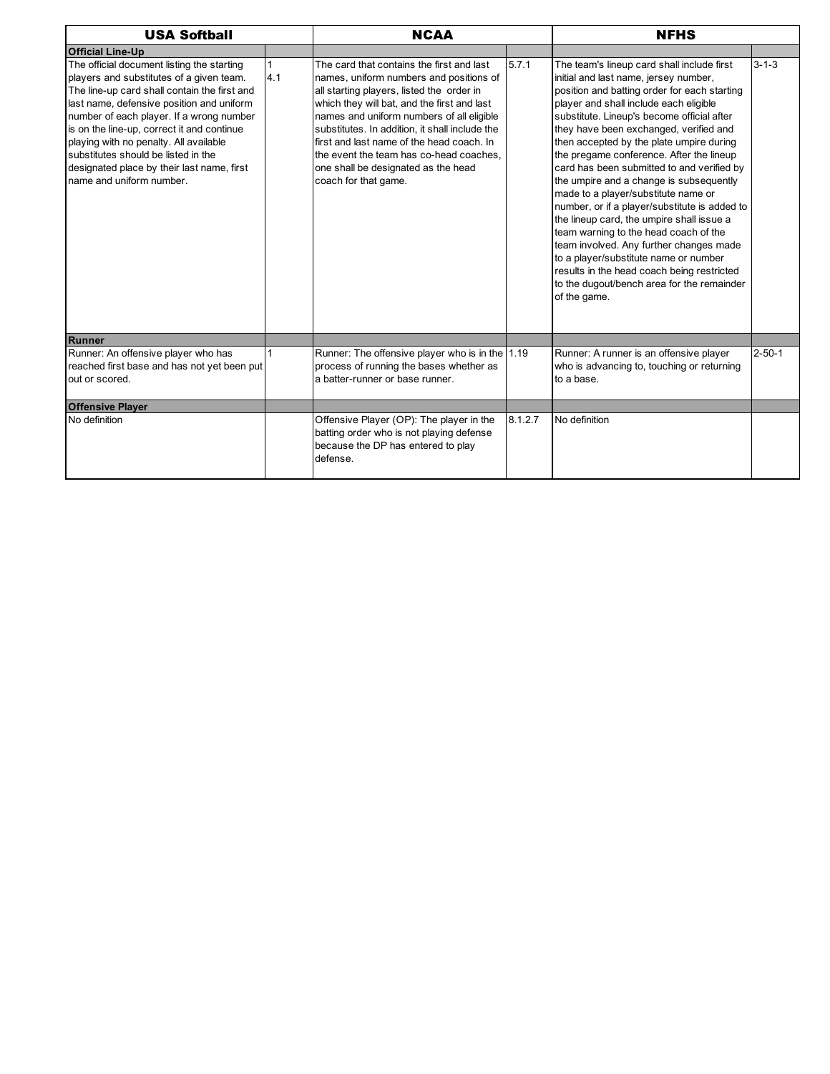| <b>USA Softball</b>                                                                                                                                                                                                                                                                                                                                                                                                                      |     | <b>NCAA</b>                                                                                                                                                                                                                                                                                                                                                                                                                            |         | <b>NFHS</b>                                                                                                                                                                                                                                                                                                                                                                                                                                                                                                                                                                                                                                                                                                                                                                                                                          |              |  |
|------------------------------------------------------------------------------------------------------------------------------------------------------------------------------------------------------------------------------------------------------------------------------------------------------------------------------------------------------------------------------------------------------------------------------------------|-----|----------------------------------------------------------------------------------------------------------------------------------------------------------------------------------------------------------------------------------------------------------------------------------------------------------------------------------------------------------------------------------------------------------------------------------------|---------|--------------------------------------------------------------------------------------------------------------------------------------------------------------------------------------------------------------------------------------------------------------------------------------------------------------------------------------------------------------------------------------------------------------------------------------------------------------------------------------------------------------------------------------------------------------------------------------------------------------------------------------------------------------------------------------------------------------------------------------------------------------------------------------------------------------------------------------|--------------|--|
| <b>Official Line-Up</b>                                                                                                                                                                                                                                                                                                                                                                                                                  |     |                                                                                                                                                                                                                                                                                                                                                                                                                                        |         |                                                                                                                                                                                                                                                                                                                                                                                                                                                                                                                                                                                                                                                                                                                                                                                                                                      |              |  |
| The official document listing the starting<br>players and substitutes of a given team.<br>The line-up card shall contain the first and<br>last name, defensive position and uniform<br>number of each player. If a wrong number<br>is on the line-up, correct it and continue<br>playing with no penalty. All available<br>substitutes should be listed in the<br>designated place by their last name, first<br>name and uniform number. | 4.1 | The card that contains the first and last<br>names, uniform numbers and positions of<br>all starting players, listed the order in<br>which they will bat, and the first and last<br>names and uniform numbers of all eligible<br>substitutes. In addition, it shall include the<br>first and last name of the head coach. In<br>the event the team has co-head coaches.<br>one shall be designated as the head<br>coach for that game. | 5.7.1   | The team's lineup card shall include first<br>initial and last name, jersey number,<br>position and batting order for each starting<br>player and shall include each eligible<br>substitute. Lineup's become official after<br>they have been exchanged, verified and<br>then accepted by the plate umpire during<br>the pregame conference. After the lineup<br>card has been submitted to and verified by<br>the umpire and a change is subsequently<br>made to a player/substitute name or<br>number, or if a player/substitute is added to<br>the lineup card, the umpire shall issue a<br>team warning to the head coach of the<br>team involved. Any further changes made<br>to a player/substitute name or number<br>results in the head coach being restricted<br>to the dugout/bench area for the remainder<br>of the game. | $3 - 1 - 3$  |  |
| Runner                                                                                                                                                                                                                                                                                                                                                                                                                                   |     |                                                                                                                                                                                                                                                                                                                                                                                                                                        |         |                                                                                                                                                                                                                                                                                                                                                                                                                                                                                                                                                                                                                                                                                                                                                                                                                                      |              |  |
| Runner: An offensive player who has<br>reached first base and has not yet been put<br>out or scored.                                                                                                                                                                                                                                                                                                                                     |     | Runner: The offensive player who is in the 1.19<br>process of running the bases whether as<br>a batter-runner or base runner.                                                                                                                                                                                                                                                                                                          |         | Runner: A runner is an offensive player<br>who is advancing to, touching or returning<br>to a base.                                                                                                                                                                                                                                                                                                                                                                                                                                                                                                                                                                                                                                                                                                                                  | $2 - 50 - 1$ |  |
| <b>Offensive Player</b>                                                                                                                                                                                                                                                                                                                                                                                                                  |     |                                                                                                                                                                                                                                                                                                                                                                                                                                        |         |                                                                                                                                                                                                                                                                                                                                                                                                                                                                                                                                                                                                                                                                                                                                                                                                                                      |              |  |
| No definition                                                                                                                                                                                                                                                                                                                                                                                                                            |     | Offensive Player (OP): The player in the<br>batting order who is not playing defense<br>because the DP has entered to play<br>defense.                                                                                                                                                                                                                                                                                                 | 8.1.2.7 | No definition                                                                                                                                                                                                                                                                                                                                                                                                                                                                                                                                                                                                                                                                                                                                                                                                                        |              |  |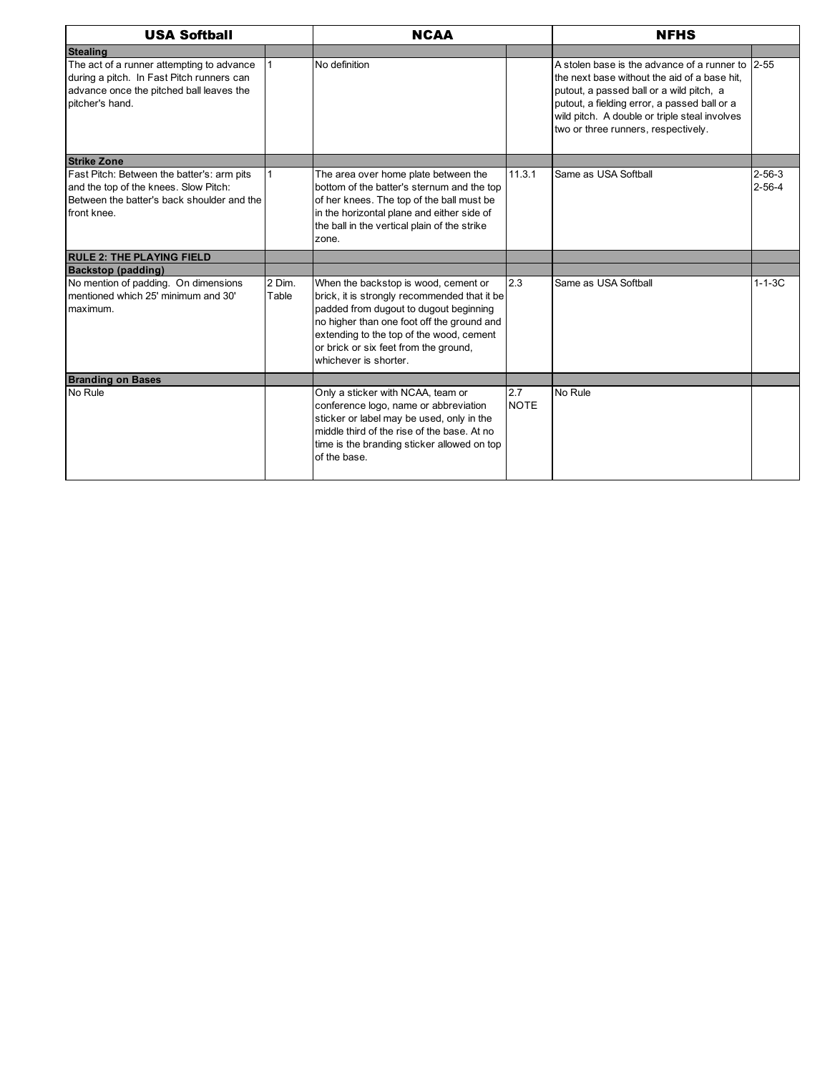| <b>USA Softball</b><br><b>NCAA</b><br><b>NFHS</b>                                                                                                     |                 |                                                                                                                                                                                                                                                                                            |                    |                                                                                                                                                                                                                                                                                      |                              |
|-------------------------------------------------------------------------------------------------------------------------------------------------------|-----------------|--------------------------------------------------------------------------------------------------------------------------------------------------------------------------------------------------------------------------------------------------------------------------------------------|--------------------|--------------------------------------------------------------------------------------------------------------------------------------------------------------------------------------------------------------------------------------------------------------------------------------|------------------------------|
| <b>Stealing</b>                                                                                                                                       |                 |                                                                                                                                                                                                                                                                                            |                    |                                                                                                                                                                                                                                                                                      |                              |
| The act of a runner attempting to advance<br>during a pitch. In Fast Pitch runners can<br>advance once the pitched ball leaves the<br>pitcher's hand. |                 | No definition                                                                                                                                                                                                                                                                              |                    | A stolen base is the advance of a runner to 2-55<br>the next base without the aid of a base hit.<br>putout, a passed ball or a wild pitch, a<br>putout, a fielding error, a passed ball or a<br>wild pitch. A double or triple steal involves<br>two or three runners, respectively. |                              |
| <b>Strike Zone</b>                                                                                                                                    |                 |                                                                                                                                                                                                                                                                                            |                    |                                                                                                                                                                                                                                                                                      |                              |
| Fast Pitch: Between the batter's: arm pits<br>and the top of the knees. Slow Pitch:<br>Between the batter's back shoulder and the<br>front knee.      |                 | The area over home plate between the<br>bottom of the batter's sternum and the top<br>of her knees. The top of the ball must be<br>in the horizontal plane and either side of<br>the ball in the vertical plain of the strike<br>zone.                                                     | 11.3.1             | Same as USA Softball                                                                                                                                                                                                                                                                 | $2 - 56 - 3$<br>$2 - 56 - 4$ |
| <b>RULE 2: THE PLAYING FIELD</b>                                                                                                                      |                 |                                                                                                                                                                                                                                                                                            |                    |                                                                                                                                                                                                                                                                                      |                              |
| <b>Backstop (padding)</b>                                                                                                                             |                 |                                                                                                                                                                                                                                                                                            |                    |                                                                                                                                                                                                                                                                                      |                              |
| No mention of padding. On dimensions<br>mentioned which 25' minimum and 30'<br>maximum.                                                               | 2 Dim.<br>Table | When the backstop is wood, cement or<br>brick, it is strongly recommended that it be<br>padded from dugout to dugout beginning<br>no higher than one foot off the ground and<br>extending to the top of the wood, cement<br>or brick or six feet from the ground,<br>whichever is shorter. | 2.3                | Same as USA Softball                                                                                                                                                                                                                                                                 | $1 - 1 - 3C$                 |
| <b>Branding on Bases</b>                                                                                                                              |                 |                                                                                                                                                                                                                                                                                            |                    |                                                                                                                                                                                                                                                                                      |                              |
| No Rule                                                                                                                                               |                 | Only a sticker with NCAA, team or<br>conference logo, name or abbreviation<br>sticker or label may be used, only in the<br>middle third of the rise of the base. At no<br>time is the branding sticker allowed on top<br>of the base.                                                      | 2.7<br><b>NOTE</b> | No Rule                                                                                                                                                                                                                                                                              |                              |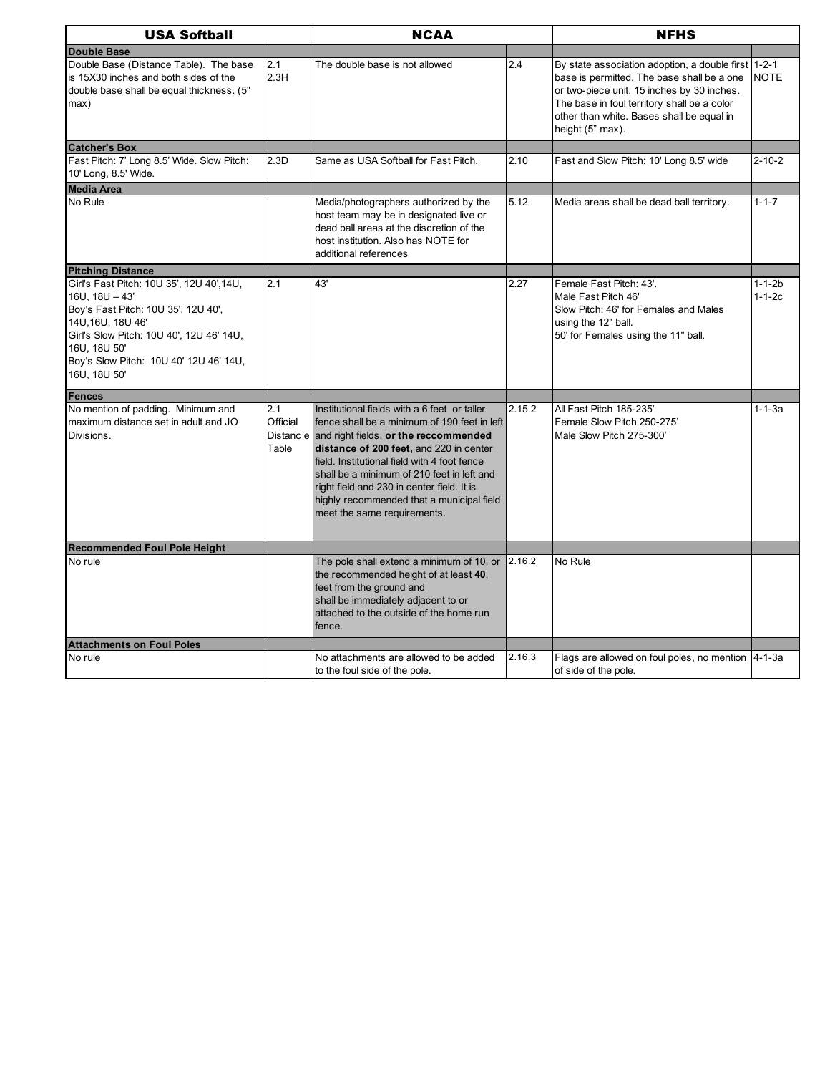| <b>USA Softball</b>                                                                                                                                                                                                                               |                          | <b>NCAA</b>                                                                                                                                                                                                                                                                                                                                                                                                        |        | <b>NFHS</b>                                                                                                                                                                                                                                                     |                              |
|---------------------------------------------------------------------------------------------------------------------------------------------------------------------------------------------------------------------------------------------------|--------------------------|--------------------------------------------------------------------------------------------------------------------------------------------------------------------------------------------------------------------------------------------------------------------------------------------------------------------------------------------------------------------------------------------------------------------|--------|-----------------------------------------------------------------------------------------------------------------------------------------------------------------------------------------------------------------------------------------------------------------|------------------------------|
| <b>Double Base</b>                                                                                                                                                                                                                                |                          |                                                                                                                                                                                                                                                                                                                                                                                                                    |        |                                                                                                                                                                                                                                                                 |                              |
| Double Base (Distance Table). The base<br>is 15X30 inches and both sides of the<br>double base shall be equal thickness. (5"<br>max)                                                                                                              | 2.1<br>2.3H              | The double base is not allowed                                                                                                                                                                                                                                                                                                                                                                                     | 2.4    | By state association adoption, a double first 1-2-1<br>base is permitted. The base shall be a one<br>or two-piece unit, 15 inches by 30 inches.<br>The base in foul territory shall be a color<br>other than white. Bases shall be equal in<br>height (5" max). | <b>NOTE</b>                  |
| <b>Catcher's Box</b>                                                                                                                                                                                                                              |                          |                                                                                                                                                                                                                                                                                                                                                                                                                    |        |                                                                                                                                                                                                                                                                 |                              |
| Fast Pitch: 7' Long 8.5' Wide. Slow Pitch:<br>10' Long, 8.5' Wide.                                                                                                                                                                                | 2.3D                     | Same as USA Softball for Fast Pitch.                                                                                                                                                                                                                                                                                                                                                                               | 2.10   | Fast and Slow Pitch: 10' Long 8.5' wide                                                                                                                                                                                                                         | $2 - 10 - 2$                 |
| <b>Media Area</b>                                                                                                                                                                                                                                 |                          |                                                                                                                                                                                                                                                                                                                                                                                                                    |        |                                                                                                                                                                                                                                                                 |                              |
| No Rule                                                                                                                                                                                                                                           |                          | Media/photographers authorized by the<br>host team may be in designated live or<br>dead ball areas at the discretion of the<br>host institution. Also has NOTE for<br>additional references                                                                                                                                                                                                                        | 5.12   | Media areas shall be dead ball territory.                                                                                                                                                                                                                       | $1 - 1 - 7$                  |
| <b>Pitching Distance</b>                                                                                                                                                                                                                          |                          |                                                                                                                                                                                                                                                                                                                                                                                                                    |        |                                                                                                                                                                                                                                                                 |                              |
| Girl's Fast Pitch: 10U 35', 12U 40',14U,<br>$16U$ , $18U - 43'$<br>Boy's Fast Pitch: 10U 35', 12U 40',<br>14U, 16U, 18U 46'<br>Girl's Slow Pitch: 10U 40', 12U 46' 14U,<br>16U, 18U 50'<br>Boy's Slow Pitch: 10U 40' 12U 46' 14U,<br>16U, 18U 50' | 2.1                      | 43'                                                                                                                                                                                                                                                                                                                                                                                                                | 2.27   | Female Fast Pitch: 43'.<br>Male Fast Pitch 46'<br>Slow Pitch: 46' for Females and Males<br>using the 12" ball.<br>50' for Females using the 11" ball.                                                                                                           | $1 - 1 - 2b$<br>$1 - 1 - 2c$ |
| <b>Fences</b>                                                                                                                                                                                                                                     |                          |                                                                                                                                                                                                                                                                                                                                                                                                                    |        |                                                                                                                                                                                                                                                                 |                              |
| No mention of padding. Minimum and<br>maximum distance set in adult and JO<br>Divisions.                                                                                                                                                          | 2.1<br>Official<br>Table | Institutional fields with a 6 feet or taller<br>fence shall be a minimum of 190 feet in left<br>Distanc e and right fields, or the reccommended<br>distance of 200 feet, and 220 in center<br>field. Institutional field with 4 foot fence<br>shall be a minimum of 210 feet in left and<br>right field and 230 in center field. It is<br>highly recommended that a municipal field<br>meet the same requirements. | 2.15.2 | All Fast Pitch 185-235'<br>Female Slow Pitch 250-275'<br>Male Slow Pitch 275-300'                                                                                                                                                                               | $1 - 1 - 3a$                 |
| <b>Recommended Foul Pole Height</b>                                                                                                                                                                                                               |                          |                                                                                                                                                                                                                                                                                                                                                                                                                    |        |                                                                                                                                                                                                                                                                 |                              |
| No rule                                                                                                                                                                                                                                           |                          | The pole shall extend a minimum of 10, or<br>the recommended height of at least 40,<br>feet from the ground and<br>shall be immediately adjacent to or<br>attached to the outside of the home run<br>fence.                                                                                                                                                                                                        | 2.16.2 | No Rule                                                                                                                                                                                                                                                         |                              |
| <b>Attachments on Foul Poles</b>                                                                                                                                                                                                                  |                          |                                                                                                                                                                                                                                                                                                                                                                                                                    |        |                                                                                                                                                                                                                                                                 |                              |
| No rule                                                                                                                                                                                                                                           |                          | No attachments are allowed to be added<br>to the foul side of the pole.                                                                                                                                                                                                                                                                                                                                            | 2.16.3 | Flags are allowed on foul poles, no mention 4-1-3a<br>of side of the pole.                                                                                                                                                                                      |                              |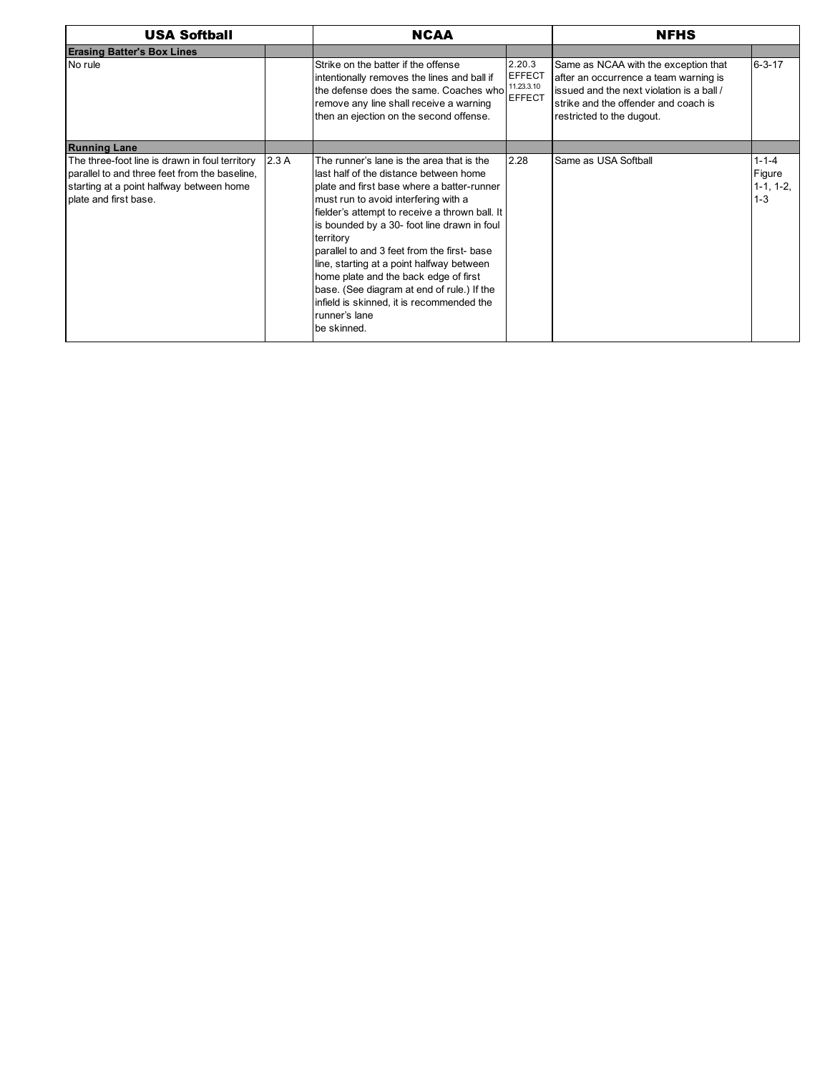| <b>USA Softball</b>                                                                                                                                                  | <b>NCAA</b> |                                                                                                                                                                                                                                                                                                                                                                                                                                                                                                                                                         | <b>NFHS</b>                                            |                                                                                                                                                                                                 |                                                 |
|----------------------------------------------------------------------------------------------------------------------------------------------------------------------|-------------|---------------------------------------------------------------------------------------------------------------------------------------------------------------------------------------------------------------------------------------------------------------------------------------------------------------------------------------------------------------------------------------------------------------------------------------------------------------------------------------------------------------------------------------------------------|--------------------------------------------------------|-------------------------------------------------------------------------------------------------------------------------------------------------------------------------------------------------|-------------------------------------------------|
| <b>Erasing Batter's Box Lines</b>                                                                                                                                    |             |                                                                                                                                                                                                                                                                                                                                                                                                                                                                                                                                                         |                                                        |                                                                                                                                                                                                 |                                                 |
| No rule                                                                                                                                                              |             | Strike on the batter if the offense<br>intentionally removes the lines and ball if<br>the defense does the same. Coaches who<br>remove any line shall receive a warning<br>then an ejection on the second offense.                                                                                                                                                                                                                                                                                                                                      | 2.20.3<br><b>EFFECT</b><br>11.23.3.10<br><b>EFFECT</b> | Same as NCAA with the exception that<br>after an occurrence a team warning is<br>issued and the next violation is a ball /<br>strike and the offender and coach is<br>restricted to the dugout. | $6 - 3 - 17$                                    |
| <b>Running Lane</b>                                                                                                                                                  |             |                                                                                                                                                                                                                                                                                                                                                                                                                                                                                                                                                         |                                                        |                                                                                                                                                                                                 |                                                 |
| The three-foot line is drawn in foul territory<br>parallel to and three feet from the baseline.<br>starting at a point halfway between home<br>plate and first base. | 2.3A        | The runner's lane is the area that is the<br>last half of the distance between home<br>plate and first base where a batter-runner<br>must run to avoid interfering with a<br>fielder's attempt to receive a thrown ball. It<br>is bounded by a 30- foot line drawn in foul<br>territory<br>parallel to and 3 feet from the first- base<br>line, starting at a point halfway between<br>home plate and the back edge of first<br>base. (See diagram at end of rule.) If the<br>infield is skinned, it is recommended the<br>runner's lane<br>be skinned. | 2.28                                                   | Same as USA Softball                                                                                                                                                                            | $1 - 1 - 4$<br>Figure<br>$1-1, 1-2,$<br>$1 - 3$ |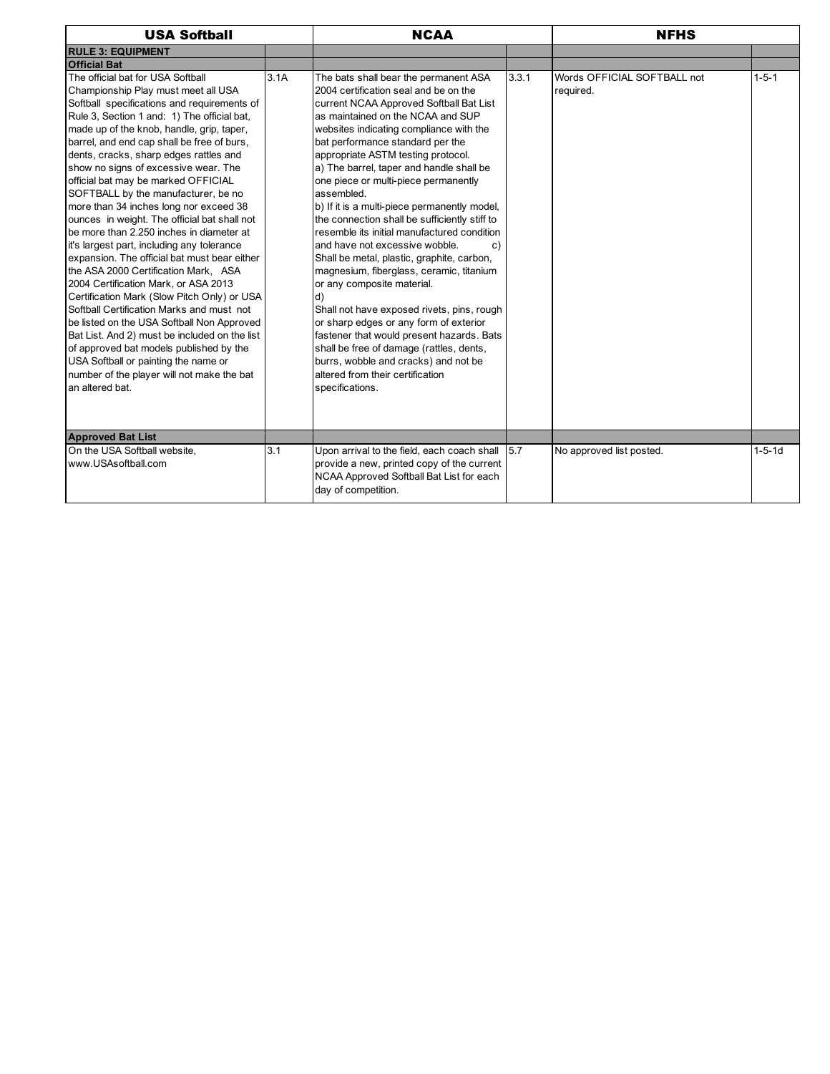| <b>USA Softball</b>                                                                                                                                                                                                                                                                                                                                                                                                                                                                                                                                                                                                                                                                                                                                                                                                                                                                                                                                                                                                                                                                                  |      | <b>NCAA</b>                                                                                                                                                                                                                                                                                                                                                                                                                                                                                                                                                                                                                                                                                                                                                                                                                                                                                                                                                                                 | <b>NFHS</b> |                                          |              |
|------------------------------------------------------------------------------------------------------------------------------------------------------------------------------------------------------------------------------------------------------------------------------------------------------------------------------------------------------------------------------------------------------------------------------------------------------------------------------------------------------------------------------------------------------------------------------------------------------------------------------------------------------------------------------------------------------------------------------------------------------------------------------------------------------------------------------------------------------------------------------------------------------------------------------------------------------------------------------------------------------------------------------------------------------------------------------------------------------|------|---------------------------------------------------------------------------------------------------------------------------------------------------------------------------------------------------------------------------------------------------------------------------------------------------------------------------------------------------------------------------------------------------------------------------------------------------------------------------------------------------------------------------------------------------------------------------------------------------------------------------------------------------------------------------------------------------------------------------------------------------------------------------------------------------------------------------------------------------------------------------------------------------------------------------------------------------------------------------------------------|-------------|------------------------------------------|--------------|
| <b>RULE 3: EQUIPMENT</b>                                                                                                                                                                                                                                                                                                                                                                                                                                                                                                                                                                                                                                                                                                                                                                                                                                                                                                                                                                                                                                                                             |      |                                                                                                                                                                                                                                                                                                                                                                                                                                                                                                                                                                                                                                                                                                                                                                                                                                                                                                                                                                                             |             |                                          |              |
| <b>Official Bat</b>                                                                                                                                                                                                                                                                                                                                                                                                                                                                                                                                                                                                                                                                                                                                                                                                                                                                                                                                                                                                                                                                                  |      |                                                                                                                                                                                                                                                                                                                                                                                                                                                                                                                                                                                                                                                                                                                                                                                                                                                                                                                                                                                             |             |                                          |              |
| The official bat for USA Softball<br>Championship Play must meet all USA<br>Softball specifications and requirements of<br>Rule 3, Section 1 and: 1) The official bat,<br>made up of the knob, handle, grip, taper,<br>barrel, and end cap shall be free of burs,<br>dents, cracks, sharp edges rattles and<br>show no signs of excessive wear. The<br>official bat may be marked OFFICIAL<br>SOFTBALL by the manufacturer, be no<br>more than 34 inches long nor exceed 38<br>ounces in weight. The official bat shall not<br>be more than 2.250 inches in diameter at<br>it's largest part, including any tolerance<br>expansion. The official bat must bear either<br>the ASA 2000 Certification Mark, ASA<br>2004 Certification Mark. or ASA 2013<br>Certification Mark (Slow Pitch Only) or USA<br>Softball Certification Marks and must not<br>be listed on the USA Softball Non Approved<br>Bat List. And 2) must be included on the list<br>of approved bat models published by the<br>USA Softball or painting the name or<br>number of the player will not make the bat<br>an altered bat. | 3.1A | The bats shall bear the permanent ASA<br>2004 certification seal and be on the<br>current NCAA Approved Softball Bat List<br>as maintained on the NCAA and SUP<br>websites indicating compliance with the<br>bat performance standard per the<br>appropriate ASTM testing protocol.<br>a) The barrel, taper and handle shall be<br>one piece or multi-piece permanently<br>assembled.<br>b) If it is a multi-piece permanently model,<br>the connection shall be sufficiently stiff to<br>resemble its initial manufactured condition<br>and have not excessive wobble.<br>c)<br>Shall be metal, plastic, graphite, carbon,<br>magnesium, fiberglass, ceramic, titanium<br>or any composite material.<br>d)<br>Shall not have exposed rivets, pins, rough<br>or sharp edges or any form of exterior<br>fastener that would present hazards. Bats<br>shall be free of damage (rattles, dents,<br>burrs, wobble and cracks) and not be<br>altered from their certification<br>specifications. | 3.3.1       | Words OFFICIAL SOFTBALL not<br>required. | $1 - 5 - 1$  |
| <b>Approved Bat List</b>                                                                                                                                                                                                                                                                                                                                                                                                                                                                                                                                                                                                                                                                                                                                                                                                                                                                                                                                                                                                                                                                             |      |                                                                                                                                                                                                                                                                                                                                                                                                                                                                                                                                                                                                                                                                                                                                                                                                                                                                                                                                                                                             |             |                                          |              |
| On the USA Softball website.<br>www.USAsoftball.com                                                                                                                                                                                                                                                                                                                                                                                                                                                                                                                                                                                                                                                                                                                                                                                                                                                                                                                                                                                                                                                  | 3.1  | Upon arrival to the field, each coach shall 5.7<br>provide a new, printed copy of the current<br>NCAA Approved Softball Bat List for each<br>day of competition.                                                                                                                                                                                                                                                                                                                                                                                                                                                                                                                                                                                                                                                                                                                                                                                                                            |             | No approved list posted.                 | $1 - 5 - 1d$ |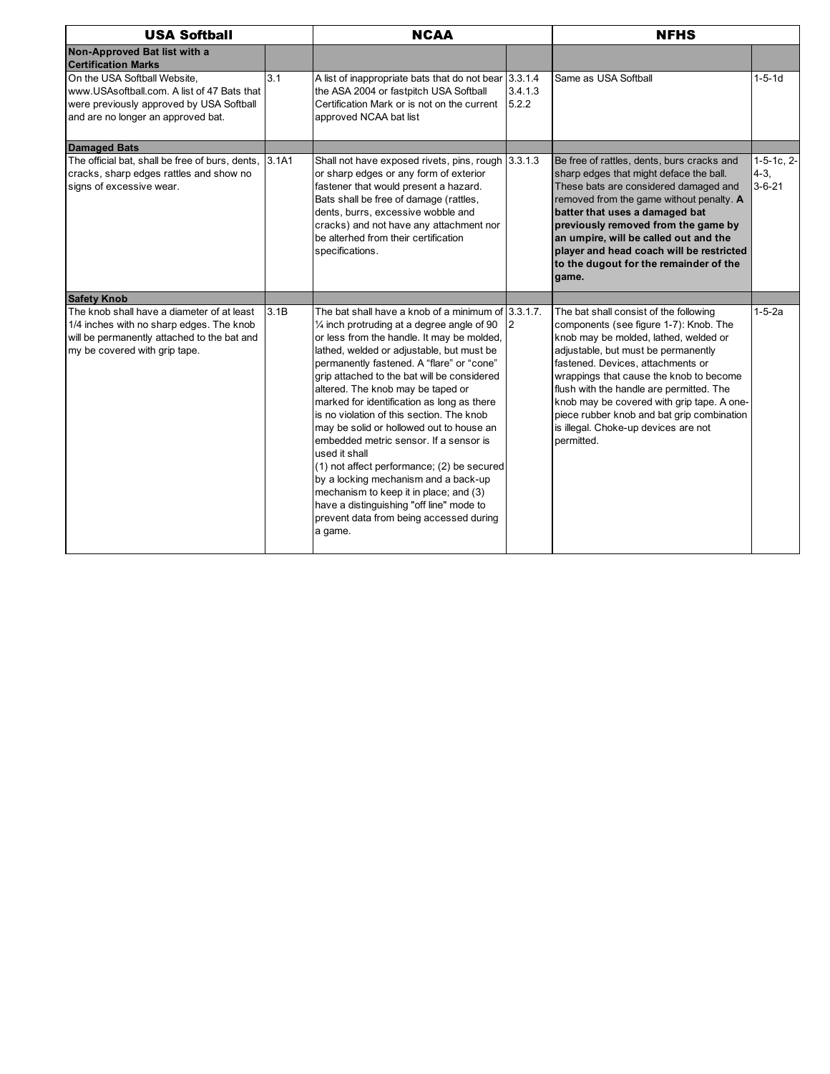| <b>USA Softball</b>                                                                                                                                                    |       | <b>NCAA</b>                                                                                                                                                                                                                                                                                                                                                                                                                                                                                                                                                                                                                                                                                                                                                                     |                  | <b>NFHS</b>                                                                                                                                                                                                                                                                                                                                                                                                                                    |                                              |
|------------------------------------------------------------------------------------------------------------------------------------------------------------------------|-------|---------------------------------------------------------------------------------------------------------------------------------------------------------------------------------------------------------------------------------------------------------------------------------------------------------------------------------------------------------------------------------------------------------------------------------------------------------------------------------------------------------------------------------------------------------------------------------------------------------------------------------------------------------------------------------------------------------------------------------------------------------------------------------|------------------|------------------------------------------------------------------------------------------------------------------------------------------------------------------------------------------------------------------------------------------------------------------------------------------------------------------------------------------------------------------------------------------------------------------------------------------------|----------------------------------------------|
| Non-Approved Bat list with a<br><b>Certification Marks</b>                                                                                                             |       |                                                                                                                                                                                                                                                                                                                                                                                                                                                                                                                                                                                                                                                                                                                                                                                 |                  |                                                                                                                                                                                                                                                                                                                                                                                                                                                |                                              |
| On the USA Softball Website,<br>www.USAsoftball.com. A list of 47 Bats that<br>were previously approved by USA Softball<br>and are no longer an approved bat.          | 3.1   | A list of inappropriate bats that do not bear 3.3.1.4<br>the ASA 2004 or fastpitch USA Softball<br>Certification Mark or is not on the current<br>approved NCAA bat list                                                                                                                                                                                                                                                                                                                                                                                                                                                                                                                                                                                                        | 3.4.1.3<br>5.2.2 | Same as USA Softball                                                                                                                                                                                                                                                                                                                                                                                                                           | $1 - 5 - 1d$                                 |
| <b>Damaged Bats</b>                                                                                                                                                    |       |                                                                                                                                                                                                                                                                                                                                                                                                                                                                                                                                                                                                                                                                                                                                                                                 |                  |                                                                                                                                                                                                                                                                                                                                                                                                                                                |                                              |
| The official bat, shall be free of burs, dents,<br>cracks, sharp edges rattles and show no<br>signs of excessive wear.                                                 | 3.1A1 | Shall not have exposed rivets, pins, rough 3.3.1.3<br>or sharp edges or any form of exterior<br>fastener that would present a hazard.<br>Bats shall be free of damage (rattles,<br>dents, burrs, excessive wobble and<br>cracks) and not have any attachment nor<br>be alterhed from their certification<br>specifications.                                                                                                                                                                                                                                                                                                                                                                                                                                                     |                  | Be free of rattles, dents, burs cracks and<br>sharp edges that might deface the ball.<br>These bats are considered damaged and<br>removed from the game without penalty. A<br>batter that uses a damaged bat<br>previously removed from the game by<br>an umpire, will be called out and the<br>player and head coach will be restricted<br>to the dugout for the remainder of the<br>game.                                                    | $1-5-1c$ , $2-$<br>$4 - 3$ ,<br>$3 - 6 - 21$ |
| <b>Safety Knob</b>                                                                                                                                                     |       |                                                                                                                                                                                                                                                                                                                                                                                                                                                                                                                                                                                                                                                                                                                                                                                 |                  |                                                                                                                                                                                                                                                                                                                                                                                                                                                |                                              |
| The knob shall have a diameter of at least<br>1/4 inches with no sharp edges. The knob<br>will be permanently attached to the bat and<br>my be covered with grip tape. | 3.1B  | The bat shall have a knob of a minimum of 3.3.1.7.<br>$\frac{1}{4}$ inch protruding at a degree angle of 90<br>or less from the handle. It may be molded,<br>lathed, welded or adjustable, but must be<br>permanently fastened. A "flare" or "cone"<br>grip attached to the bat will be considered<br>altered. The knob may be taped or<br>marked for identification as long as there<br>is no violation of this section. The knob<br>may be solid or hollowed out to house an<br>embedded metric sensor. If a sensor is<br>used it shall<br>$(1)$ not affect performance; $(2)$ be secured<br>by a locking mechanism and a back-up<br>mechanism to keep it in place; and (3)<br>have a distinguishing "off line" mode to<br>prevent data from being accessed during<br>a game. | $\overline{2}$   | The bat shall consist of the following<br>components (see figure 1-7): Knob. The<br>knob may be molded, lathed, welded or<br>adjustable, but must be permanently<br>fastened. Devices, attachments or<br>wrappings that cause the knob to become<br>flush with the handle are permitted. The<br>knob may be covered with grip tape. A one-<br>piece rubber knob and bat grip combination<br>is illegal. Choke-up devices are not<br>permitted. | $1 - 5 - 2a$                                 |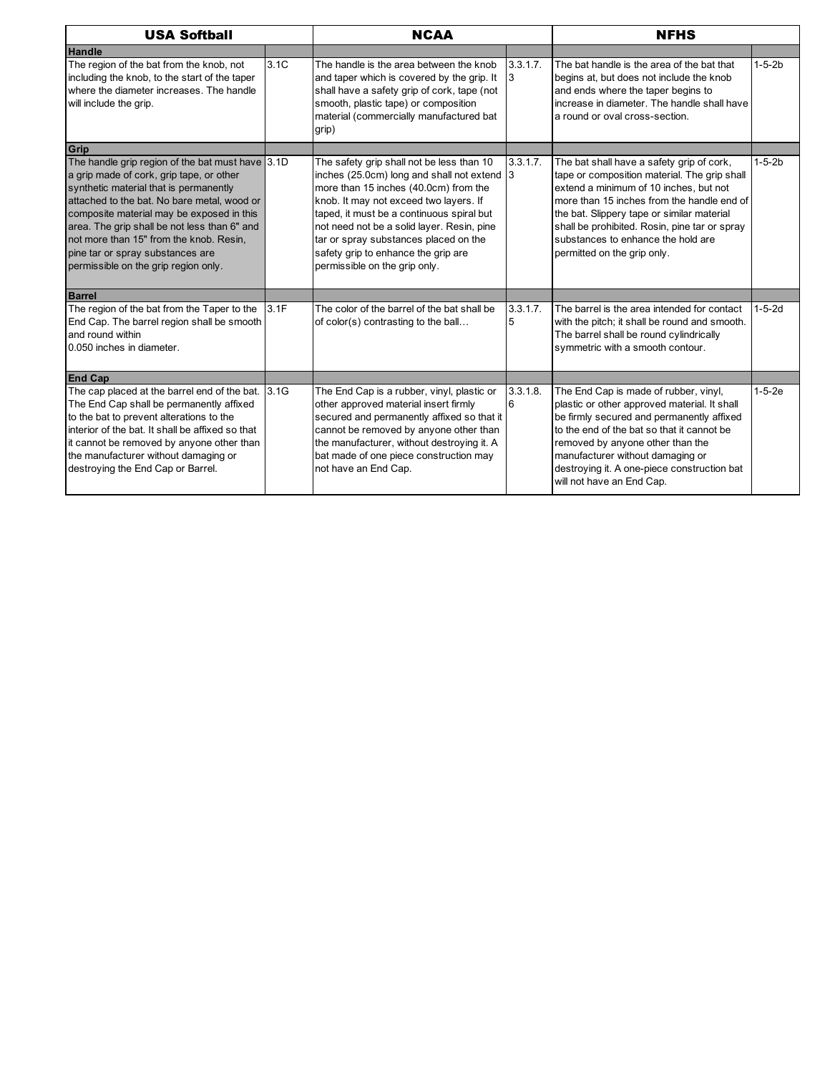| <b>USA Softball</b>                                                                                                                                                                                                                                                                                                                                                                                       |      | <b>NCAA</b>                                                                                                                                                                                                                                                                                                                                                                             |               | <b>NFHS</b>                                                                                                                                                                                                                                                                                                                                           |              |
|-----------------------------------------------------------------------------------------------------------------------------------------------------------------------------------------------------------------------------------------------------------------------------------------------------------------------------------------------------------------------------------------------------------|------|-----------------------------------------------------------------------------------------------------------------------------------------------------------------------------------------------------------------------------------------------------------------------------------------------------------------------------------------------------------------------------------------|---------------|-------------------------------------------------------------------------------------------------------------------------------------------------------------------------------------------------------------------------------------------------------------------------------------------------------------------------------------------------------|--------------|
| <b>Handle</b>                                                                                                                                                                                                                                                                                                                                                                                             |      |                                                                                                                                                                                                                                                                                                                                                                                         |               |                                                                                                                                                                                                                                                                                                                                                       |              |
| The region of the bat from the knob, not<br>including the knob, to the start of the taper<br>where the diameter increases. The handle<br>will include the grip.                                                                                                                                                                                                                                           | 3.1C | The handle is the area between the knob<br>and taper which is covered by the grip. It<br>shall have a safety grip of cork, tape (not<br>smooth, plastic tape) or composition<br>material (commercially manufactured bat<br>grip)                                                                                                                                                        | 3.3.1.7.<br>3 | The bat handle is the area of the bat that<br>begins at, but does not include the knob<br>and ends where the taper begins to<br>increase in diameter. The handle shall have<br>a round or oval cross-section.                                                                                                                                         | $1 - 5 - 2b$ |
| Grip                                                                                                                                                                                                                                                                                                                                                                                                      |      |                                                                                                                                                                                                                                                                                                                                                                                         |               |                                                                                                                                                                                                                                                                                                                                                       |              |
| The handle grip region of the bat must have 3.1D<br>a grip made of cork, grip tape, or other<br>synthetic material that is permanently<br>attached to the bat. No bare metal, wood or<br>composite material may be exposed in this<br>area. The grip shall be not less than 6" and<br>not more than 15" from the knob. Resin,<br>pine tar or spray substances are<br>permissible on the grip region only. |      | The safety grip shall not be less than 10<br>inches (25.0cm) long and shall not extend 3<br>more than 15 inches (40.0cm) from the<br>knob. It may not exceed two layers. If<br>taped, it must be a continuous spiral but<br>not need not be a solid layer. Resin, pine<br>tar or spray substances placed on the<br>safety grip to enhance the grip are<br>permissible on the grip only. | 3.3.1.7.      | The bat shall have a safety grip of cork,<br>tape or composition material. The grip shall<br>extend a minimum of 10 inches, but not<br>more than 15 inches from the handle end of<br>the bat. Slippery tape or similar material<br>shall be prohibited. Rosin, pine tar or spray<br>substances to enhance the hold are<br>permitted on the grip only. | $1 - 5 - 2b$ |
| <b>Barrel</b>                                                                                                                                                                                                                                                                                                                                                                                             |      |                                                                                                                                                                                                                                                                                                                                                                                         |               |                                                                                                                                                                                                                                                                                                                                                       |              |
| The region of the bat from the Taper to the<br>End Cap. The barrel region shall be smooth<br>and round within<br>0.050 inches in diameter.                                                                                                                                                                                                                                                                | 3.1F | The color of the barrel of the bat shall be<br>of color(s) contrasting to the ball                                                                                                                                                                                                                                                                                                      | 3.3.1.7.<br>5 | The barrel is the area intended for contact<br>with the pitch; it shall be round and smooth.<br>The barrel shall be round cylindrically<br>symmetric with a smooth contour.                                                                                                                                                                           | $1 - 5 - 2d$ |
| <b>End Cap</b>                                                                                                                                                                                                                                                                                                                                                                                            |      |                                                                                                                                                                                                                                                                                                                                                                                         |               |                                                                                                                                                                                                                                                                                                                                                       |              |
| The cap placed at the barrel end of the bat.<br>The End Cap shall be permanently affixed<br>to the bat to prevent alterations to the<br>interior of the bat. It shall be affixed so that<br>it cannot be removed by anyone other than<br>the manufacturer without damaging or<br>destroying the End Cap or Barrel.                                                                                        | 3.1G | The End Cap is a rubber, vinyl, plastic or<br>other approved material insert firmly<br>secured and permanently affixed so that it<br>cannot be removed by anyone other than<br>the manufacturer, without destroying it. A<br>bat made of one piece construction may<br>not have an End Cap.                                                                                             | 3.3.1.8.<br>6 | The End Cap is made of rubber, vinyl,<br>plastic or other approved material. It shall<br>be firmly secured and permanently affixed<br>to the end of the bat so that it cannot be<br>removed by anyone other than the<br>manufacturer without damaging or<br>destroying it. A one-piece construction bat<br>will not have an End Cap.                  | $1-5-2e$     |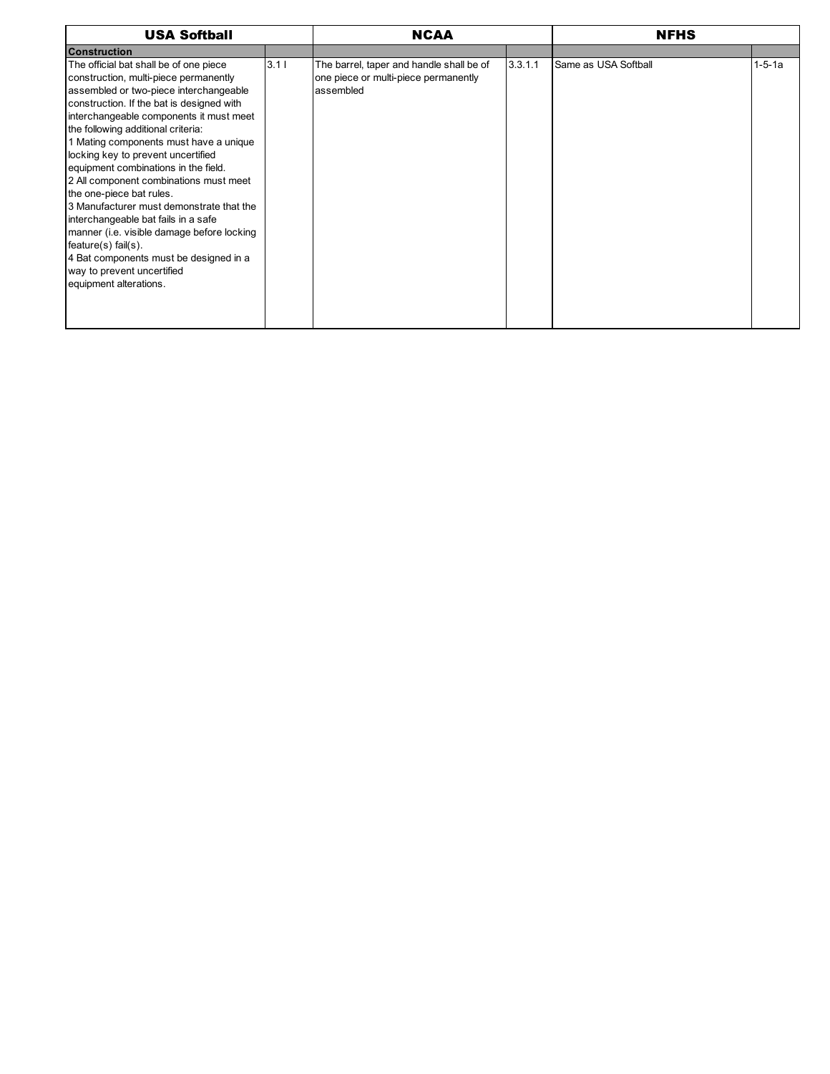| <b>USA Softball</b>                                                                                                                                                                                                                                                                                                                                                                                                                                                                                                                                                                                                                                                                                                   |      | <b>NCAA</b>                                                                                   |         | <b>NFHS</b>          |              |
|-----------------------------------------------------------------------------------------------------------------------------------------------------------------------------------------------------------------------------------------------------------------------------------------------------------------------------------------------------------------------------------------------------------------------------------------------------------------------------------------------------------------------------------------------------------------------------------------------------------------------------------------------------------------------------------------------------------------------|------|-----------------------------------------------------------------------------------------------|---------|----------------------|--------------|
| Construction                                                                                                                                                                                                                                                                                                                                                                                                                                                                                                                                                                                                                                                                                                          |      |                                                                                               |         |                      |              |
| The official bat shall be of one piece<br>construction, multi-piece permanently<br>assembled or two-piece interchangeable<br>construction. If the bat is designed with<br>interchangeable components it must meet<br>the following additional criteria:<br>1 Mating components must have a unique<br>locking key to prevent uncertified<br>equipment combinations in the field.<br>2 All component combinations must meet<br>the one-piece bat rules.<br>3 Manufacturer must demonstrate that the<br>interchangeable bat fails in a safe<br>manner (i.e. visible damage before locking<br>$feature(s)$ fail $(s)$ .<br>4 Bat components must be designed in a<br>way to prevent uncertified<br>equipment alterations. | 3.11 | The barrel, taper and handle shall be of<br>one piece or multi-piece permanently<br>assembled | 3.3.1.1 | Same as USA Softball | $1 - 5 - 1a$ |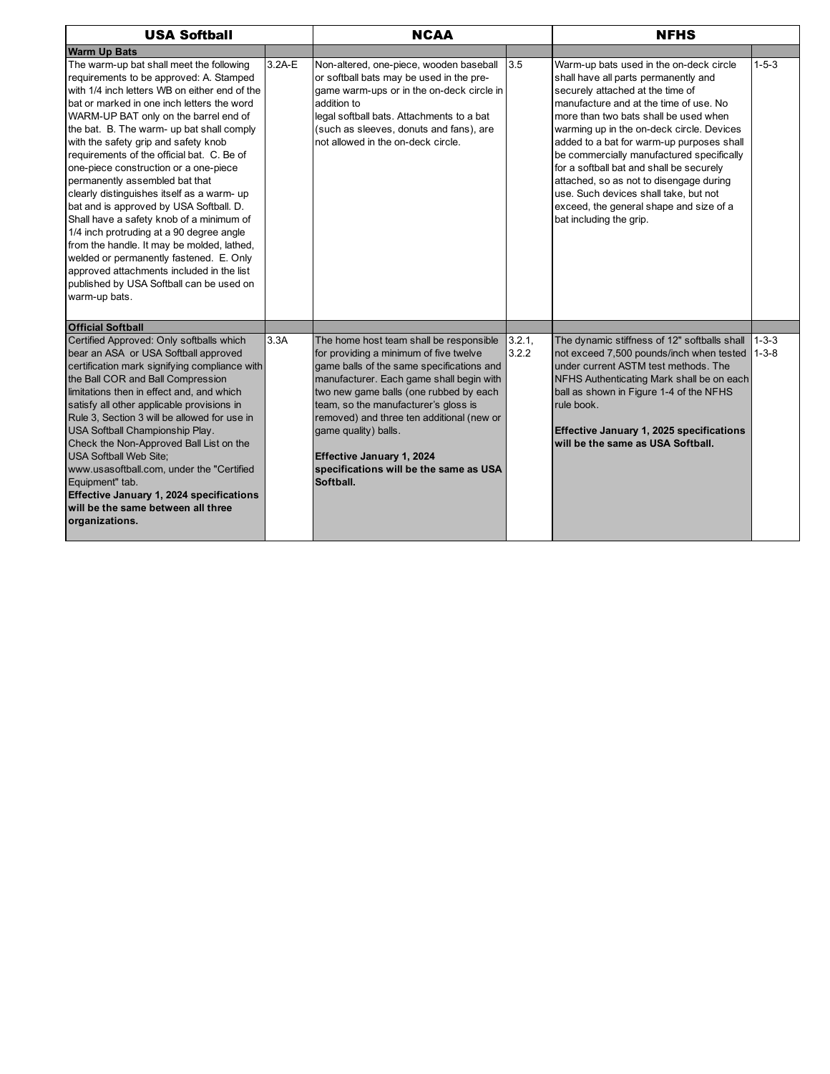| <b>USA Softball</b>                                                                                                                                                                                                                                                                                                                                                                                                                                                                                                                                                                                                                                                                                                                                                                                                           |        | <b>NCAA</b>                                                                                                                                                                                                                                                                                                                                                                                                           |                |                                                                                                                                                                                                                                                                                                                                                                                                                                                                                                                                                     |                        |
|-------------------------------------------------------------------------------------------------------------------------------------------------------------------------------------------------------------------------------------------------------------------------------------------------------------------------------------------------------------------------------------------------------------------------------------------------------------------------------------------------------------------------------------------------------------------------------------------------------------------------------------------------------------------------------------------------------------------------------------------------------------------------------------------------------------------------------|--------|-----------------------------------------------------------------------------------------------------------------------------------------------------------------------------------------------------------------------------------------------------------------------------------------------------------------------------------------------------------------------------------------------------------------------|----------------|-----------------------------------------------------------------------------------------------------------------------------------------------------------------------------------------------------------------------------------------------------------------------------------------------------------------------------------------------------------------------------------------------------------------------------------------------------------------------------------------------------------------------------------------------------|------------------------|
| <b>Warm Up Bats</b>                                                                                                                                                                                                                                                                                                                                                                                                                                                                                                                                                                                                                                                                                                                                                                                                           |        |                                                                                                                                                                                                                                                                                                                                                                                                                       |                |                                                                                                                                                                                                                                                                                                                                                                                                                                                                                                                                                     |                        |
| The warm-up bat shall meet the following<br>requirements to be approved: A. Stamped<br>with 1/4 inch letters WB on either end of the<br>bat or marked in one inch letters the word<br>WARM-UP BAT only on the barrel end of<br>the bat. B. The warm- up bat shall comply<br>with the safety grip and safety knob<br>requirements of the official bat. C. Be of<br>one-piece construction or a one-piece<br>permanently assembled bat that<br>clearly distinguishes itself as a warm- up<br>bat and is approved by USA Softball. D.<br>Shall have a safety knob of a minimum of<br>1/4 inch protruding at a 90 degree angle<br>from the handle. It may be molded, lathed,<br>welded or permanently fastened. E. Only<br>approved attachments included in the list<br>published by USA Softball can be used on<br>warm-up bats. | 3.2A-E | Non-altered, one-piece, wooden baseball<br>or softball bats may be used in the pre-<br>game warm-ups or in the on-deck circle in<br>addition to<br>legal softball bats. Attachments to a bat<br>(such as sleeves, donuts and fans), are<br>not allowed in the on-deck circle.                                                                                                                                         | 3.5            | Warm-up bats used in the on-deck circle<br>shall have all parts permanently and<br>securely attached at the time of<br>manufacture and at the time of use. No<br>more than two bats shall be used when<br>warming up in the on-deck circle. Devices<br>added to a bat for warm-up purposes shall<br>be commercially manufactured specifically<br>for a softball bat and shall be securely<br>attached, so as not to disengage during<br>use. Such devices shall take, but not<br>exceed, the general shape and size of a<br>bat including the grip. | $1 - 5 - 3$            |
| <b>Official Softball</b><br>Certified Approved: Only softballs which<br>bear an ASA or USA Softball approved<br>certification mark signifying compliance with<br>the Ball COR and Ball Compression<br>limitations then in effect and, and which<br>satisfy all other applicable provisions in<br>Rule 3. Section 3 will be allowed for use in<br>USA Softball Championship Play.<br>Check the Non-Approved Ball List on the<br><b>USA Softball Web Site:</b><br>www.usasoftball.com, under the "Certified<br>Equipment" tab.<br>Effective January 1, 2024 specifications<br>will be the same between all three<br>organizations.                                                                                                                                                                                              | 3.3A   | The home host team shall be responsible<br>for providing a minimum of five twelve<br>game balls of the same specifications and<br>manufacturer. Each game shall begin with<br>two new game balls (one rubbed by each<br>team, so the manufacturer's gloss is<br>removed) and three ten additional (new or<br>game quality) balls.<br>Effective January 1, 2024<br>specifications will be the same as USA<br>Softball. | 3.2.1<br>3.2.2 | The dynamic stiffness of 12" softballs shall<br>not exceed 7,500 pounds/inch when tested<br>under current ASTM test methods. The<br>NFHS Authenticating Mark shall be on each<br>ball as shown in Figure 1-4 of the NFHS<br>rule book.<br><b>Effective January 1, 2025 specifications</b><br>will be the same as USA Softball.                                                                                                                                                                                                                      | $1 - 3 - 3$<br>$1-3-8$ |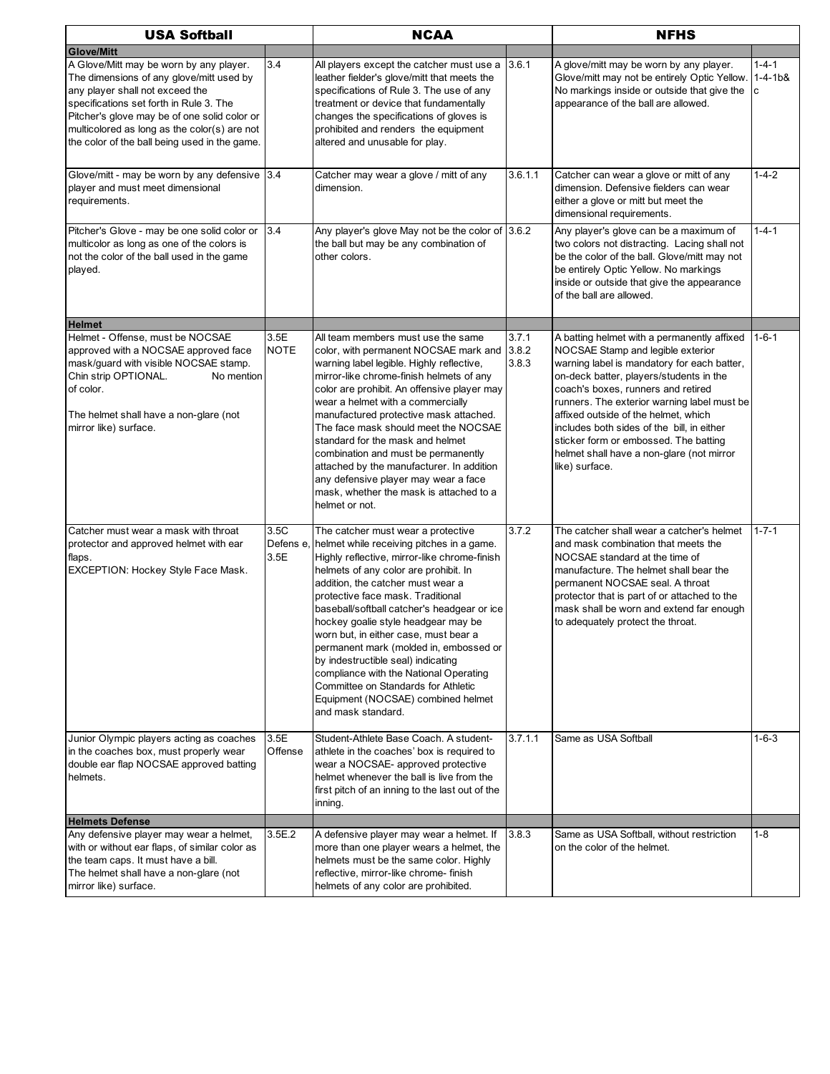| <b>USA Softball</b>                                                                                                                                                                                                                                                                                                                     |                     | <b>NCAA</b>                                                                                                                                                                                                                                                                                                                                                                                                                                                                                                                                                                                                              |                | <b>NFHS</b>                                                                                                                                                                                                                                                                                                                                                                                                                                                   |                               |  |
|-----------------------------------------------------------------------------------------------------------------------------------------------------------------------------------------------------------------------------------------------------------------------------------------------------------------------------------------|---------------------|--------------------------------------------------------------------------------------------------------------------------------------------------------------------------------------------------------------------------------------------------------------------------------------------------------------------------------------------------------------------------------------------------------------------------------------------------------------------------------------------------------------------------------------------------------------------------------------------------------------------------|----------------|---------------------------------------------------------------------------------------------------------------------------------------------------------------------------------------------------------------------------------------------------------------------------------------------------------------------------------------------------------------------------------------------------------------------------------------------------------------|-------------------------------|--|
| <b>Glove/Mitt</b><br>A Glove/Mitt may be worn by any player.<br>The dimensions of any glove/mitt used by<br>any player shall not exceed the<br>specifications set forth in Rule 3. The<br>Pitcher's glove may be of one solid color or<br>multicolored as long as the color(s) are not<br>the color of the ball being used in the game. | 3.4                 | All players except the catcher must use a<br>leather fielder's glove/mitt that meets the<br>specifications of Rule 3. The use of any<br>treatment or device that fundamentally<br>changes the specifications of gloves is<br>prohibited and renders the equipment<br>altered and unusable for play.                                                                                                                                                                                                                                                                                                                      | 3.6.1          | A glove/mitt may be worn by any player.<br>Glove/mitt may not be entirely Optic Yellow.<br>No markings inside or outside that give the<br>appearance of the ball are allowed.                                                                                                                                                                                                                                                                                 | $1 - 4 - 1$<br>$1 - 4 - 1b$ & |  |
| Glove/mitt - may be worn by any defensive 3.4<br>player and must meet dimensional<br>requirements.                                                                                                                                                                                                                                      |                     | Catcher may wear a glove / mitt of any<br>dimension.                                                                                                                                                                                                                                                                                                                                                                                                                                                                                                                                                                     | 3.6.1.1        | Catcher can wear a glove or mitt of any<br>dimension. Defensive fielders can wear<br>either a glove or mitt but meet the<br>dimensional requirements.                                                                                                                                                                                                                                                                                                         | $1 - 4 - 2$                   |  |
| Pitcher's Glove - may be one solid color or<br>multicolor as long as one of the colors is<br>not the color of the ball used in the game<br>played.                                                                                                                                                                                      | 3.4                 | Any player's glove May not be the color of 3.6.2<br>the ball but may be any combination of<br>other colors.                                                                                                                                                                                                                                                                                                                                                                                                                                                                                                              |                | Any player's glove can be a maximum of<br>two colors not distracting. Lacing shall not<br>be the color of the ball. Glove/mitt may not<br>be entirely Optic Yellow. No markings<br>inside or outside that give the appearance<br>of the ball are allowed.                                                                                                                                                                                                     | $1 - 4 - 1$                   |  |
| <b>Helmet</b><br>Helmet - Offense, must be NOCSAE<br>approved with a NOCSAE approved face<br>mask/quard with visible NOCSAE stamp.<br>Chin strip OPTIONAL.<br>No mention<br>of color.<br>The helmet shall have a non-glare (not<br>mirror like) surface.                                                                                | 3.5E<br><b>NOTE</b> | All team members must use the same<br>color, with permanent NOCSAE mark and 3.8.2<br>warning label legible. Highly reflective,<br>mirror-like chrome-finish helmets of any<br>color are prohibit. An offensive player may<br>wear a helmet with a commercially<br>manufactured protective mask attached.<br>The face mask should meet the NOCSAE<br>standard for the mask and helmet<br>combination and must be permanently<br>attached by the manufacturer. In addition<br>any defensive player may wear a face<br>mask, whether the mask is attached to a<br>helmet or not.                                            | 3.7.1<br>3.8.3 | A batting helmet with a permanently affixed<br>NOCSAE Stamp and legible exterior<br>warning label is mandatory for each batter,<br>on-deck batter, players/students in the<br>coach's boxes, runners and retired<br>runners. The exterior warning label must be<br>affixed outside of the helmet, which<br>includes both sides of the bill, in either<br>sticker form or embossed. The batting<br>helmet shall have a non-glare (not mirror<br>like) surface. | $1 - 6 - 1$                   |  |
| Catcher must wear a mask with throat<br>protector and approved helmet with ear<br>flaps.<br>EXCEPTION: Hockey Style Face Mask.                                                                                                                                                                                                          | 3.5C<br>3.5E        | The catcher must wear a protective<br>Defens e, helmet while receiving pitches in a game.<br>Highly reflective, mirror-like chrome-finish<br>helmets of any color are prohibit. In<br>addition, the catcher must wear a<br>protective face mask. Traditional<br>baseball/softball catcher's headgear or ice<br>hockey goalie style headgear may be<br>worn but, in either case, must bear a<br>permanent mark (molded in, embossed or<br>by indestructible seal) indicating<br>compliance with the National Operating<br>Committee on Standards for Athletic<br>Equipment (NOCSAE) combined helmet<br>and mask standard. | 3.7.2          | The catcher shall wear a catcher's helmet<br>and mask combination that meets the<br>NOCSAE standard at the time of<br>manufacture. The helmet shall bear the<br>permanent NOCSAE seal. A throat<br>protector that is part of or attached to the<br>mask shall be worn and extend far enough<br>to adequately protect the throat.                                                                                                                              | $1 - 7 - 1$                   |  |
| Junior Olympic players acting as coaches<br>in the coaches box, must properly wear<br>double ear flap NOCSAE approved batting<br>helmets.                                                                                                                                                                                               | 3.5E<br>Offense     | Student-Athlete Base Coach. A student-<br>athlete in the coaches' box is required to<br>wear a NOCSAE- approved protective<br>helmet whenever the ball is live from the<br>first pitch of an inning to the last out of the<br>inning.                                                                                                                                                                                                                                                                                                                                                                                    | 3.7.1.1        | Same as USA Softball                                                                                                                                                                                                                                                                                                                                                                                                                                          | $1 - 6 - 3$                   |  |
| <b>Helmets Defense</b>                                                                                                                                                                                                                                                                                                                  |                     |                                                                                                                                                                                                                                                                                                                                                                                                                                                                                                                                                                                                                          |                |                                                                                                                                                                                                                                                                                                                                                                                                                                                               |                               |  |
| Any defensive player may wear a helmet,<br>with or without ear flaps, of similar color as<br>the team caps. It must have a bill.<br>The helmet shall have a non-glare (not<br>mirror like) surface.                                                                                                                                     | 3.5E.2              | A defensive player may wear a helmet. If<br>more than one player wears a helmet, the<br>helmets must be the same color. Highly<br>reflective, mirror-like chrome- finish<br>helmets of any color are prohibited.                                                                                                                                                                                                                                                                                                                                                                                                         | 3.8.3          | Same as USA Softball, without restriction<br>on the color of the helmet.                                                                                                                                                                                                                                                                                                                                                                                      | $1 - 8$                       |  |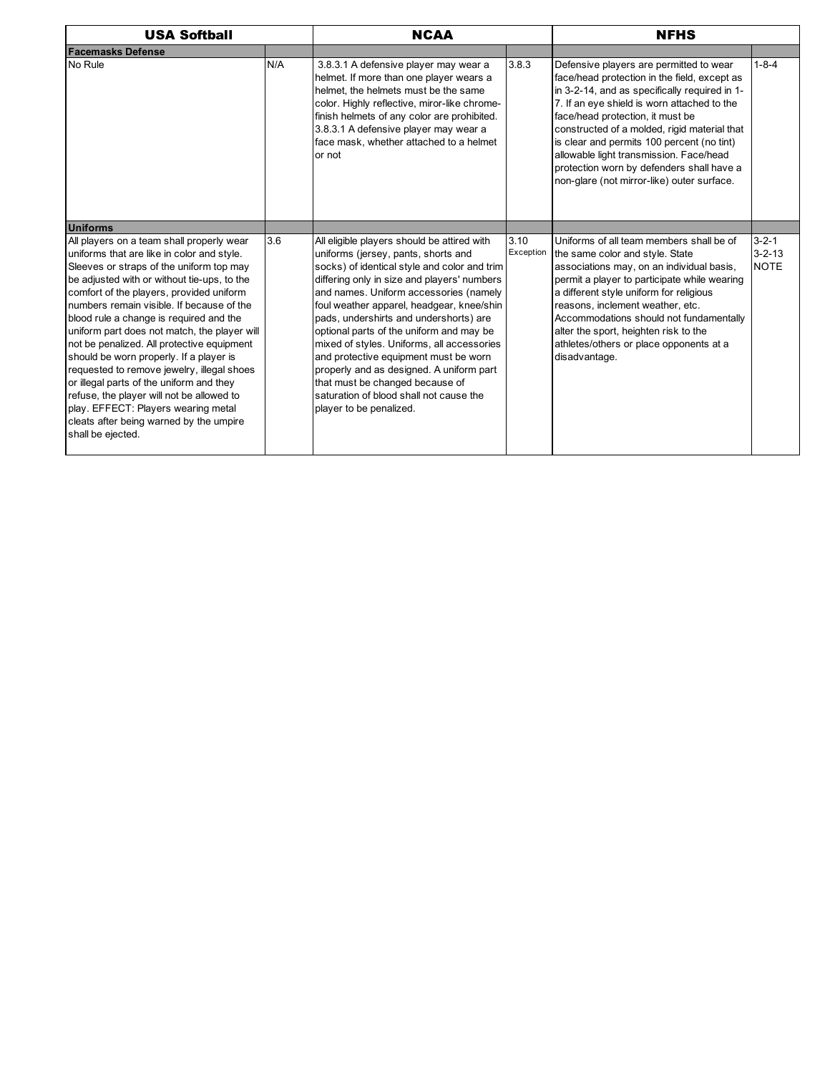| <b>USA Softball</b>                                                                                                                                                                                                                                                                                                                                                                                                                                                                                                                                                                                                                                                                                           |     | <b>NCAA</b>                                                                                                                                                                                                                                                                                                                                                                                                                                                                                                                                                                                                |                   | <b>NFHS</b>                                                                                                                                                                                                                                                                                                                                                                                                                                                     |                                            |  |
|---------------------------------------------------------------------------------------------------------------------------------------------------------------------------------------------------------------------------------------------------------------------------------------------------------------------------------------------------------------------------------------------------------------------------------------------------------------------------------------------------------------------------------------------------------------------------------------------------------------------------------------------------------------------------------------------------------------|-----|------------------------------------------------------------------------------------------------------------------------------------------------------------------------------------------------------------------------------------------------------------------------------------------------------------------------------------------------------------------------------------------------------------------------------------------------------------------------------------------------------------------------------------------------------------------------------------------------------------|-------------------|-----------------------------------------------------------------------------------------------------------------------------------------------------------------------------------------------------------------------------------------------------------------------------------------------------------------------------------------------------------------------------------------------------------------------------------------------------------------|--------------------------------------------|--|
| <b>Facemasks Defense</b>                                                                                                                                                                                                                                                                                                                                                                                                                                                                                                                                                                                                                                                                                      |     |                                                                                                                                                                                                                                                                                                                                                                                                                                                                                                                                                                                                            |                   |                                                                                                                                                                                                                                                                                                                                                                                                                                                                 |                                            |  |
| No Rule                                                                                                                                                                                                                                                                                                                                                                                                                                                                                                                                                                                                                                                                                                       | N/A | 3.8.3.1 A defensive player may wear a<br>helmet. If more than one player wears a<br>helmet, the helmets must be the same<br>color. Highly reflective, miror-like chrome-<br>finish helmets of any color are prohibited.<br>3.8.3.1 A defensive player may wear a<br>face mask, whether attached to a helmet<br>or not                                                                                                                                                                                                                                                                                      | 3.8.3             | Defensive players are permitted to wear<br>face/head protection in the field, except as<br>in 3-2-14, and as specifically required in 1-<br>7. If an eye shield is worn attached to the<br>face/head protection, it must be<br>constructed of a molded, rigid material that<br>is clear and permits 100 percent (no tint)<br>allowable light transmission. Face/head<br>protection worn by defenders shall have a<br>non-glare (not mirror-like) outer surface. | $1 - 8 - 4$                                |  |
| <b>Uniforms</b>                                                                                                                                                                                                                                                                                                                                                                                                                                                                                                                                                                                                                                                                                               |     |                                                                                                                                                                                                                                                                                                                                                                                                                                                                                                                                                                                                            |                   |                                                                                                                                                                                                                                                                                                                                                                                                                                                                 |                                            |  |
| All players on a team shall properly wear<br>uniforms that are like in color and style.<br>Sleeves or straps of the uniform top may<br>be adjusted with or without tie-ups, to the<br>comfort of the players, provided uniform<br>numbers remain visible. If because of the<br>blood rule a change is required and the<br>uniform part does not match, the player will<br>not be penalized. All protective equipment<br>should be worn properly. If a player is<br>requested to remove jewelry, illegal shoes<br>or illegal parts of the uniform and they<br>refuse, the player will not be allowed to<br>play. EFFECT: Players wearing metal<br>cleats after being warned by the umpire<br>shall be ejected. | 3.6 | All eligible players should be attired with<br>uniforms (jersey, pants, shorts and<br>socks) of identical style and color and trim<br>differing only in size and players' numbers<br>and names. Uniform accessories (namely<br>foul weather apparel, headgear, knee/shin<br>pads, undershirts and undershorts) are<br>optional parts of the uniform and may be<br>mixed of styles. Uniforms, all accessories<br>and protective equipment must be worn<br>properly and as designed. A uniform part<br>that must be changed because of<br>saturation of blood shall not cause the<br>player to be penalized. | 3.10<br>Exception | Uniforms of all team members shall be of<br>the same color and style. State<br>associations may, on an individual basis,<br>permit a player to participate while wearing<br>a different style uniform for religious<br>reasons, inclement weather, etc.<br>Accommodations should not fundamentally<br>alter the sport, heighten risk to the<br>athletes/others or place opponents at a<br>disadvantage.                                                         | $3 - 2 - 1$<br>$3 - 2 - 13$<br><b>NOTE</b> |  |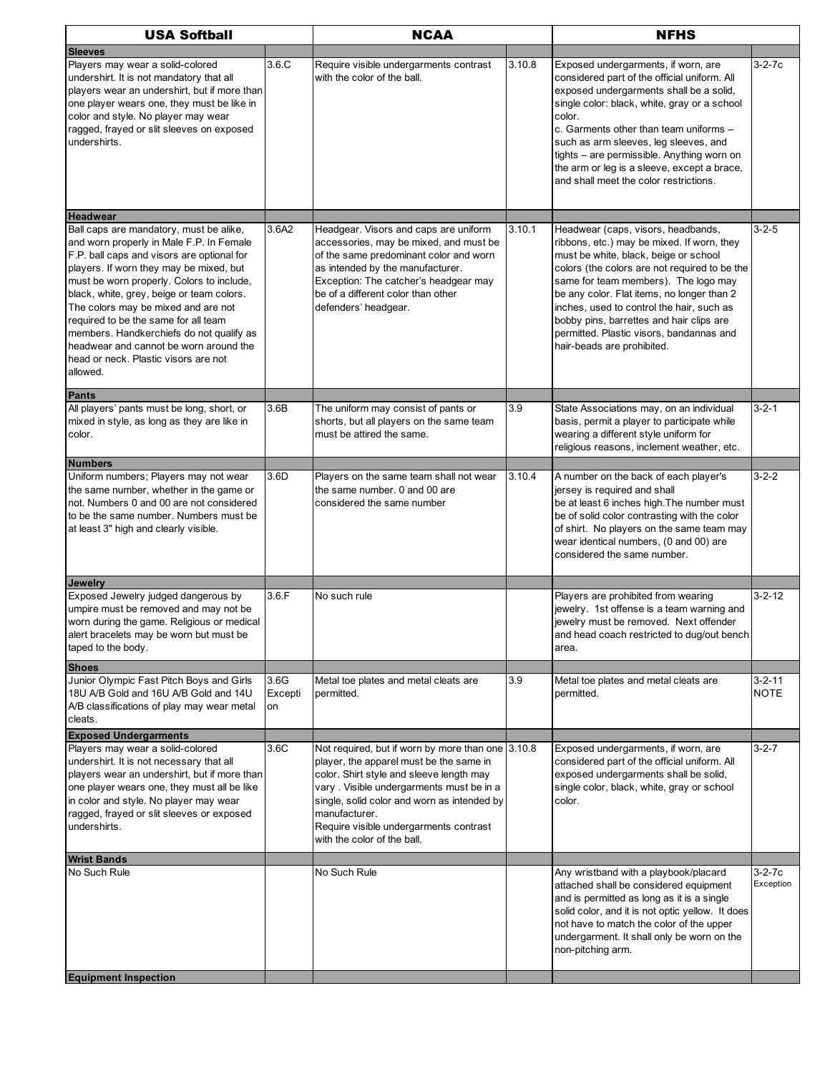| <b>USA Softball</b>                                                                                                                                                                                                                                                                                                                                                                                                                                                                             |                       | <b>NCAA</b>                                                                                                                                                                                                                                                                                                                   |        | <b>NFHS</b>                                                                                                                                                                                                                                                                                                                                                                                                                         |                             |
|-------------------------------------------------------------------------------------------------------------------------------------------------------------------------------------------------------------------------------------------------------------------------------------------------------------------------------------------------------------------------------------------------------------------------------------------------------------------------------------------------|-----------------------|-------------------------------------------------------------------------------------------------------------------------------------------------------------------------------------------------------------------------------------------------------------------------------------------------------------------------------|--------|-------------------------------------------------------------------------------------------------------------------------------------------------------------------------------------------------------------------------------------------------------------------------------------------------------------------------------------------------------------------------------------------------------------------------------------|-----------------------------|
| <b>Sleeves</b>                                                                                                                                                                                                                                                                                                                                                                                                                                                                                  |                       |                                                                                                                                                                                                                                                                                                                               |        |                                                                                                                                                                                                                                                                                                                                                                                                                                     |                             |
| Players may wear a solid-colored<br>undershirt. It is not mandatory that all<br>players wear an undershirt, but if more than<br>one player wears one, they must be like in<br>color and style. No player may wear<br>ragged, frayed or slit sleeves on exposed<br>undershirts.                                                                                                                                                                                                                  | 3.6.C                 | Require visible undergarments contrast<br>with the color of the ball.                                                                                                                                                                                                                                                         | 3.10.8 | Exposed undergarments, if worn, are<br>considered part of the official uniform. All<br>exposed undergarments shall be a solid,<br>single color: black, white, gray or a school<br>color.<br>c. Garments other than team uniforms -<br>such as arm sleeves, leg sleeves, and<br>tights - are permissible. Anything worn on<br>the arm or leg is a sleeve, except a brace,<br>and shall meet the color restrictions.                  | $3 - 2 - 7c$                |
| <b>Headwear</b>                                                                                                                                                                                                                                                                                                                                                                                                                                                                                 |                       |                                                                                                                                                                                                                                                                                                                               |        |                                                                                                                                                                                                                                                                                                                                                                                                                                     |                             |
| Ball caps are mandatory, must be alike,<br>and worn properly in Male F.P. In Female<br>F.P. ball caps and visors are optional for<br>players. If worn they may be mixed, but<br>must be worn properly. Colors to include,<br>black, white, grey, beige or team colors.<br>The colors may be mixed and are not<br>required to be the same for all team<br>members. Handkerchiefs do not qualify as<br>headwear and cannot be worn around the<br>head or neck. Plastic visors are not<br>allowed. | 3.6A2                 | Headgear. Visors and caps are uniform<br>accessories, may be mixed, and must be<br>of the same predominant color and worn<br>as intended by the manufacturer.<br>Exception: The catcher's headgear may<br>be of a different color than other<br>defenders' headgear.                                                          | 3.10.1 | Headwear (caps, visors, headbands,<br>ribbons, etc.) may be mixed. If worn, they<br>must be white, black, beige or school<br>colors (the colors are not required to be the<br>same for team members). The logo may<br>be any color. Flat items, no longer than 2<br>inches, used to control the hair, such as<br>bobby pins, barrettes and hair clips are<br>permitted. Plastic visors, bandannas and<br>hair-beads are prohibited. | $3 - 2 - 5$                 |
| Pants                                                                                                                                                                                                                                                                                                                                                                                                                                                                                           |                       |                                                                                                                                                                                                                                                                                                                               |        |                                                                                                                                                                                                                                                                                                                                                                                                                                     |                             |
| All players' pants must be long, short, or<br>mixed in style, as long as they are like in<br>color.<br>Numbers                                                                                                                                                                                                                                                                                                                                                                                  | 3.6B                  | The uniform may consist of pants or<br>shorts, but all players on the same team<br>must be attired the same.                                                                                                                                                                                                                  | 3.9    | State Associations may, on an individual<br>basis, permit a player to participate while<br>wearing a different style uniform for<br>religious reasons, inclement weather, etc.                                                                                                                                                                                                                                                      | $3 - 2 - 1$                 |
| Uniform numbers; Players may not wear                                                                                                                                                                                                                                                                                                                                                                                                                                                           | 3.6D                  | Players on the same team shall not wear                                                                                                                                                                                                                                                                                       | 3.10.4 | A number on the back of each player's                                                                                                                                                                                                                                                                                                                                                                                               | $3 - 2 - 2$                 |
| the same number, whether in the game or<br>not. Numbers 0 and 00 are not considered<br>to be the same number. Numbers must be<br>at least 3" high and clearly visible.                                                                                                                                                                                                                                                                                                                          |                       | the same number. 0 and 00 are<br>considered the same number                                                                                                                                                                                                                                                                   |        | jersey is required and shall<br>be at least 6 inches high. The number must<br>be of solid color contrasting with the color<br>of shirt. No players on the same team may<br>wear identical numbers, (0 and 00) are<br>considered the same number.                                                                                                                                                                                    |                             |
| Jewelry                                                                                                                                                                                                                                                                                                                                                                                                                                                                                         |                       |                                                                                                                                                                                                                                                                                                                               |        |                                                                                                                                                                                                                                                                                                                                                                                                                                     |                             |
| Exposed Jewelry judged dangerous by<br>umpire must be removed and may not be<br>worn during the game. Religious or medical<br>alert bracelets may be worn but must be<br>taped to the body.                                                                                                                                                                                                                                                                                                     | 3.6.F                 | No such rule                                                                                                                                                                                                                                                                                                                  |        | Players are prohibited from wearing<br>jewelry. 1st offense is a team warning and<br>jewelry must be removed. Next offender<br>and head coach restricted to dug/out bench<br>area.                                                                                                                                                                                                                                                  | $3 - 2 - 12$                |
| <b>Shoes</b>                                                                                                                                                                                                                                                                                                                                                                                                                                                                                    |                       |                                                                                                                                                                                                                                                                                                                               |        |                                                                                                                                                                                                                                                                                                                                                                                                                                     |                             |
| Junior Olympic Fast Pitch Boys and Girls<br>18U A/B Gold and 16U A/B Gold and 14U<br>A/B classifications of play may wear metal<br>cleats.                                                                                                                                                                                                                                                                                                                                                      | 3.6G<br>Excepti<br>on | Metal toe plates and metal cleats are<br>permitted.                                                                                                                                                                                                                                                                           | 3.9    | Metal toe plates and metal cleats are<br>permitted.                                                                                                                                                                                                                                                                                                                                                                                 | $3 - 2 - 11$<br><b>NOTE</b> |
| <b>Exposed Undergarments</b>                                                                                                                                                                                                                                                                                                                                                                                                                                                                    |                       |                                                                                                                                                                                                                                                                                                                               |        |                                                                                                                                                                                                                                                                                                                                                                                                                                     |                             |
| Players may wear a solid-colored<br>undershirt. It is not necessary that all<br>players wear an undershirt, but if more than<br>one player wears one, they must all be like<br>in color and style. No player may wear<br>ragged, frayed or slit sleeves or exposed<br>undershirts.                                                                                                                                                                                                              | 3.6C                  | Not required, but if worn by more than one 3.10.8<br>player, the apparel must be the same in<br>color. Shirt style and sleeve length may<br>vary. Visible undergarments must be in a<br>single, solid color and worn as intended by<br>manufacturer.<br>Require visible undergarments contrast<br>with the color of the ball. |        | Exposed undergarments, if worn, are<br>considered part of the official uniform. All<br>exposed undergarments shall be solid,<br>single color, black, white, gray or school<br>color.                                                                                                                                                                                                                                                | 3-2-7                       |
| <b>Wrist Bands</b><br>No Such Rule                                                                                                                                                                                                                                                                                                                                                                                                                                                              |                       | No Such Rule                                                                                                                                                                                                                                                                                                                  |        | Any wristband with a playbook/placard                                                                                                                                                                                                                                                                                                                                                                                               | 3-2-7c                      |
|                                                                                                                                                                                                                                                                                                                                                                                                                                                                                                 |                       |                                                                                                                                                                                                                                                                                                                               |        | attached shall be considered equipment<br>and is permitted as long as it is a single<br>solid color, and it is not optic yellow. It does<br>not have to match the color of the upper<br>undergarment. It shall only be worn on the<br>non-pitching arm.                                                                                                                                                                             | Exception                   |
| <b>Equipment Inspection</b>                                                                                                                                                                                                                                                                                                                                                                                                                                                                     |                       |                                                                                                                                                                                                                                                                                                                               |        |                                                                                                                                                                                                                                                                                                                                                                                                                                     |                             |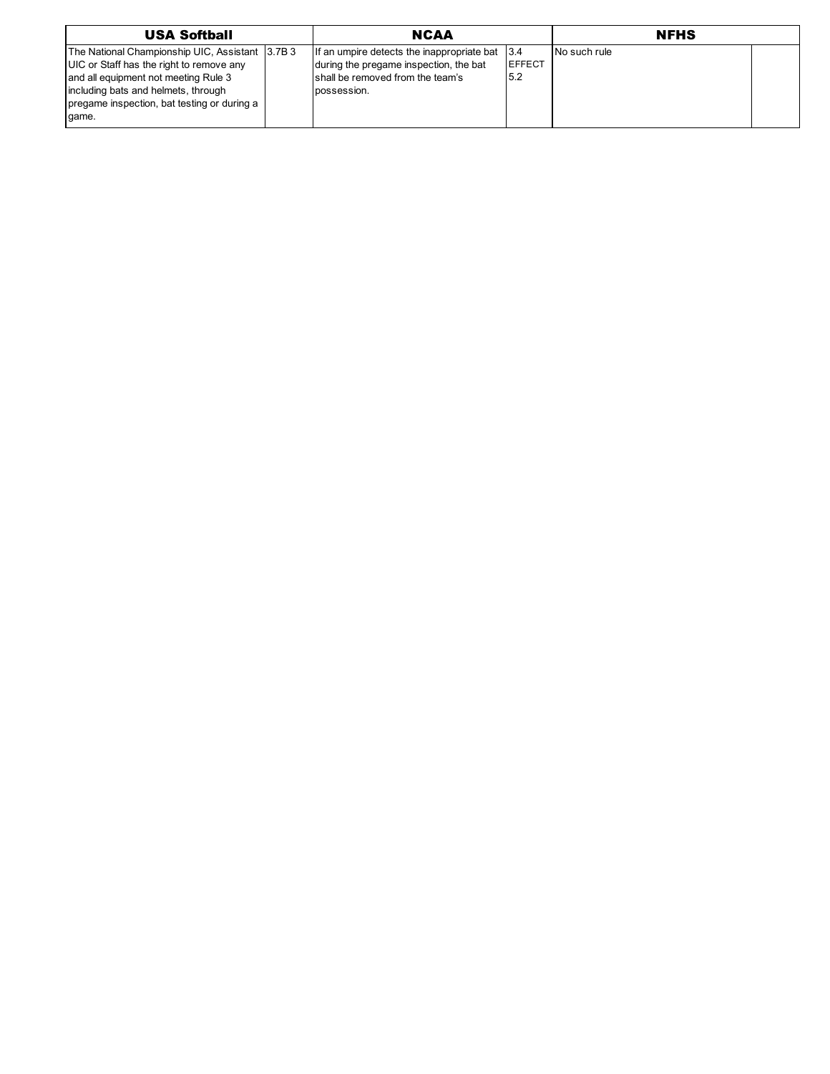| <b>USA Softball</b>                                                                                                                                                                                                                | <b>NCAA</b>                                                                                                                             |                               |              | <b>NFHS</b> |  |
|------------------------------------------------------------------------------------------------------------------------------------------------------------------------------------------------------------------------------------|-----------------------------------------------------------------------------------------------------------------------------------------|-------------------------------|--------------|-------------|--|
| The National Championship UIC, Assistant 3.7B 3<br>UIC or Staff has the right to remove any<br>and all equipment not meeting Rule 3<br>including bats and helmets, through<br>pregame inspection, bat testing or during a<br>qame. | If an umpire detects the inappropriate bat<br>during the pregame inspection, the bat<br>shall be removed from the team's<br>possession. | 13.4<br><b>IEFFECT</b><br>5.2 | No such rule |             |  |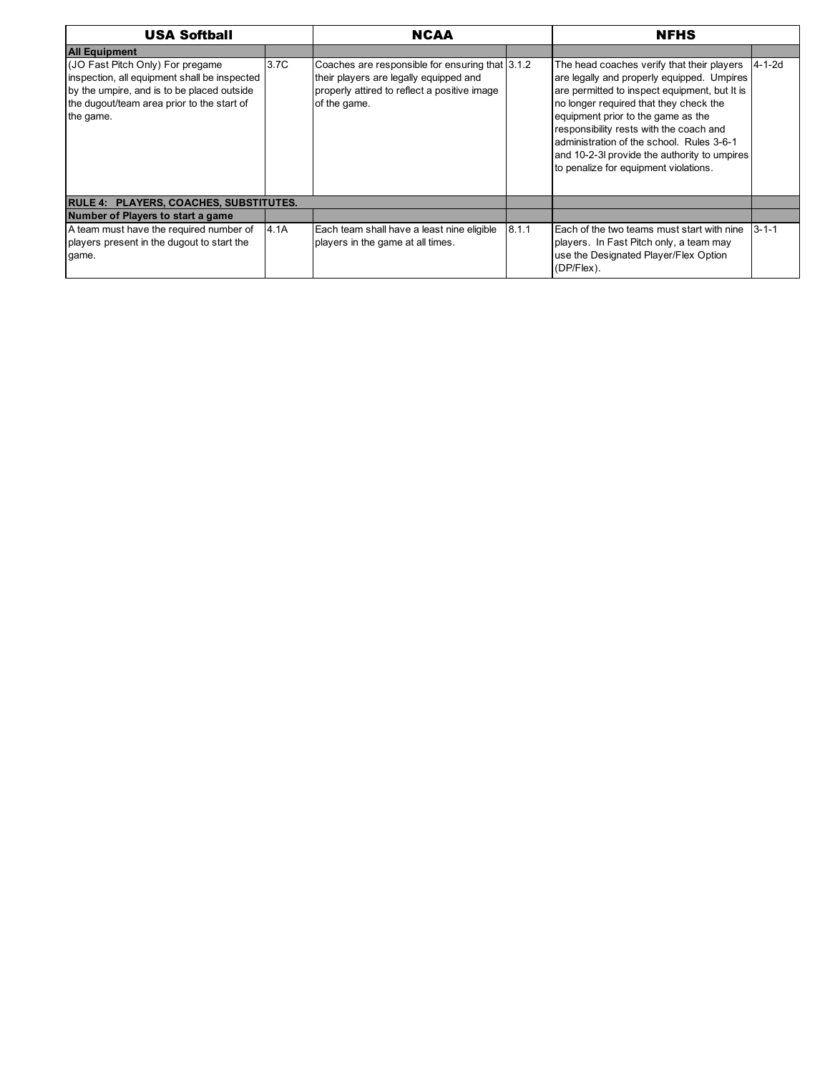| <b>USA Softball</b>                                                                                                                                                                       |      | <b>NCAA</b>                                                                                                                                               |       | <b>NFHS</b>                                                                                                                                                                                                                                                                                                                                                                                                |             |
|-------------------------------------------------------------------------------------------------------------------------------------------------------------------------------------------|------|-----------------------------------------------------------------------------------------------------------------------------------------------------------|-------|------------------------------------------------------------------------------------------------------------------------------------------------------------------------------------------------------------------------------------------------------------------------------------------------------------------------------------------------------------------------------------------------------------|-------------|
| <b>All Equipment</b>                                                                                                                                                                      |      |                                                                                                                                                           |       |                                                                                                                                                                                                                                                                                                                                                                                                            |             |
| (JO Fast Pitch Only) For pregame<br>inspection, all equipment shall be inspected<br>by the umpire, and is to be placed outside<br>the dugout/team area prior to the start of<br>the game. | 3.7C | Coaches are responsible for ensuring that 3.1.2<br>their players are legally equipped and<br>properly attired to reflect a positive image<br>of the game. |       | The head coaches verify that their players<br>are legally and properly equipped. Umpires<br>are permitted to inspect equipment, but It is<br>no longer required that they check the<br>equipment prior to the game as the<br>responsibility rests with the coach and<br>administration of the school. Rules 3-6-1<br>and 10-2-3I provide the authority to umpires<br>to penalize for equipment violations. | l4-1-2d     |
| RULE 4: PLAYERS, COACHES, SUBSTITUTES.                                                                                                                                                    |      |                                                                                                                                                           |       |                                                                                                                                                                                                                                                                                                                                                                                                            |             |
| Number of Players to start a game                                                                                                                                                         |      |                                                                                                                                                           |       |                                                                                                                                                                                                                                                                                                                                                                                                            |             |
| A team must have the required number of<br>players present in the dugout to start the<br>game.                                                                                            | 4.1A | Each team shall have a least nine eligible<br>players in the game at all times.                                                                           | 8.1.1 | Each of the two teams must start with nine<br>players. In Fast Pitch only, a team may<br>use the Designated Player/Flex Option<br>(DP/Flex).                                                                                                                                                                                                                                                               | $3 - 1 - 1$ |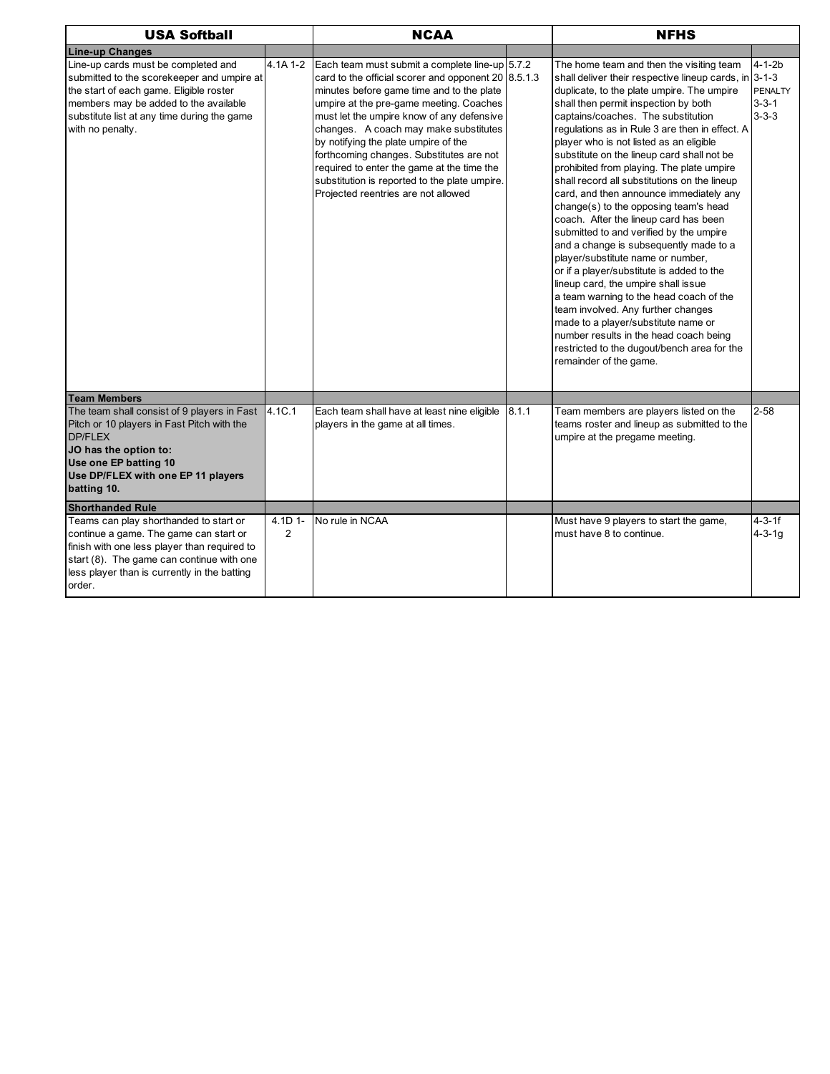| <b>USA Softball</b>                                                                                                                                                                                                                                             |                           | <b>NCAA</b>                                                                                                                                                                                                                                                                                                                                                                                                                                                                                                     |       | <b>NFHS</b>                                                                                                                                                                                                                                                                                                                                                                                                                                                                                                                                                                                                                                                                                                                                                                                                                                                                                                                                                                                                                                                   |                                                              |  |
|-----------------------------------------------------------------------------------------------------------------------------------------------------------------------------------------------------------------------------------------------------------------|---------------------------|-----------------------------------------------------------------------------------------------------------------------------------------------------------------------------------------------------------------------------------------------------------------------------------------------------------------------------------------------------------------------------------------------------------------------------------------------------------------------------------------------------------------|-------|---------------------------------------------------------------------------------------------------------------------------------------------------------------------------------------------------------------------------------------------------------------------------------------------------------------------------------------------------------------------------------------------------------------------------------------------------------------------------------------------------------------------------------------------------------------------------------------------------------------------------------------------------------------------------------------------------------------------------------------------------------------------------------------------------------------------------------------------------------------------------------------------------------------------------------------------------------------------------------------------------------------------------------------------------------------|--------------------------------------------------------------|--|
| <b>Line-up Changes</b>                                                                                                                                                                                                                                          |                           |                                                                                                                                                                                                                                                                                                                                                                                                                                                                                                                 |       |                                                                                                                                                                                                                                                                                                                                                                                                                                                                                                                                                                                                                                                                                                                                                                                                                                                                                                                                                                                                                                                               |                                                              |  |
| Line-up cards must be completed and<br>submitted to the scorekeeper and umpire at<br>the start of each game. Eligible roster<br>members may be added to the available<br>substitute list at any time during the game<br>with no penalty.<br><b>Team Members</b> | 4.1A 1-2                  | Each team must submit a complete line-up 5.7.2<br>card to the official scorer and opponent $20 8.5.1.3$<br>minutes before game time and to the plate<br>umpire at the pre-game meeting. Coaches<br>must let the umpire know of any defensive<br>changes. A coach may make substitutes<br>by notifying the plate umpire of the<br>forthcoming changes. Substitutes are not<br>required to enter the game at the time the<br>substitution is reported to the plate umpire.<br>Projected reentries are not allowed |       | The home team and then the visiting team<br>shall deliver their respective lineup cards, in $3-1-3$<br>duplicate, to the plate umpire. The umpire<br>shall then permit inspection by both<br>captains/coaches. The substitution<br>regulations as in Rule 3 are then in effect. A<br>player who is not listed as an eligible<br>substitute on the lineup card shall not be<br>prohibited from playing. The plate umpire<br>shall record all substitutions on the lineup<br>card, and then announce immediately any<br>change(s) to the opposing team's head<br>coach. After the lineup card has been<br>submitted to and verified by the umpire<br>and a change is subsequently made to a<br>player/substitute name or number,<br>or if a player/substitute is added to the<br>lineup card, the umpire shall issue<br>a team warning to the head coach of the<br>team involved. Any further changes<br>made to a player/substitute name or<br>number results in the head coach being<br>restricted to the dugout/bench area for the<br>remainder of the game. | $4 - 1 - 2b$<br><b>PENALTY</b><br>$3 - 3 - 1$<br>$3 - 3 - 3$ |  |
| The team shall consist of 9 players in Fast                                                                                                                                                                                                                     | 4.1C.1                    | Each team shall have at least nine eligible                                                                                                                                                                                                                                                                                                                                                                                                                                                                     | 8.1.1 | Team members are players listed on the                                                                                                                                                                                                                                                                                                                                                                                                                                                                                                                                                                                                                                                                                                                                                                                                                                                                                                                                                                                                                        | $2 - 58$                                                     |  |
| Pitch or 10 players in Fast Pitch with the<br><b>DP/FLEX</b><br>JO has the option to:<br>Use one EP batting 10<br>Use DP/FLEX with one EP 11 players<br>batting 10.                                                                                             |                           | players in the game at all times.                                                                                                                                                                                                                                                                                                                                                                                                                                                                               |       | teams roster and lineup as submitted to the<br>umpire at the pregame meeting.                                                                                                                                                                                                                                                                                                                                                                                                                                                                                                                                                                                                                                                                                                                                                                                                                                                                                                                                                                                 |                                                              |  |
| <b>Shorthanded Rule</b>                                                                                                                                                                                                                                         |                           |                                                                                                                                                                                                                                                                                                                                                                                                                                                                                                                 |       |                                                                                                                                                                                                                                                                                                                                                                                                                                                                                                                                                                                                                                                                                                                                                                                                                                                                                                                                                                                                                                                               |                                                              |  |
| Teams can play shorthanded to start or<br>continue a game. The game can start or<br>finish with one less player than required to<br>start (8). The game can continue with one<br>less player than is currently in the batting<br>order.                         | 4.1D 1-<br>$\overline{2}$ | No rule in NCAA                                                                                                                                                                                                                                                                                                                                                                                                                                                                                                 |       | Must have 9 players to start the game,<br>must have 8 to continue.                                                                                                                                                                                                                                                                                                                                                                                                                                                                                                                                                                                                                                                                                                                                                                                                                                                                                                                                                                                            | $4 - 3 - 1f$<br>$4 - 3 - 1g$                                 |  |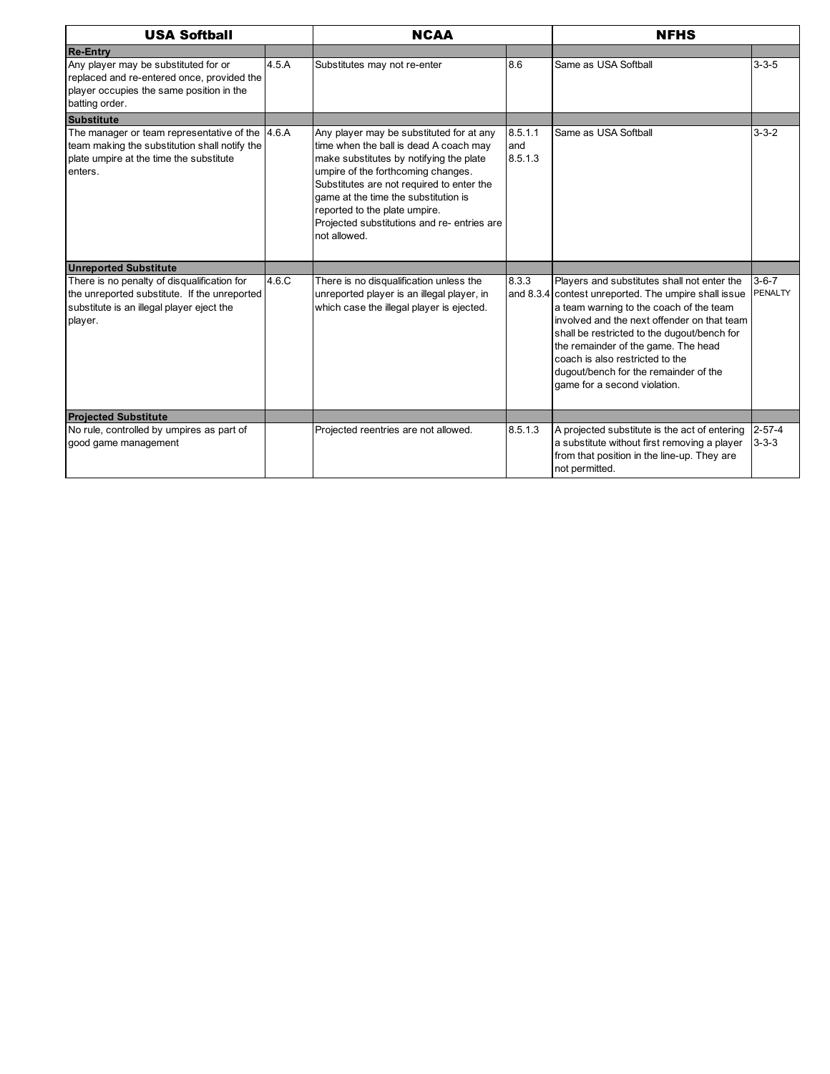| <b>USA Softball</b>                                                                                                                                    |       | <b>NCAA</b>                                                                                                                                                                                                                                                                                                                                              |                           | <b>NFHS</b>                                                                                                                                                                                                                                                                                                                                                                                     |                               |  |
|--------------------------------------------------------------------------------------------------------------------------------------------------------|-------|----------------------------------------------------------------------------------------------------------------------------------------------------------------------------------------------------------------------------------------------------------------------------------------------------------------------------------------------------------|---------------------------|-------------------------------------------------------------------------------------------------------------------------------------------------------------------------------------------------------------------------------------------------------------------------------------------------------------------------------------------------------------------------------------------------|-------------------------------|--|
| <b>Re-Entry</b>                                                                                                                                        |       |                                                                                                                                                                                                                                                                                                                                                          |                           |                                                                                                                                                                                                                                                                                                                                                                                                 |                               |  |
| Any player may be substituted for or<br>replaced and re-entered once, provided the<br>player occupies the same position in the<br>batting order.       | 4.5.A | Substitutes may not re-enter                                                                                                                                                                                                                                                                                                                             | 8.6                       | Same as USA Softball                                                                                                                                                                                                                                                                                                                                                                            | $3 - 3 - 5$                   |  |
| Substitute                                                                                                                                             |       |                                                                                                                                                                                                                                                                                                                                                          |                           |                                                                                                                                                                                                                                                                                                                                                                                                 |                               |  |
| The manager or team representative of the 4.6.A<br>team making the substitution shall notify the<br>plate umpire at the time the substitute<br>enters. |       | Any player may be substituted for at any<br>time when the ball is dead A coach may<br>make substitutes by notifying the plate<br>umpire of the forthcoming changes.<br>Substitutes are not required to enter the<br>game at the time the substitution is<br>reported to the plate umpire.<br>Projected substitutions and re- entries are<br>not allowed. | 8.5.1.1<br>and<br>8.5.1.3 | Same as USA Softball                                                                                                                                                                                                                                                                                                                                                                            | $3 - 3 - 2$                   |  |
| <b>Unreported Substitute</b>                                                                                                                           |       |                                                                                                                                                                                                                                                                                                                                                          |                           |                                                                                                                                                                                                                                                                                                                                                                                                 |                               |  |
| There is no penalty of disqualification for<br>the unreported substitute. If the unreported<br>substitute is an illegal player eject the<br>player.    | 4.6.C | There is no disqualification unless the<br>unreported player is an illegal player, in<br>which case the illegal player is ejected.                                                                                                                                                                                                                       | 8.3.3                     | Players and substitutes shall not enter the<br>and 8.3.4 contest unreported. The umpire shall issue<br>a team warning to the coach of the team<br>involved and the next offender on that team<br>shall be restricted to the dugout/bench for<br>the remainder of the game. The head<br>coach is also restricted to the<br>dugout/bench for the remainder of the<br>game for a second violation. | $3 - 6 - 7$<br><b>PENALTY</b> |  |
| <b>Projected Substitute</b>                                                                                                                            |       |                                                                                                                                                                                                                                                                                                                                                          |                           |                                                                                                                                                                                                                                                                                                                                                                                                 |                               |  |
| No rule, controlled by umpires as part of<br>good game management                                                                                      |       | Projected reentries are not allowed.                                                                                                                                                                                                                                                                                                                     | 8.5.1.3                   | A projected substitute is the act of entering<br>a substitute without first removing a player<br>from that position in the line-up. They are<br>not permitted.                                                                                                                                                                                                                                  | $2 - 57 - 4$<br>$3 - 3 - 3$   |  |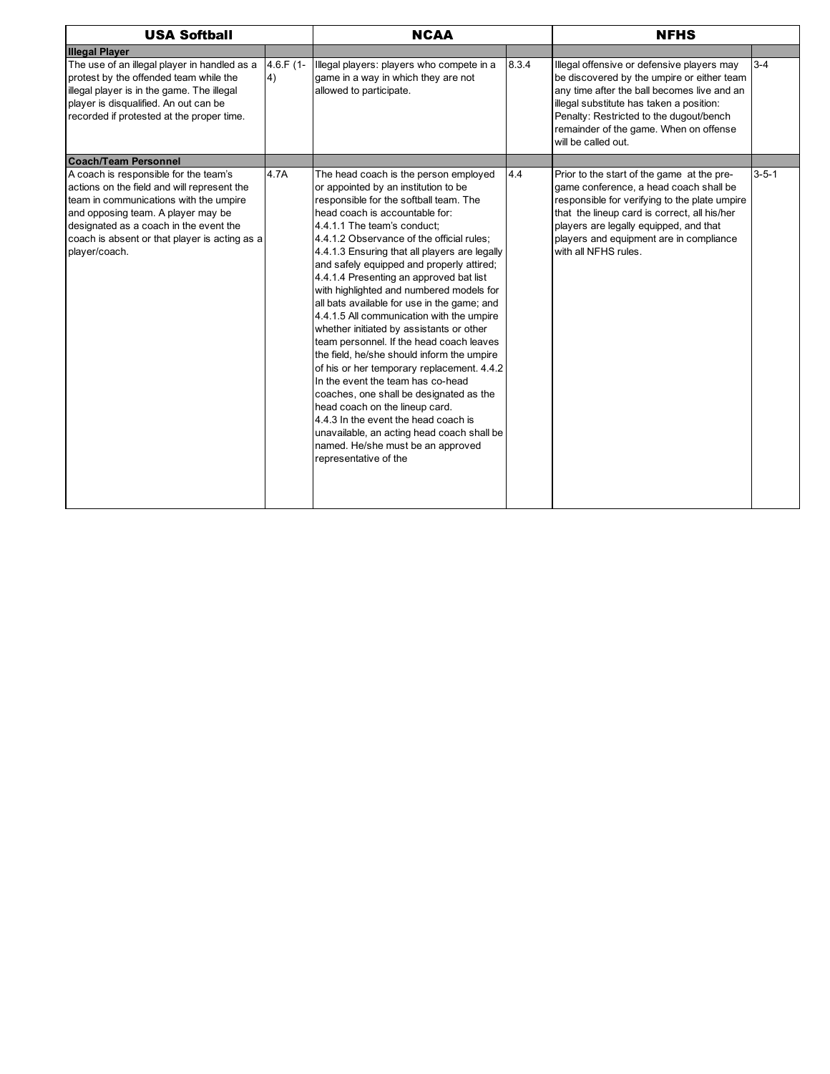| <b>USA Softball</b>                                                                                                                                                                                                                                                              |                   | <b>NCAA</b>                                                                                                                                                                                                                                                                                                                                                                                                                                                                                                                                                                                                                                                                                                                                                                                                                                                                                                                                                                      |       | <b>NFHS</b>                                                                                                                                                                                                                                                                                        |             |  |
|----------------------------------------------------------------------------------------------------------------------------------------------------------------------------------------------------------------------------------------------------------------------------------|-------------------|----------------------------------------------------------------------------------------------------------------------------------------------------------------------------------------------------------------------------------------------------------------------------------------------------------------------------------------------------------------------------------------------------------------------------------------------------------------------------------------------------------------------------------------------------------------------------------------------------------------------------------------------------------------------------------------------------------------------------------------------------------------------------------------------------------------------------------------------------------------------------------------------------------------------------------------------------------------------------------|-------|----------------------------------------------------------------------------------------------------------------------------------------------------------------------------------------------------------------------------------------------------------------------------------------------------|-------------|--|
| <b>Illegal Player</b>                                                                                                                                                                                                                                                            |                   |                                                                                                                                                                                                                                                                                                                                                                                                                                                                                                                                                                                                                                                                                                                                                                                                                                                                                                                                                                                  |       |                                                                                                                                                                                                                                                                                                    |             |  |
| The use of an illegal player in handled as a<br>protest by the offended team while the<br>illegal player is in the game. The illegal<br>player is disqualified. An out can be<br>recorded if protested at the proper time.                                                       | $4.6.F(1 -$<br>4) | Illegal players: players who compete in a<br>game in a way in which they are not<br>allowed to participate.                                                                                                                                                                                                                                                                                                                                                                                                                                                                                                                                                                                                                                                                                                                                                                                                                                                                      | 8.3.4 | Illegal offensive or defensive players may<br>be discovered by the umpire or either team<br>any time after the ball becomes live and an<br>illegal substitute has taken a position:<br>Penalty: Restricted to the dugout/bench<br>remainder of the game. When on offense<br>will be called out.    | $3 - 4$     |  |
| <b>Coach/Team Personnel</b>                                                                                                                                                                                                                                                      |                   |                                                                                                                                                                                                                                                                                                                                                                                                                                                                                                                                                                                                                                                                                                                                                                                                                                                                                                                                                                                  |       |                                                                                                                                                                                                                                                                                                    |             |  |
| A coach is responsible for the team's<br>actions on the field and will represent the<br>team in communications with the umpire<br>and opposing team. A player may be<br>designated as a coach in the event the<br>coach is absent or that player is acting as a<br>player/coach. | 4.7A              | The head coach is the person employed<br>or appointed by an institution to be<br>responsible for the softball team. The<br>head coach is accountable for:<br>4.4.1.1 The team's conduct:<br>4.4.1.2 Observance of the official rules;<br>4.4.1.3 Ensuring that all players are legally<br>and safely equipped and properly attired;<br>4.4.1.4 Presenting an approved bat list<br>with highlighted and numbered models for<br>all bats available for use in the game; and<br>4.4.1.5 All communication with the umpire<br>whether initiated by assistants or other<br>team personnel. If the head coach leaves<br>the field, he/she should inform the umpire<br>of his or her temporary replacement. 4.4.2<br>In the event the team has co-head<br>coaches, one shall be designated as the<br>head coach on the lineup card.<br>4.4.3 In the event the head coach is<br>unavailable, an acting head coach shall be<br>named. He/she must be an approved<br>representative of the | 4.4   | Prior to the start of the game at the pre-<br>game conference, a head coach shall be<br>responsible for verifying to the plate umpire<br>that the lineup card is correct, all his/her<br>players are legally equipped, and that<br>players and equipment are in compliance<br>with all NFHS rules. | $3 - 5 - 1$ |  |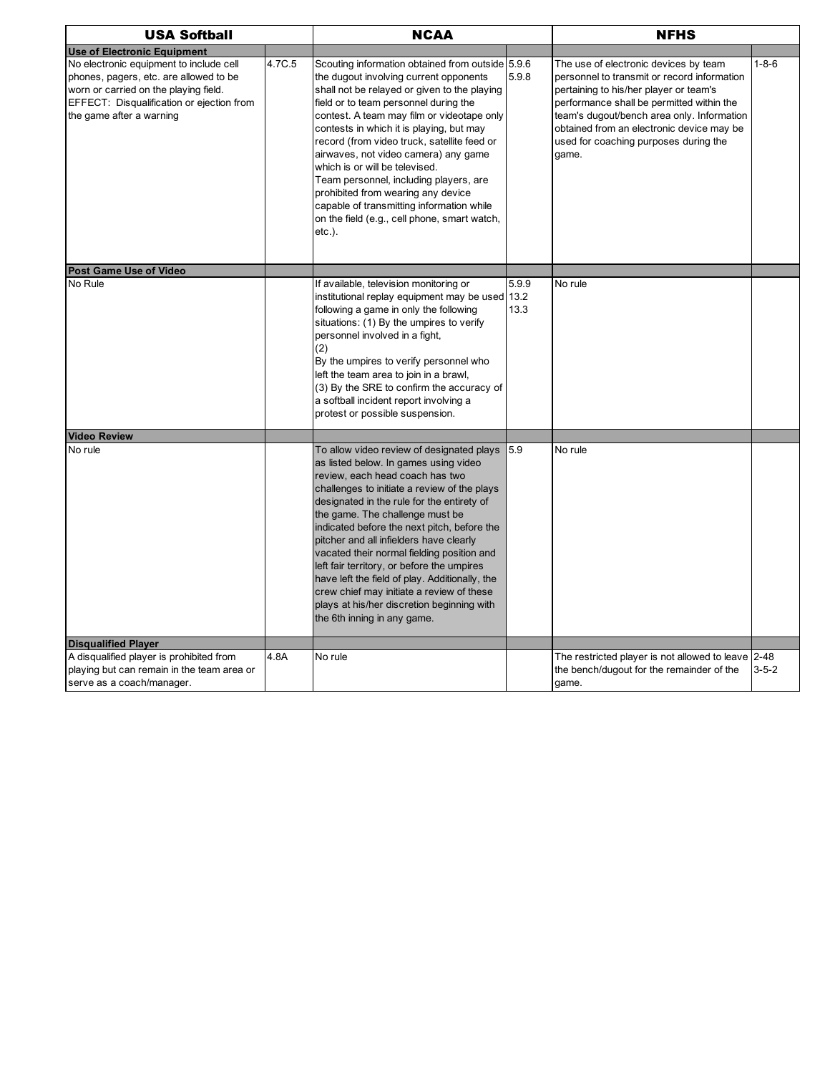| <b>USA Softball</b>                                                                                                                                                                                 |        | <b>NCAA</b>                                                                                                                                                                                                                                                                                                                                                                                                                                                                                                                                                                                                              |               | <b>NFHS</b>                                                                                                                                                                                                                                                                                                              |             |
|-----------------------------------------------------------------------------------------------------------------------------------------------------------------------------------------------------|--------|--------------------------------------------------------------------------------------------------------------------------------------------------------------------------------------------------------------------------------------------------------------------------------------------------------------------------------------------------------------------------------------------------------------------------------------------------------------------------------------------------------------------------------------------------------------------------------------------------------------------------|---------------|--------------------------------------------------------------------------------------------------------------------------------------------------------------------------------------------------------------------------------------------------------------------------------------------------------------------------|-------------|
| <b>Use of Electronic Equipment</b>                                                                                                                                                                  |        |                                                                                                                                                                                                                                                                                                                                                                                                                                                                                                                                                                                                                          |               |                                                                                                                                                                                                                                                                                                                          |             |
| No electronic equipment to include cell<br>phones, pagers, etc. are allowed to be<br>worn or carried on the playing field.<br>EFFECT: Disqualification or ejection from<br>the game after a warning | 4.7C.5 | Scouting information obtained from outside 5.9.6<br>the dugout involving current opponents<br>shall not be relayed or given to the playing<br>field or to team personnel during the<br>contest. A team may film or videotape only<br>contests in which it is playing, but may<br>record (from video truck, satellite feed or<br>airwaves, not video camera) any game<br>which is or will be televised.<br>Team personnel, including players, are<br>prohibited from wearing any device<br>capable of transmitting information while<br>on the field (e.g., cell phone, smart watch,<br>$etc.$ ).                         | 5.9.8         | The use of electronic devices by team<br>personnel to transmit or record information<br>pertaining to his/her player or team's<br>performance shall be permitted within the<br>team's dugout/bench area only. Information<br>obtained from an electronic device may be<br>used for coaching purposes during the<br>qame. | $1 - 8 - 6$ |
| Post Game Use of Video                                                                                                                                                                              |        |                                                                                                                                                                                                                                                                                                                                                                                                                                                                                                                                                                                                                          |               |                                                                                                                                                                                                                                                                                                                          |             |
| No Rule                                                                                                                                                                                             |        | If available, television monitoring or<br>institutional replay equipment may be used 13.2<br>following a game in only the following<br>situations: (1) By the umpires to verify<br>personnel involved in a fight,<br>(2)<br>By the umpires to verify personnel who<br>left the team area to join in a brawl,<br>(3) By the SRE to confirm the accuracy of<br>a softball incident report involving a<br>protest or possible suspension.                                                                                                                                                                                   | 5.9.9<br>13.3 | No rule                                                                                                                                                                                                                                                                                                                  |             |
| <b>Video Review</b>                                                                                                                                                                                 |        |                                                                                                                                                                                                                                                                                                                                                                                                                                                                                                                                                                                                                          |               |                                                                                                                                                                                                                                                                                                                          |             |
| No rule                                                                                                                                                                                             |        | To allow video review of designated plays<br>as listed below. In games using video<br>review, each head coach has two<br>challenges to initiate a review of the plays<br>designated in the rule for the entirety of<br>the game. The challenge must be<br>indicated before the next pitch, before the<br>pitcher and all infielders have clearly<br>vacated their normal fielding position and<br>left fair territory, or before the umpires<br>have left the field of play. Additionally, the<br>crew chief may initiate a review of these<br>plays at his/her discretion beginning with<br>the 6th inning in any game. | 5.9           | No rule                                                                                                                                                                                                                                                                                                                  |             |
| <b>Disqualified Player</b><br>A disqualified player is prohibited from                                                                                                                              | 4.8A   | No rule                                                                                                                                                                                                                                                                                                                                                                                                                                                                                                                                                                                                                  |               | The restricted player is not allowed to leave 2-48                                                                                                                                                                                                                                                                       |             |
| playing but can remain in the team area or<br>serve as a coach/manager.                                                                                                                             |        |                                                                                                                                                                                                                                                                                                                                                                                                                                                                                                                                                                                                                          |               | the bench/dugout for the remainder of the<br>game.                                                                                                                                                                                                                                                                       | $3 - 5 - 2$ |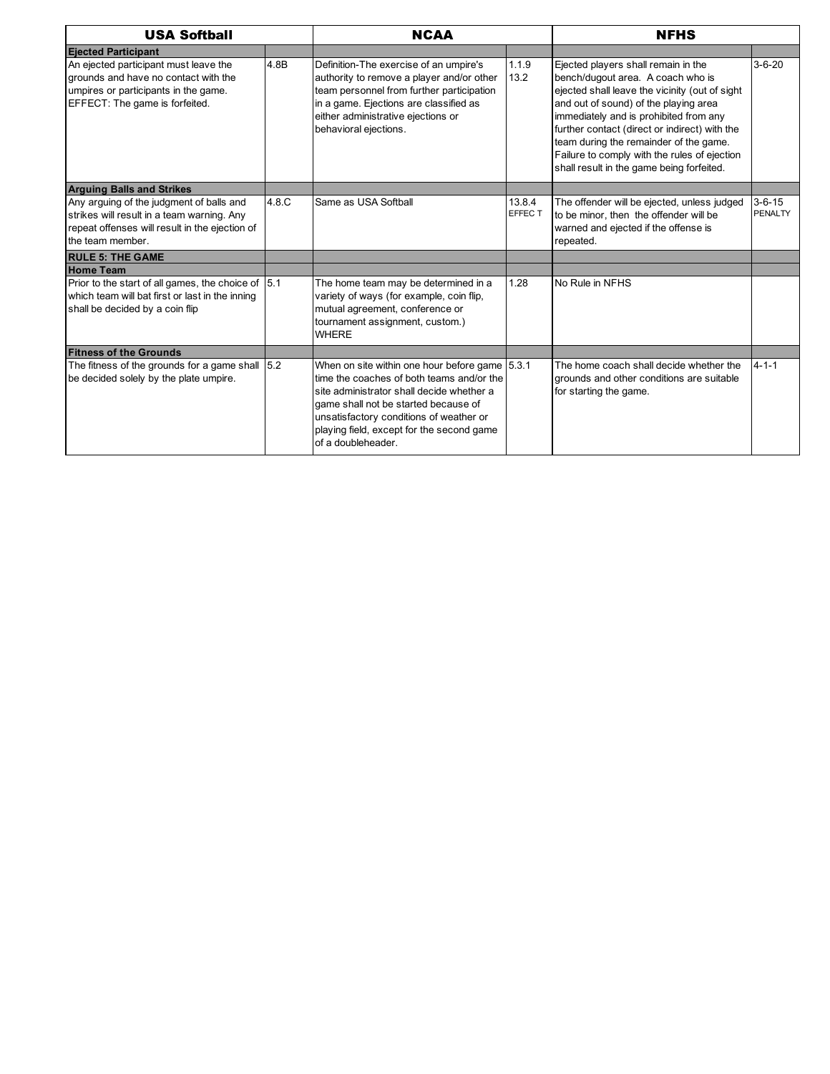| <b>USA Softball</b>                                                                                                                                          |       | <b>NCAA</b>                                                                                                                                                                                                                                                                                    |                   | <b>NFHS</b>                                                                                                                                                                                                                                                                                                                                                                                           |                                |  |
|--------------------------------------------------------------------------------------------------------------------------------------------------------------|-------|------------------------------------------------------------------------------------------------------------------------------------------------------------------------------------------------------------------------------------------------------------------------------------------------|-------------------|-------------------------------------------------------------------------------------------------------------------------------------------------------------------------------------------------------------------------------------------------------------------------------------------------------------------------------------------------------------------------------------------------------|--------------------------------|--|
| <b>Ejected Participant</b>                                                                                                                                   |       |                                                                                                                                                                                                                                                                                                |                   |                                                                                                                                                                                                                                                                                                                                                                                                       |                                |  |
| An ejected participant must leave the<br>grounds and have no contact with the<br>umpires or participants in the game.<br>EFFECT: The game is forfeited.      | 4.8B  | Definition-The exercise of an umpire's<br>authority to remove a player and/or other<br>team personnel from further participation<br>in a game. Ejections are classified as<br>either administrative ejections or<br>behavioral ejections.                                                      | 1.1.9<br>13.2     | Ejected players shall remain in the<br>bench/dugout area. A coach who is<br>ejected shall leave the vicinity (out of sight<br>and out of sound) of the playing area<br>immediately and is prohibited from any<br>further contact (direct or indirect) with the<br>team during the remainder of the game.<br>Failure to comply with the rules of ejection<br>shall result in the game being forfeited. | $3 - 6 - 20$                   |  |
| <b>Arguing Balls and Strikes</b>                                                                                                                             |       |                                                                                                                                                                                                                                                                                                |                   |                                                                                                                                                                                                                                                                                                                                                                                                       |                                |  |
| Any arguing of the judgment of balls and<br>strikes will result in a team warning. Any<br>repeat offenses will result in the ejection of<br>the team member. | 4.8.C | Same as USA Softball                                                                                                                                                                                                                                                                           | 13.8.4<br>EFFEC T | The offender will be ejected, unless judged<br>to be minor, then the offender will be<br>warned and ejected if the offense is<br>repeated.                                                                                                                                                                                                                                                            | $3 - 6 - 15$<br><b>PENALTY</b> |  |
| <b>RULE 5: THE GAME</b>                                                                                                                                      |       |                                                                                                                                                                                                                                                                                                |                   |                                                                                                                                                                                                                                                                                                                                                                                                       |                                |  |
| <b>Home Team</b>                                                                                                                                             |       |                                                                                                                                                                                                                                                                                                |                   |                                                                                                                                                                                                                                                                                                                                                                                                       |                                |  |
| Prior to the start of all games, the choice of 5.1<br>which team will bat first or last in the inning<br>shall be decided by a coin flip                     |       | The home team may be determined in a<br>variety of ways (for example, coin flip,<br>mutual agreement, conference or<br>tournament assignment, custom.)<br><b>WHERE</b>                                                                                                                         | 1.28              | No Rule in NFHS                                                                                                                                                                                                                                                                                                                                                                                       |                                |  |
| <b>Fitness of the Grounds</b>                                                                                                                                |       |                                                                                                                                                                                                                                                                                                |                   |                                                                                                                                                                                                                                                                                                                                                                                                       |                                |  |
| The fitness of the grounds for a game shall $ 5.2 $<br>be decided solely by the plate umpire.                                                                |       | When on site within one hour before game 5.3.1<br>time the coaches of both teams and/or the<br>site administrator shall decide whether a<br>game shall not be started because of<br>unsatisfactory conditions of weather or<br>playing field, except for the second game<br>of a doubleheader. |                   | The home coach shall decide whether the<br>grounds and other conditions are suitable<br>for starting the game.                                                                                                                                                                                                                                                                                        | $4 - 1 - 1$                    |  |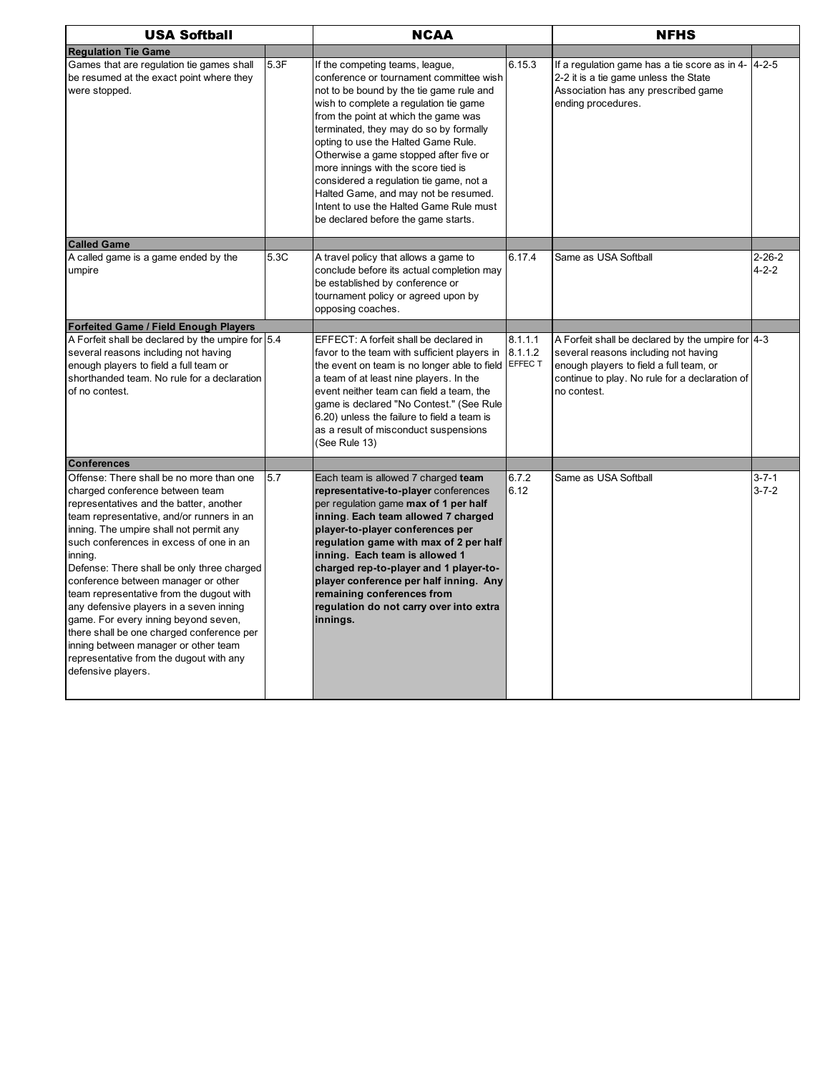| <b>USA Softball</b>                                                                                                                                                                                                                                                                                                                                                                                                                                                                                                                                                                                                                            |      | <b>NCAA</b>                                                                                                                                                                                                                                                                                                                                                                                                                                                                                                                                     |                    | <b>NFHS</b>                                                                                                                                                                                           |                             |
|------------------------------------------------------------------------------------------------------------------------------------------------------------------------------------------------------------------------------------------------------------------------------------------------------------------------------------------------------------------------------------------------------------------------------------------------------------------------------------------------------------------------------------------------------------------------------------------------------------------------------------------------|------|-------------------------------------------------------------------------------------------------------------------------------------------------------------------------------------------------------------------------------------------------------------------------------------------------------------------------------------------------------------------------------------------------------------------------------------------------------------------------------------------------------------------------------------------------|--------------------|-------------------------------------------------------------------------------------------------------------------------------------------------------------------------------------------------------|-----------------------------|
| <b>Requlation Tie Game</b>                                                                                                                                                                                                                                                                                                                                                                                                                                                                                                                                                                                                                     |      |                                                                                                                                                                                                                                                                                                                                                                                                                                                                                                                                                 |                    |                                                                                                                                                                                                       |                             |
| Games that are regulation tie games shall<br>be resumed at the exact point where they<br>were stopped.                                                                                                                                                                                                                                                                                                                                                                                                                                                                                                                                         | 5.3F | If the competing teams, league,<br>conference or tournament committee wish<br>not to be bound by the tie game rule and<br>wish to complete a regulation tie game<br>from the point at which the game was<br>terminated, they may do so by formally<br>opting to use the Halted Game Rule.<br>Otherwise a game stopped after five or<br>more innings with the score tied is<br>considered a regulation tie game, not a<br>Halted Game, and may not be resumed.<br>Intent to use the Halted Game Rule must<br>be declared before the game starts. | 6.15.3             | If a regulation game has a tie score as in $4 - 4 - 2 - 5$<br>2-2 it is a tie game unless the State<br>Association has any prescribed game<br>ending procedures.                                      |                             |
| <b>Called Game</b>                                                                                                                                                                                                                                                                                                                                                                                                                                                                                                                                                                                                                             |      |                                                                                                                                                                                                                                                                                                                                                                                                                                                                                                                                                 |                    |                                                                                                                                                                                                       |                             |
| A called game is a game ended by the<br>umpire                                                                                                                                                                                                                                                                                                                                                                                                                                                                                                                                                                                                 | 5.3C | A travel policy that allows a game to<br>conclude before its actual completion may<br>be established by conference or<br>tournament policy or agreed upon by<br>opposing coaches.                                                                                                                                                                                                                                                                                                                                                               | 6.17.4             | Same as USA Softball                                                                                                                                                                                  | $2 - 26 - 2$<br>$4 - 2 - 2$ |
| <b>Forfeited Game / Field Enough Players</b>                                                                                                                                                                                                                                                                                                                                                                                                                                                                                                                                                                                                   |      |                                                                                                                                                                                                                                                                                                                                                                                                                                                                                                                                                 |                    |                                                                                                                                                                                                       |                             |
| A Forfeit shall be declared by the umpire for 5.4<br>several reasons including not having<br>enough players to field a full team or<br>shorthanded team. No rule for a declaration<br>of no contest.                                                                                                                                                                                                                                                                                                                                                                                                                                           |      | EFFECT: A forfeit shall be declared in<br>favor to the team with sufficient players in<br>the event on team is no longer able to field EFFEC T<br>a team of at least nine players. In the<br>event neither team can field a team, the<br>game is declared "No Contest." (See Rule<br>6.20) unless the failure to field a team is<br>as a result of misconduct suspensions<br>(See Rule 13)                                                                                                                                                      | 8.1.1.1<br>8.1.1.2 | A Forfeit shall be declared by the umpire for 4-3<br>several reasons including not having<br>enough players to field a full team, or<br>continue to play. No rule for a declaration of<br>no contest. |                             |
| <b>Conferences</b>                                                                                                                                                                                                                                                                                                                                                                                                                                                                                                                                                                                                                             |      |                                                                                                                                                                                                                                                                                                                                                                                                                                                                                                                                                 |                    |                                                                                                                                                                                                       |                             |
| Offense: There shall be no more than one<br>charged conference between team<br>representatives and the batter, another<br>team representative, and/or runners in an<br>inning. The umpire shall not permit any<br>such conferences in excess of one in an<br>inning.<br>Defense: There shall be only three charged<br>conference between manager or other<br>team representative from the dugout with<br>any defensive players in a seven inning<br>game. For every inning beyond seven,<br>there shall be one charged conference per<br>inning between manager or other team<br>representative from the dugout with any<br>defensive players. | 5.7  | Each team is allowed 7 charged team<br>representative-to-player conferences<br>per regulation game max of 1 per half<br>inning. Each team allowed 7 charged<br>player-to-player conferences per<br>regulation game with max of 2 per half<br>inning. Each team is allowed 1<br>charged rep-to-player and 1 player-to-<br>player conference per half inning. Any<br>remaining conferences from<br>regulation do not carry over into extra<br>innings.                                                                                            | 6.7.2<br>6.12      | Same as USA Softball                                                                                                                                                                                  | $3 - 7 - 1$<br>$3 - 7 - 2$  |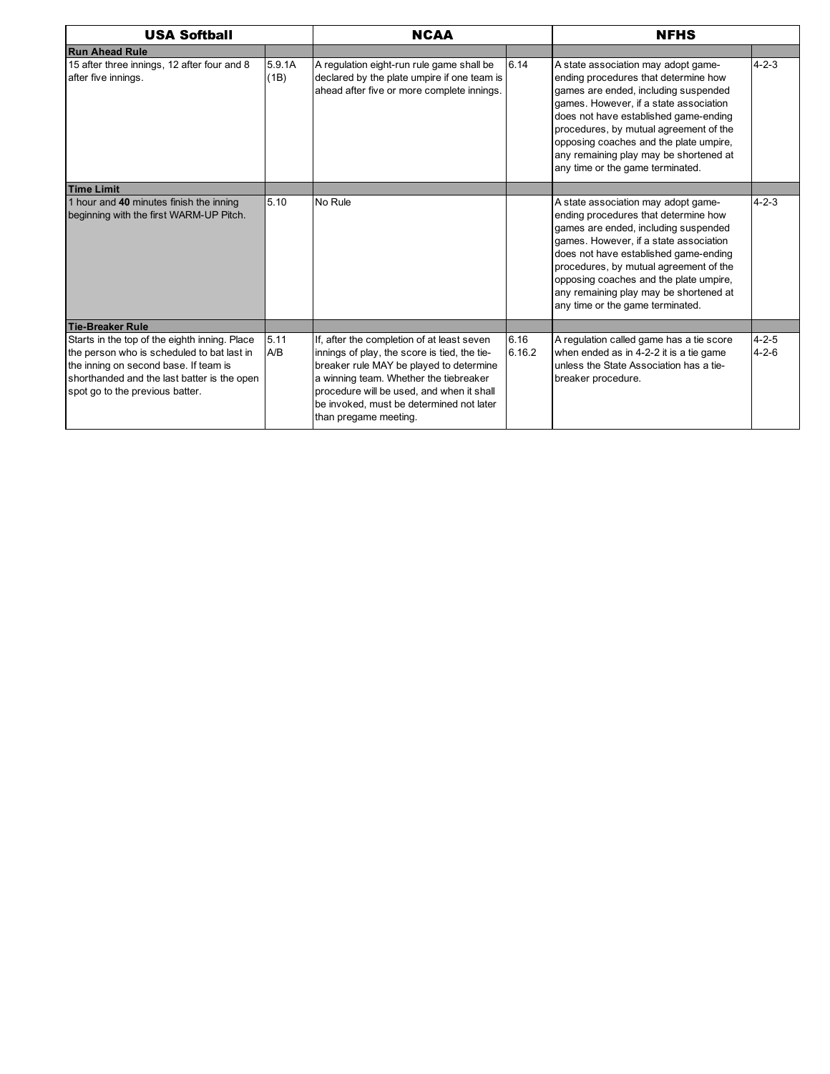| <b>USA Softball</b>                                                                                                                                                                                                    |                | <b>NCAA</b>                                                                                                                                                                                                                                                                                       |                | <b>NFHS</b>                                                                                                                                                                                                                                                                                                                                                              |                            |  |
|------------------------------------------------------------------------------------------------------------------------------------------------------------------------------------------------------------------------|----------------|---------------------------------------------------------------------------------------------------------------------------------------------------------------------------------------------------------------------------------------------------------------------------------------------------|----------------|--------------------------------------------------------------------------------------------------------------------------------------------------------------------------------------------------------------------------------------------------------------------------------------------------------------------------------------------------------------------------|----------------------------|--|
| <b>Run Ahead Rule</b>                                                                                                                                                                                                  |                |                                                                                                                                                                                                                                                                                                   |                |                                                                                                                                                                                                                                                                                                                                                                          |                            |  |
| 15 after three innings, 12 after four and 8<br>after five innings.                                                                                                                                                     | 5.9.1A<br>(1B) | A regulation eight-run rule game shall be<br>declared by the plate umpire if one team is<br>ahead after five or more complete innings.                                                                                                                                                            | 6.14           | A state association may adopt game-<br>ending procedures that determine how<br>games are ended, including suspended<br>games. However, if a state association<br>does not have established game-ending<br>procedures, by mutual agreement of the<br>opposing coaches and the plate umpire,<br>any remaining play may be shortened at<br>any time or the game terminated. | $4 - 2 - 3$                |  |
| <b>Time Limit</b>                                                                                                                                                                                                      |                |                                                                                                                                                                                                                                                                                                   |                |                                                                                                                                                                                                                                                                                                                                                                          |                            |  |
| 1 hour and 40 minutes finish the inning<br>beginning with the first WARM-UP Pitch.                                                                                                                                     | 5.10           | No Rule                                                                                                                                                                                                                                                                                           |                | A state association may adopt game-<br>ending procedures that determine how<br>games are ended, including suspended<br>games. However, if a state association<br>does not have established game-ending<br>procedures, by mutual agreement of the<br>opposing coaches and the plate umpire,<br>any remaining play may be shortened at<br>any time or the game terminated. | $4 - 2 - 3$                |  |
| <b>Tie-Breaker Rule</b>                                                                                                                                                                                                |                |                                                                                                                                                                                                                                                                                                   |                |                                                                                                                                                                                                                                                                                                                                                                          |                            |  |
| Starts in the top of the eighth inning. Place<br>the person who is scheduled to bat last in<br>the inning on second base. If team is<br>shorthanded and the last batter is the open<br>spot go to the previous batter. | 5.11<br>A/B    | If, after the completion of at least seven<br>innings of play, the score is tied, the tie-<br>breaker rule MAY be played to determine<br>a winning team. Whether the tiebreaker<br>procedure will be used, and when it shall<br>be invoked, must be determined not later<br>than pregame meeting. | 6.16<br>6.16.2 | A regulation called game has a tie score<br>when ended as in 4-2-2 it is a tie game<br>unless the State Association has a tie-<br>breaker procedure.                                                                                                                                                                                                                     | $4 - 2 - 5$<br>$4 - 2 - 6$ |  |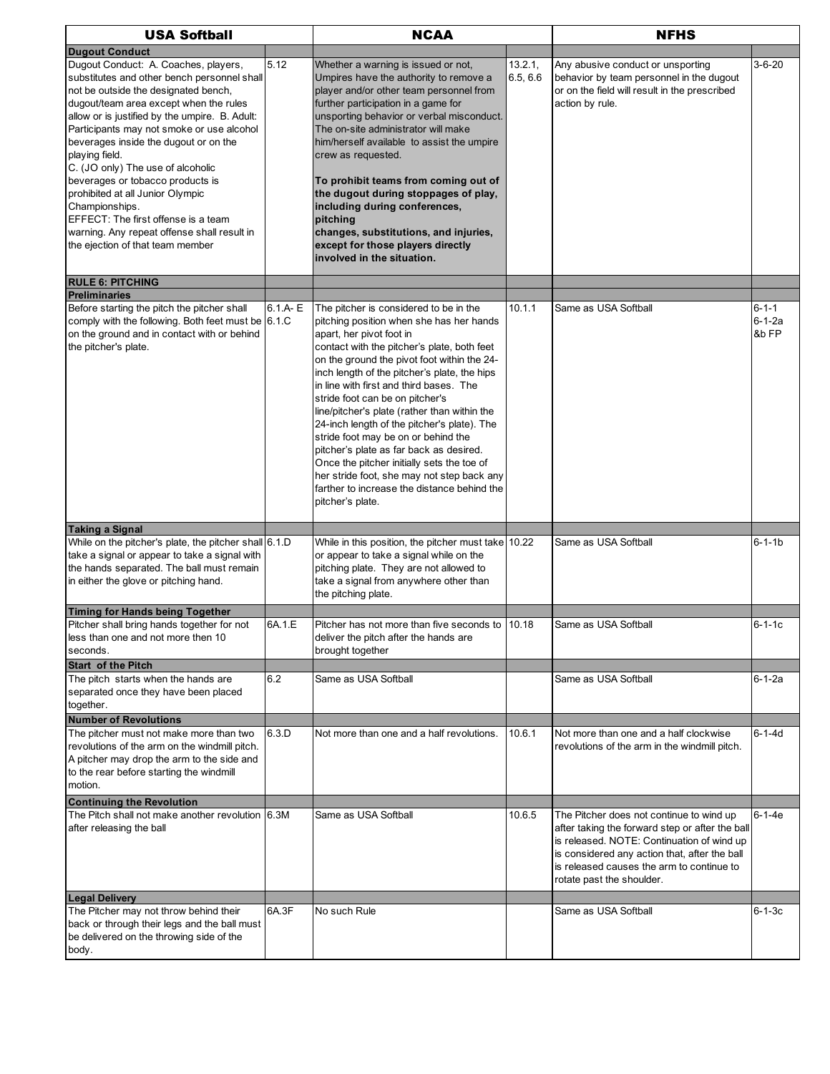| <b>USA Softball</b>                                                                                                                                                                                                                                                                                                                                                                                                                                                                                                                                                                      |             | <b>NCAA</b>                                                                                                                                                                                                                                                                                                                                                                                                                                                                                                                                                                                                                                                                                |                     | <b>NFHS</b>                                                                                                                                                                                                                                                          |                                      |  |
|------------------------------------------------------------------------------------------------------------------------------------------------------------------------------------------------------------------------------------------------------------------------------------------------------------------------------------------------------------------------------------------------------------------------------------------------------------------------------------------------------------------------------------------------------------------------------------------|-------------|--------------------------------------------------------------------------------------------------------------------------------------------------------------------------------------------------------------------------------------------------------------------------------------------------------------------------------------------------------------------------------------------------------------------------------------------------------------------------------------------------------------------------------------------------------------------------------------------------------------------------------------------------------------------------------------------|---------------------|----------------------------------------------------------------------------------------------------------------------------------------------------------------------------------------------------------------------------------------------------------------------|--------------------------------------|--|
| <b>Dugout Conduct</b>                                                                                                                                                                                                                                                                                                                                                                                                                                                                                                                                                                    |             |                                                                                                                                                                                                                                                                                                                                                                                                                                                                                                                                                                                                                                                                                            |                     |                                                                                                                                                                                                                                                                      |                                      |  |
| Dugout Conduct: A. Coaches, players,<br>substitutes and other bench personnel shall<br>not be outside the designated bench,<br>dugout/team area except when the rules<br>allow or is justified by the umpire. B. Adult:<br>Participants may not smoke or use alcohol<br>beverages inside the dugout or on the<br>playing field.<br>C. (JO only) The use of alcoholic<br>beverages or tobacco products is<br>prohibited at all Junior Olympic<br>Championships.<br>EFFECT: The first offense is a team<br>warning. Any repeat offense shall result in<br>the ejection of that team member | 5.12        | Whether a warning is issued or not,<br>Umpires have the authority to remove a<br>player and/or other team personnel from<br>further participation in a game for<br>unsporting behavior or verbal misconduct.<br>The on-site administrator will make<br>him/herself available to assist the umpire<br>crew as requested.<br>To prohibit teams from coming out of<br>the dugout during stoppages of play,<br>including during conferences,<br>pitching<br>changes, substitutions, and injuries,<br>except for those players directly<br>involved in the situation.                                                                                                                           | 13.2.1,<br>6.5, 6.6 | Any abusive conduct or unsporting<br>behavior by team personnel in the dugout<br>or on the field will result in the prescribed<br>action by rule.                                                                                                                    | $3 - 6 - 20$                         |  |
| <b>RULE 6: PITCHING</b>                                                                                                                                                                                                                                                                                                                                                                                                                                                                                                                                                                  |             |                                                                                                                                                                                                                                                                                                                                                                                                                                                                                                                                                                                                                                                                                            |                     |                                                                                                                                                                                                                                                                      |                                      |  |
| <b>Preliminaries</b><br>Before starting the pitch the pitcher shall<br>comply with the following. Both feet must be 6.1.C<br>on the ground and in contact with or behind<br>the pitcher's plate.                                                                                                                                                                                                                                                                                                                                                                                         | $6.1.A - E$ | The pitcher is considered to be in the<br>pitching position when she has her hands<br>apart, her pivot foot in<br>contact with the pitcher's plate, both feet<br>on the ground the pivot foot within the 24-<br>inch length of the pitcher's plate, the hips<br>in line with first and third bases. The<br>stride foot can be on pitcher's<br>line/pitcher's plate (rather than within the<br>24-inch length of the pitcher's plate). The<br>stride foot may be on or behind the<br>pitcher's plate as far back as desired.<br>Once the pitcher initially sets the toe of<br>her stride foot, she may not step back any<br>farther to increase the distance behind the<br>pitcher's plate. | 10.1.1              | Same as USA Softball                                                                                                                                                                                                                                                 | $6 - 1 - 1$<br>$6 - 1 - 2a$<br>&b FP |  |
|                                                                                                                                                                                                                                                                                                                                                                                                                                                                                                                                                                                          |             |                                                                                                                                                                                                                                                                                                                                                                                                                                                                                                                                                                                                                                                                                            |                     |                                                                                                                                                                                                                                                                      |                                      |  |
| <b>Taking a Signal</b><br>While on the pitcher's plate, the pitcher shall 6.1.D<br>take a signal or appear to take a signal with<br>the hands separated. The ball must remain<br>in either the glove or pitching hand.                                                                                                                                                                                                                                                                                                                                                                   |             | While in this position, the pitcher must take 10.22<br>or appear to take a signal while on the<br>pitching plate. They are not allowed to<br>take a signal from anywhere other than<br>the pitching plate.                                                                                                                                                                                                                                                                                                                                                                                                                                                                                 |                     | Same as USA Softball                                                                                                                                                                                                                                                 | $6 - 1 - 1b$                         |  |
| <b>Timing for Hands being Together</b>                                                                                                                                                                                                                                                                                                                                                                                                                                                                                                                                                   |             |                                                                                                                                                                                                                                                                                                                                                                                                                                                                                                                                                                                                                                                                                            |                     |                                                                                                                                                                                                                                                                      |                                      |  |
| Pitcher shall bring hands together for not<br>less than one and not more then 10<br>seconds.<br>Start of the Pitch                                                                                                                                                                                                                                                                                                                                                                                                                                                                       | 6A.1.E      | Pitcher has not more than five seconds to 10.18<br>deliver the pitch after the hands are<br>brought together                                                                                                                                                                                                                                                                                                                                                                                                                                                                                                                                                                               |                     | Same as USA Softball                                                                                                                                                                                                                                                 | $6 - 1 - 1c$                         |  |
| The pitch starts when the hands are<br>separated once they have been placed<br>together.                                                                                                                                                                                                                                                                                                                                                                                                                                                                                                 | 6.2         | Same as USA Softball                                                                                                                                                                                                                                                                                                                                                                                                                                                                                                                                                                                                                                                                       |                     | Same as USA Softball                                                                                                                                                                                                                                                 | 6-1-2a                               |  |
| <b>Number of Revolutions</b><br>The pitcher must not make more than two<br>revolutions of the arm on the windmill pitch.<br>A pitcher may drop the arm to the side and<br>to the rear before starting the windmill<br>motion.                                                                                                                                                                                                                                                                                                                                                            | 6.3.D       | Not more than one and a half revolutions.                                                                                                                                                                                                                                                                                                                                                                                                                                                                                                                                                                                                                                                  | 10.6.1              | Not more than one and a half clockwise<br>revolutions of the arm in the windmill pitch.                                                                                                                                                                              | $6 - 1 - 4d$                         |  |
| <b>Continuing the Revolution</b>                                                                                                                                                                                                                                                                                                                                                                                                                                                                                                                                                         |             |                                                                                                                                                                                                                                                                                                                                                                                                                                                                                                                                                                                                                                                                                            |                     |                                                                                                                                                                                                                                                                      |                                      |  |
| The Pitch shall not make another revolution 6.3M<br>after releasing the ball                                                                                                                                                                                                                                                                                                                                                                                                                                                                                                             |             | Same as USA Softball                                                                                                                                                                                                                                                                                                                                                                                                                                                                                                                                                                                                                                                                       | 10.6.5              | The Pitcher does not continue to wind up<br>after taking the forward step or after the ball<br>is released. NOTE: Continuation of wind up<br>is considered any action that, after the ball<br>is released causes the arm to continue to<br>rotate past the shoulder. | $6 - 1 - 4e$                         |  |
| <b>Legal Delivery</b><br>The Pitcher may not throw behind their                                                                                                                                                                                                                                                                                                                                                                                                                                                                                                                          | 6A.3F       | No such Rule                                                                                                                                                                                                                                                                                                                                                                                                                                                                                                                                                                                                                                                                               |                     | Same as USA Softball                                                                                                                                                                                                                                                 | $6 - 1 - 3c$                         |  |
| back or through their legs and the ball must<br>be delivered on the throwing side of the<br>body.                                                                                                                                                                                                                                                                                                                                                                                                                                                                                        |             |                                                                                                                                                                                                                                                                                                                                                                                                                                                                                                                                                                                                                                                                                            |                     |                                                                                                                                                                                                                                                                      |                                      |  |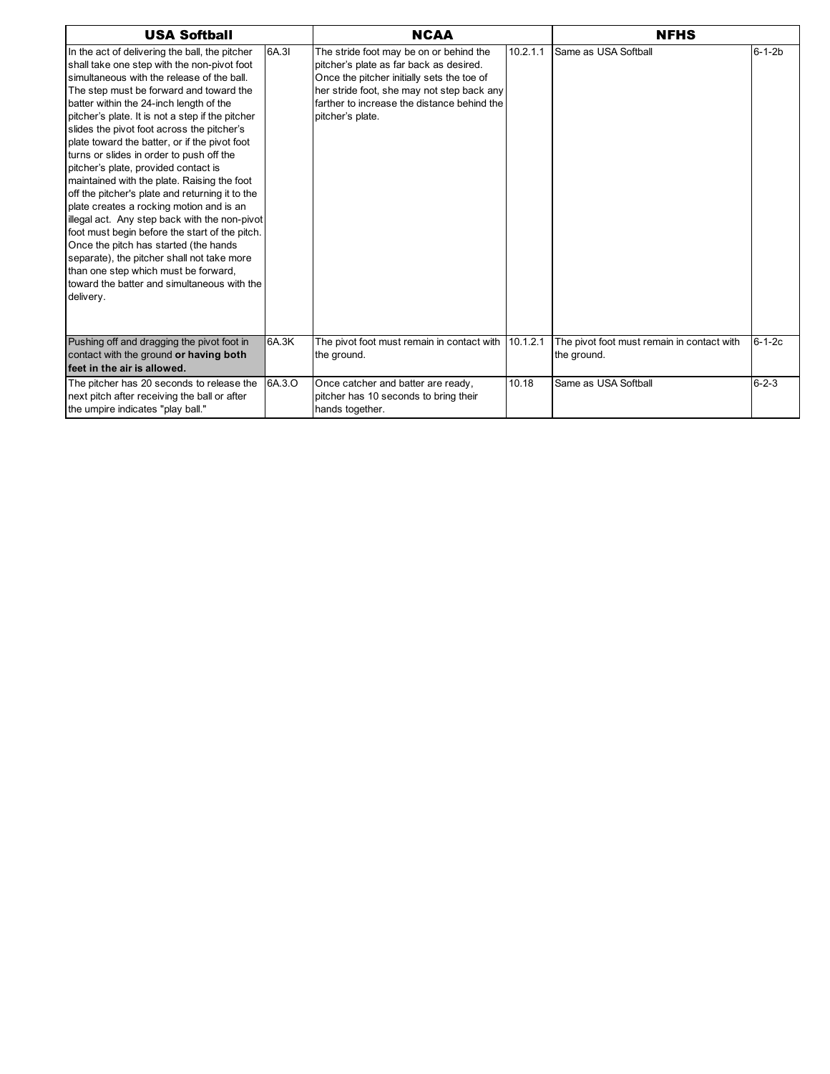| <b>USA Softball</b>                                                                                                                                                                                                                                                                                                                                                                                                                                                                                                                                                                                                                                                                                                                                                                                                                                                                                                  |        | <b>NCAA</b>                                                                                                                                                                                                                                       |          | <b>NFHS</b>                                               |              |
|----------------------------------------------------------------------------------------------------------------------------------------------------------------------------------------------------------------------------------------------------------------------------------------------------------------------------------------------------------------------------------------------------------------------------------------------------------------------------------------------------------------------------------------------------------------------------------------------------------------------------------------------------------------------------------------------------------------------------------------------------------------------------------------------------------------------------------------------------------------------------------------------------------------------|--------|---------------------------------------------------------------------------------------------------------------------------------------------------------------------------------------------------------------------------------------------------|----------|-----------------------------------------------------------|--------------|
| In the act of delivering the ball, the pitcher<br>shall take one step with the non-pivot foot<br>simultaneous with the release of the ball.<br>The step must be forward and toward the<br>batter within the 24-inch length of the<br>pitcher's plate. It is not a step if the pitcher<br>slides the pivot foot across the pitcher's<br>plate toward the batter, or if the pivot foot<br>turns or slides in order to push off the<br>pitcher's plate, provided contact is<br>maintained with the plate. Raising the foot<br>off the pitcher's plate and returning it to the<br>plate creates a rocking motion and is an<br>illegal act. Any step back with the non-pivot<br>foot must begin before the start of the pitch.<br>Once the pitch has started (the hands<br>separate), the pitcher shall not take more<br>than one step which must be forward,<br>toward the batter and simultaneous with the<br>delivery. | 6A.3I  | The stride foot may be on or behind the<br>pitcher's plate as far back as desired.<br>Once the pitcher initially sets the toe of<br>her stride foot, she may not step back any<br>farther to increase the distance behind the<br>pitcher's plate. | 10.2.1.1 | Same as USA Softball                                      | $6 - 1 - 2b$ |
| Pushing off and dragging the pivot foot in<br>contact with the ground or having both<br>feet in the air is allowed.                                                                                                                                                                                                                                                                                                                                                                                                                                                                                                                                                                                                                                                                                                                                                                                                  | 6A.3K  | The pivot foot must remain in contact with 10.1.2.1<br>the ground.                                                                                                                                                                                |          | The pivot foot must remain in contact with<br>the ground. | $6 - 1 - 2c$ |
| The pitcher has 20 seconds to release the<br>next pitch after receiving the ball or after<br>the umpire indicates "play ball."                                                                                                                                                                                                                                                                                                                                                                                                                                                                                                                                                                                                                                                                                                                                                                                       | 6A.3.O | Once catcher and batter are ready,<br>pitcher has 10 seconds to bring their<br>hands together.                                                                                                                                                    | 10.18    | Same as USA Softball                                      | $6 - 2 - 3$  |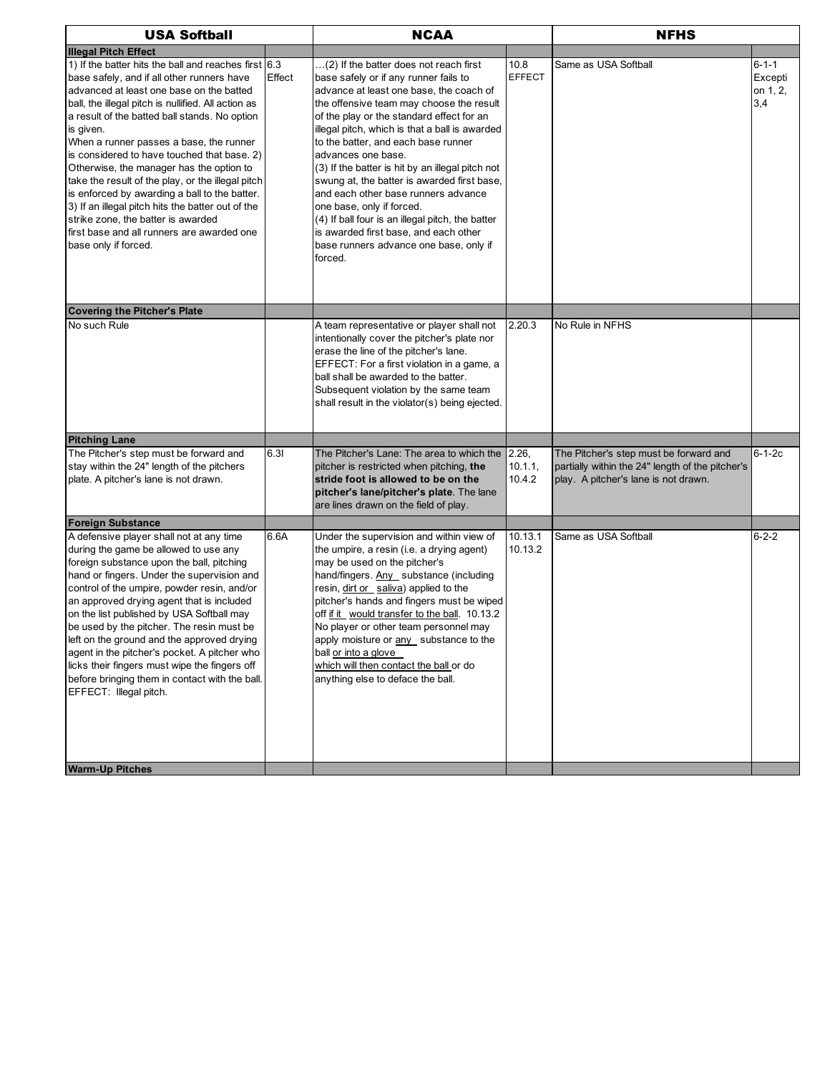| <b>USA Softball</b>                                                                                                                                                                                                                                                                                                                                                                                                                                                                                                                                                                                                                                                                |        | <b>NCAA</b>                                                                                                                                                                                                                                                                                                                                                                                                                                                                                                                                                                                                                                                 | <b>NFHS</b>           |                                                                                                                                    |                                           |
|------------------------------------------------------------------------------------------------------------------------------------------------------------------------------------------------------------------------------------------------------------------------------------------------------------------------------------------------------------------------------------------------------------------------------------------------------------------------------------------------------------------------------------------------------------------------------------------------------------------------------------------------------------------------------------|--------|-------------------------------------------------------------------------------------------------------------------------------------------------------------------------------------------------------------------------------------------------------------------------------------------------------------------------------------------------------------------------------------------------------------------------------------------------------------------------------------------------------------------------------------------------------------------------------------------------------------------------------------------------------------|-----------------------|------------------------------------------------------------------------------------------------------------------------------------|-------------------------------------------|
| <b>Illegal Pitch Effect</b>                                                                                                                                                                                                                                                                                                                                                                                                                                                                                                                                                                                                                                                        |        |                                                                                                                                                                                                                                                                                                                                                                                                                                                                                                                                                                                                                                                             |                       |                                                                                                                                    |                                           |
| 1) If the batter hits the ball and reaches first $6.3$<br>base safely, and if all other runners have<br>advanced at least one base on the batted<br>ball, the illegal pitch is nullified. All action as<br>a result of the batted ball stands. No option<br>is given.<br>When a runner passes a base, the runner<br>is considered to have touched that base. 2)<br>Otherwise, the manager has the option to<br>take the result of the play, or the illegal pitch<br>is enforced by awarding a ball to the batter.<br>3) If an illegal pitch hits the batter out of the<br>strike zone, the batter is awarded<br>first base and all runners are awarded one<br>base only if forced. | Effect | (2) If the batter does not reach first<br>base safely or if any runner fails to<br>advance at least one base, the coach of<br>the offensive team may choose the result<br>of the play or the standard effect for an<br>illegal pitch, which is that a ball is awarded<br>to the batter, and each base runner<br>advances one base.<br>(3) If the batter is hit by an illegal pitch not<br>swung at, the batter is awarded first base,<br>and each other base runners advance<br>one base, only if forced.<br>(4) If ball four is an illegal pitch, the batter<br>is awarded first base, and each other<br>base runners advance one base, only if<br>forced. | 10.8<br><b>EFFECT</b> | Same as USA Softball                                                                                                               | $6 - 1 - 1$<br>Excepti<br>on 1, 2,<br>3,4 |
| <b>Covering the Pitcher's Plate</b>                                                                                                                                                                                                                                                                                                                                                                                                                                                                                                                                                                                                                                                |        |                                                                                                                                                                                                                                                                                                                                                                                                                                                                                                                                                                                                                                                             |                       |                                                                                                                                    |                                           |
| No such Rule                                                                                                                                                                                                                                                                                                                                                                                                                                                                                                                                                                                                                                                                       |        | A team representative or player shall not<br>intentionally cover the pitcher's plate nor<br>erase the line of the pitcher's lane.<br>EFFECT: For a first violation in a game, a<br>ball shall be awarded to the batter.<br>Subsequent violation by the same team<br>shall result in the violator(s) being ejected.                                                                                                                                                                                                                                                                                                                                          | 2.20.3                | No Rule in NFHS                                                                                                                    |                                           |
| <b>Pitching Lane</b>                                                                                                                                                                                                                                                                                                                                                                                                                                                                                                                                                                                                                                                               |        |                                                                                                                                                                                                                                                                                                                                                                                                                                                                                                                                                                                                                                                             |                       |                                                                                                                                    |                                           |
| The Pitcher's step must be forward and<br>stay within the 24" length of the pitchers<br>plate. A pitcher's lane is not drawn.                                                                                                                                                                                                                                                                                                                                                                                                                                                                                                                                                      | 6.31   | The Pitcher's Lane: The area to which the 2.26,<br>pitcher is restricted when pitching, the<br>stride foot is allowed to be on the<br>pitcher's lane/pitcher's plate. The lane<br>are lines drawn on the field of play.                                                                                                                                                                                                                                                                                                                                                                                                                                     | 10.1.1,<br>10.4.2     | The Pitcher's step must be forward and<br>partially within the 24" length of the pitcher's<br>play. A pitcher's lane is not drawn. | $6 - 1 - 2c$                              |
| <b>Foreign Substance</b>                                                                                                                                                                                                                                                                                                                                                                                                                                                                                                                                                                                                                                                           |        |                                                                                                                                                                                                                                                                                                                                                                                                                                                                                                                                                                                                                                                             |                       |                                                                                                                                    |                                           |
| A defensive player shall not at any time<br>during the game be allowed to use any<br>foreign substance upon the ball, pitching<br>hand or fingers. Under the supervision and<br>control of the umpire, powder resin, and/or<br>an approved drying agent that is included<br>on the list published by USA Softball may<br>be used by the pitcher. The resin must be<br>left on the ground and the approved drying<br>agent in the pitcher's pocket. A pitcher who<br>licks their fingers must wipe the fingers off<br>before bringing them in contact with the ball.<br>EFFECT: Illegal pitch.                                                                                      | 6.6A   | Under the supervision and within view of<br>the umpire, a resin (i.e. a drying agent)<br>may be used on the pitcher's<br>hand/fingers. Any substance (including<br>resin, dirt or saliva) applied to the<br>pitcher's hands and fingers must be wiped<br>off if it would transfer to the ball. 10.13.2<br>No player or other team personnel may<br>apply moisture or any substance to the<br>ball or into a glove<br>which will then contact the ball or do<br>anything else to deface the ball.                                                                                                                                                            | 10.13.1<br>10.13.2    | Same as USA Softball                                                                                                               | $6 - 2 - 2$                               |
| <b>Warm-Up Pitches</b>                                                                                                                                                                                                                                                                                                                                                                                                                                                                                                                                                                                                                                                             |        |                                                                                                                                                                                                                                                                                                                                                                                                                                                                                                                                                                                                                                                             |                       |                                                                                                                                    |                                           |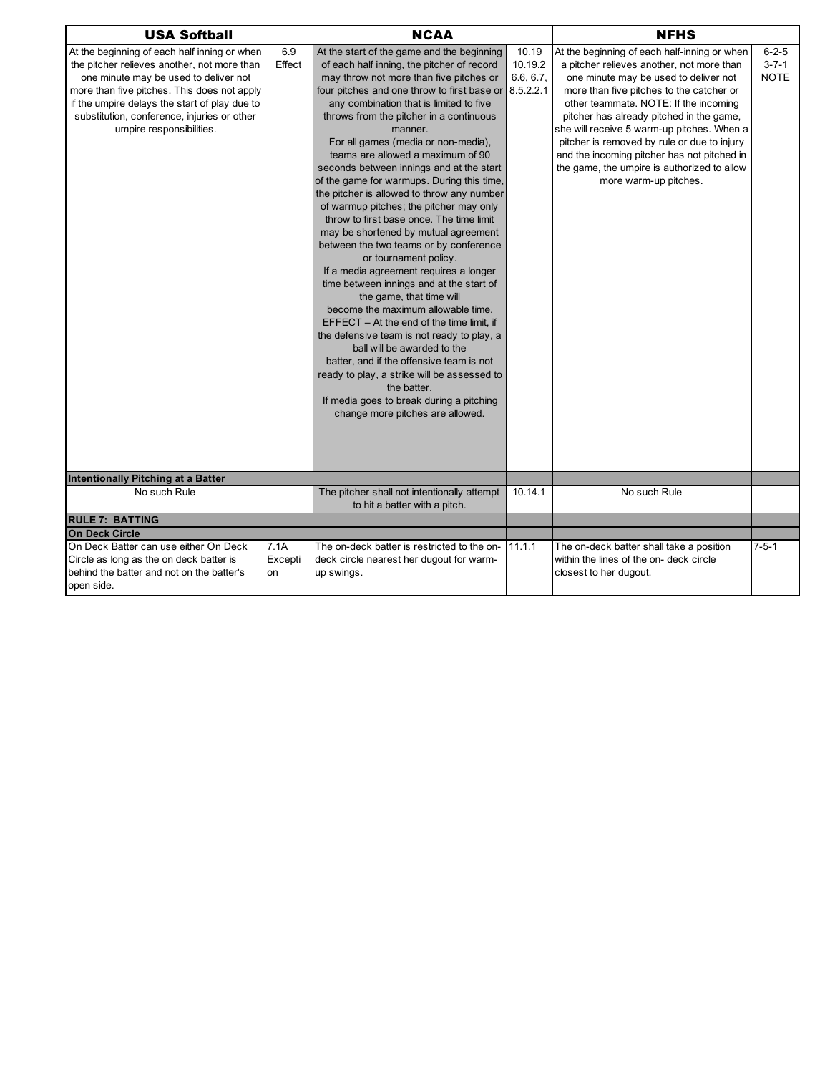| <b>USA Softball</b>                                                                                                                                                                                                                                                                                             |                       | <b>NCAA</b>                                                                                                                                                                                                                                                                                                                                                                                                                                                                                                                                                                                                                                                                                                                                                                                                                                                                                                                                                                                                                                                                                                                                                                             |                                            | <b>NFHS</b>                                                                                                                                                                                                                                                                                                                                                                                                                                                                             |                                           |
|-----------------------------------------------------------------------------------------------------------------------------------------------------------------------------------------------------------------------------------------------------------------------------------------------------------------|-----------------------|-----------------------------------------------------------------------------------------------------------------------------------------------------------------------------------------------------------------------------------------------------------------------------------------------------------------------------------------------------------------------------------------------------------------------------------------------------------------------------------------------------------------------------------------------------------------------------------------------------------------------------------------------------------------------------------------------------------------------------------------------------------------------------------------------------------------------------------------------------------------------------------------------------------------------------------------------------------------------------------------------------------------------------------------------------------------------------------------------------------------------------------------------------------------------------------------|--------------------------------------------|-----------------------------------------------------------------------------------------------------------------------------------------------------------------------------------------------------------------------------------------------------------------------------------------------------------------------------------------------------------------------------------------------------------------------------------------------------------------------------------------|-------------------------------------------|
| At the beginning of each half inning or when<br>the pitcher relieves another, not more than<br>one minute may be used to deliver not<br>more than five pitches. This does not apply<br>if the umpire delays the start of play due to<br>substitution, conference, injuries or other<br>umpire responsibilities. | 6.9<br>Effect         | At the start of the game and the beginning<br>of each half inning, the pitcher of record<br>may throw not more than five pitches or<br>four pitches and one throw to first base or<br>any combination that is limited to five<br>throws from the pitcher in a continuous<br>manner.<br>For all games (media or non-media),<br>teams are allowed a maximum of 90<br>seconds between innings and at the start<br>of the game for warmups. During this time,<br>the pitcher is allowed to throw any number<br>of warmup pitches; the pitcher may only<br>throw to first base once. The time limit<br>may be shortened by mutual agreement<br>between the two teams or by conference<br>or tournament policy.<br>If a media agreement requires a longer<br>time between innings and at the start of<br>the game, that time will<br>become the maximum allowable time.<br>$EFFECT - At the end of the time limit, if$<br>the defensive team is not ready to play, a<br>ball will be awarded to the<br>batter, and if the offensive team is not<br>ready to play, a strike will be assessed to<br>the batter.<br>If media goes to break during a pitching<br>change more pitches are allowed. | 10.19<br>10.19.2<br>6.6, 6.7,<br>8.5.2.2.1 | At the beginning of each half-inning or when<br>a pitcher relieves another, not more than<br>one minute may be used to deliver not<br>more than five pitches to the catcher or<br>other teammate. NOTE: If the incoming<br>pitcher has already pitched in the game,<br>she will receive 5 warm-up pitches. When a<br>pitcher is removed by rule or due to injury<br>and the incoming pitcher has not pitched in<br>the game, the umpire is authorized to allow<br>more warm-up pitches. | $6 - 2 - 5$<br>$3 - 7 - 1$<br><b>NOTE</b> |
| Intentionally Pitching at a Batter                                                                                                                                                                                                                                                                              |                       |                                                                                                                                                                                                                                                                                                                                                                                                                                                                                                                                                                                                                                                                                                                                                                                                                                                                                                                                                                                                                                                                                                                                                                                         |                                            |                                                                                                                                                                                                                                                                                                                                                                                                                                                                                         |                                           |
| No such Rule                                                                                                                                                                                                                                                                                                    |                       | The pitcher shall not intentionally attempt<br>to hit a batter with a pitch.                                                                                                                                                                                                                                                                                                                                                                                                                                                                                                                                                                                                                                                                                                                                                                                                                                                                                                                                                                                                                                                                                                            | 10.14.1                                    | No such Rule                                                                                                                                                                                                                                                                                                                                                                                                                                                                            |                                           |
| <b>RULE 7: BATTING</b>                                                                                                                                                                                                                                                                                          |                       |                                                                                                                                                                                                                                                                                                                                                                                                                                                                                                                                                                                                                                                                                                                                                                                                                                                                                                                                                                                                                                                                                                                                                                                         |                                            |                                                                                                                                                                                                                                                                                                                                                                                                                                                                                         |                                           |
| <b>On Deck Circle</b>                                                                                                                                                                                                                                                                                           |                       |                                                                                                                                                                                                                                                                                                                                                                                                                                                                                                                                                                                                                                                                                                                                                                                                                                                                                                                                                                                                                                                                                                                                                                                         |                                            |                                                                                                                                                                                                                                                                                                                                                                                                                                                                                         |                                           |
| On Deck Batter can use either On Deck<br>Circle as long as the on deck batter is<br>behind the batter and not on the batter's<br>open side.                                                                                                                                                                     | 7.1A<br>Excepti<br>on | The on-deck batter is restricted to the on-<br>deck circle nearest her dugout for warm-<br>up swings.                                                                                                                                                                                                                                                                                                                                                                                                                                                                                                                                                                                                                                                                                                                                                                                                                                                                                                                                                                                                                                                                                   | 11.1.1                                     | The on-deck batter shall take a position<br>within the lines of the on- deck circle<br>closest to her dugout.                                                                                                                                                                                                                                                                                                                                                                           | $7 - 5 - 1$                               |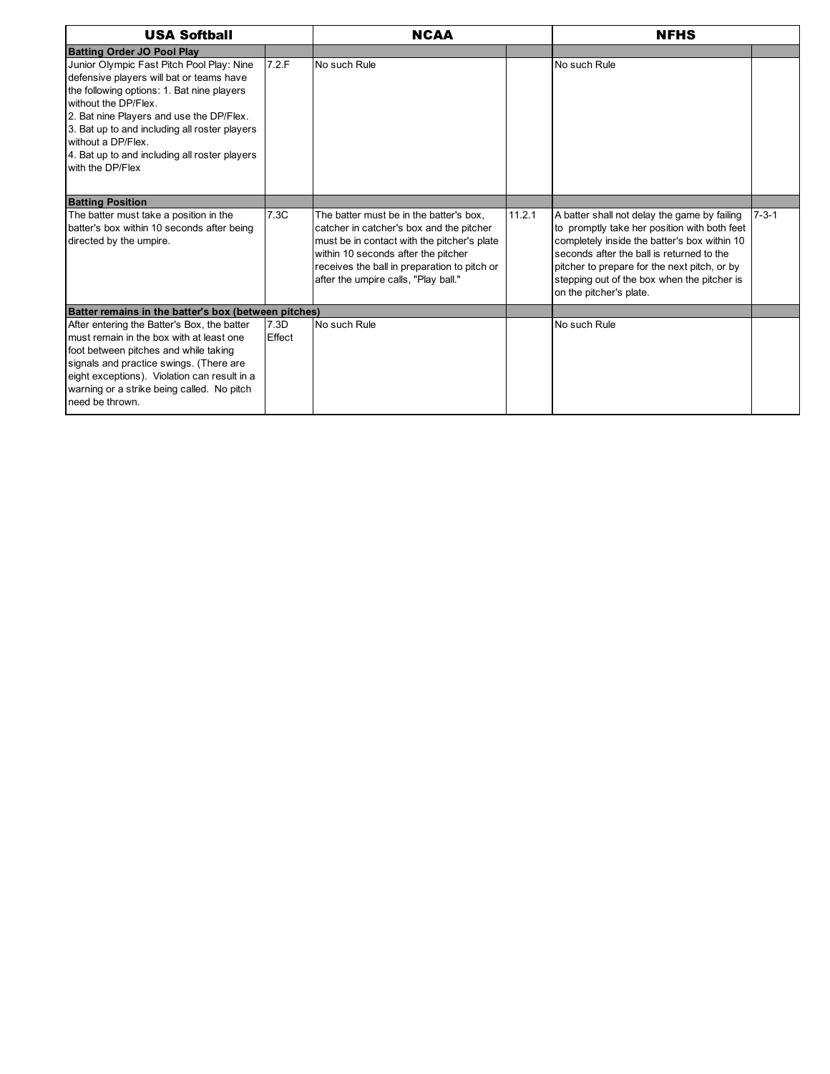| <b>USA Softball</b>                                                                                                                                                                                                                                                                                                                                 |                | <b>NCAA</b>                                                                                                                                                                                                                                                       |        | <b>NFHS</b>                                                                                                                                                                                                                                                                                                         |             |
|-----------------------------------------------------------------------------------------------------------------------------------------------------------------------------------------------------------------------------------------------------------------------------------------------------------------------------------------------------|----------------|-------------------------------------------------------------------------------------------------------------------------------------------------------------------------------------------------------------------------------------------------------------------|--------|---------------------------------------------------------------------------------------------------------------------------------------------------------------------------------------------------------------------------------------------------------------------------------------------------------------------|-------------|
| <b>Batting Order JO Pool Play</b>                                                                                                                                                                                                                                                                                                                   |                |                                                                                                                                                                                                                                                                   |        |                                                                                                                                                                                                                                                                                                                     |             |
| Junior Olympic Fast Pitch Pool Play: Nine<br>defensive players will bat or teams have<br>the following options: 1. Bat nine players<br>without the DP/Flex.<br>2. Bat nine Players and use the DP/Flex.<br>3. Bat up to and including all roster players<br>without a DP/Flex.<br>4. Bat up to and including all roster players<br>with the DP/Flex | 7.2.F          | No such Rule                                                                                                                                                                                                                                                      |        | No such Rule                                                                                                                                                                                                                                                                                                        |             |
| <b>Batting Position</b>                                                                                                                                                                                                                                                                                                                             |                |                                                                                                                                                                                                                                                                   |        |                                                                                                                                                                                                                                                                                                                     |             |
| The batter must take a position in the<br>batter's box within 10 seconds after being<br>directed by the umpire.                                                                                                                                                                                                                                     | 7.3C           | The batter must be in the batter's box,<br>catcher in catcher's box and the pitcher<br>must be in contact with the pitcher's plate<br>within 10 seconds after the pitcher<br>receives the ball in preparation to pitch or<br>after the umpire calls, "Play ball." | 11.2.1 | A batter shall not delay the game by failing<br>to promptly take her position with both feet<br>completely inside the batter's box within 10<br>seconds after the ball is returned to the<br>pitcher to prepare for the next pitch, or by<br>stepping out of the box when the pitcher is<br>on the pitcher's plate. | $7 - 3 - 1$ |
| Batter remains in the batter's box (between pitches)                                                                                                                                                                                                                                                                                                |                |                                                                                                                                                                                                                                                                   |        |                                                                                                                                                                                                                                                                                                                     |             |
| After entering the Batter's Box, the batter<br>must remain in the box with at least one<br>foot between pitches and while taking<br>signals and practice swings. (There are<br>eight exceptions). Violation can result in a<br>warning or a strike being called. No pitch<br>need be thrown.                                                        | 7.3D<br>Effect | No such Rule                                                                                                                                                                                                                                                      |        | No such Rule                                                                                                                                                                                                                                                                                                        |             |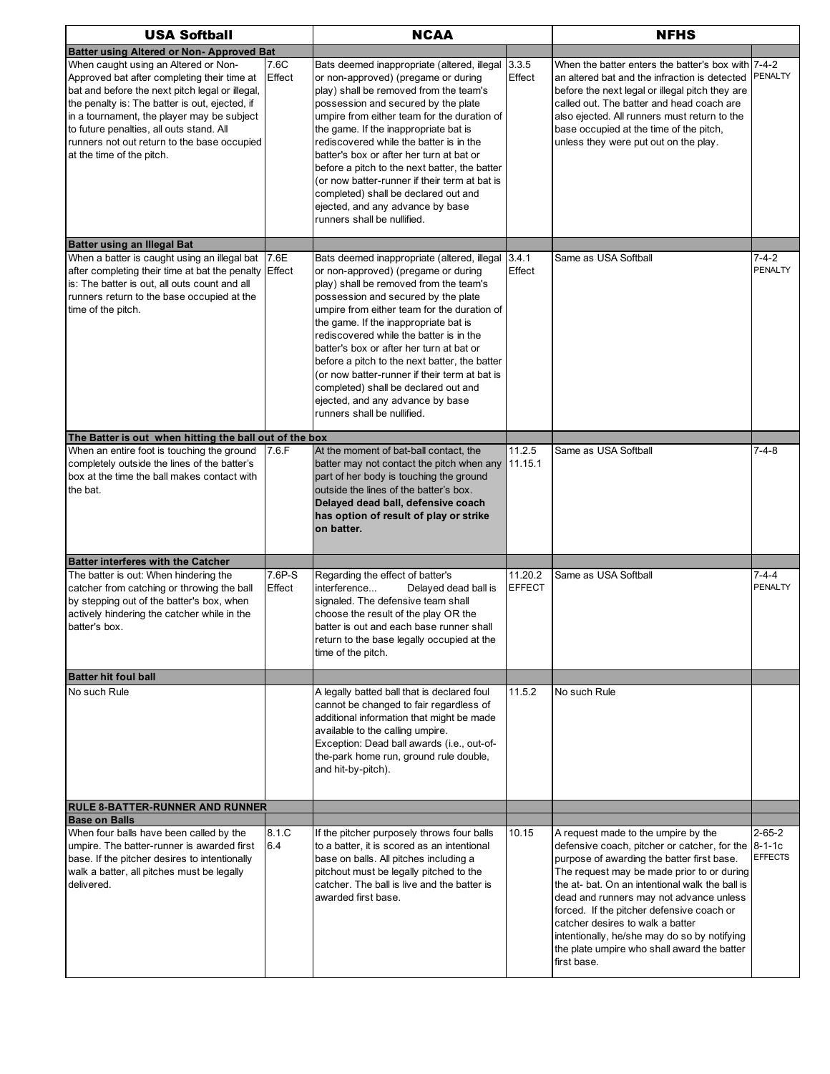| <b>USA Softball</b>                                                                                                                                                                                                                                                                                                                                            |                  | <b>NCAA</b>                                                                                                                                                                                                                                                                                                                                                                                                                                                                                                                                                           |                          | <b>NFHS</b>                                                                                                                                                                                                                                                                                                                                                                                                                                                                         |                                |
|----------------------------------------------------------------------------------------------------------------------------------------------------------------------------------------------------------------------------------------------------------------------------------------------------------------------------------------------------------------|------------------|-----------------------------------------------------------------------------------------------------------------------------------------------------------------------------------------------------------------------------------------------------------------------------------------------------------------------------------------------------------------------------------------------------------------------------------------------------------------------------------------------------------------------------------------------------------------------|--------------------------|-------------------------------------------------------------------------------------------------------------------------------------------------------------------------------------------------------------------------------------------------------------------------------------------------------------------------------------------------------------------------------------------------------------------------------------------------------------------------------------|--------------------------------|
| <b>Batter using Altered or Non- Approved Bat</b>                                                                                                                                                                                                                                                                                                               |                  |                                                                                                                                                                                                                                                                                                                                                                                                                                                                                                                                                                       |                          |                                                                                                                                                                                                                                                                                                                                                                                                                                                                                     |                                |
| When caught using an Altered or Non-<br>Approved bat after completing their time at<br>bat and before the next pitch legal or illegal,<br>the penalty is: The batter is out, ejected, if<br>in a tournament, the player may be subject<br>to future penalties, all outs stand. All<br>runners not out return to the base occupied<br>at the time of the pitch. | 7.6C<br>Effect   | Bats deemed inappropriate (altered, illegal 3.3.5<br>or non-approved) (pregame or during<br>play) shall be removed from the team's<br>possession and secured by the plate<br>umpire from either team for the duration of<br>the game. If the inappropriate bat is<br>rediscovered while the batter is in the<br>batter's box or after her turn at bat or<br>before a pitch to the next batter, the batter<br>(or now batter-runner if their term at bat is<br>completed) shall be declared out and<br>ejected, and any advance by base<br>runners shall be nullified. | Effect                   | When the batter enters the batter's box with 7-4-2<br>an altered bat and the infraction is detected<br>before the next legal or illegal pitch they are<br>called out. The batter and head coach are<br>also ejected. All runners must return to the<br>base occupied at the time of the pitch,<br>unless they were put out on the play.                                                                                                                                             | PENALTY                        |
| <b>Batter using an Illegal Bat</b>                                                                                                                                                                                                                                                                                                                             |                  |                                                                                                                                                                                                                                                                                                                                                                                                                                                                                                                                                                       |                          |                                                                                                                                                                                                                                                                                                                                                                                                                                                                                     |                                |
| When a batter is caught using an illegal bat<br>after completing their time at bat the penalty<br>is: The batter is out, all outs count and all<br>runners return to the base occupied at the<br>time of the pitch.                                                                                                                                            | 7.6E<br>Effect   | Bats deemed inappropriate (altered, illegal<br>or non-approved) (pregame or during<br>play) shall be removed from the team's<br>possession and secured by the plate<br>umpire from either team for the duration of<br>the game. If the inappropriate bat is<br>rediscovered while the batter is in the<br>batter's box or after her turn at bat or<br>before a pitch to the next batter, the batter<br>(or now batter-runner if their term at bat is<br>completed) shall be declared out and<br>ejected, and any advance by base<br>runners shall be nullified.       | 3.4.1<br>Effect          | Same as USA Softball                                                                                                                                                                                                                                                                                                                                                                                                                                                                | $7 - 4 - 2$<br>PENALTY         |
| The Batter is out when hitting the ball out of the box                                                                                                                                                                                                                                                                                                         |                  |                                                                                                                                                                                                                                                                                                                                                                                                                                                                                                                                                                       |                          |                                                                                                                                                                                                                                                                                                                                                                                                                                                                                     |                                |
| When an entire foot is touching the ground<br>completely outside the lines of the batter's<br>box at the time the ball makes contact with<br>the bat.                                                                                                                                                                                                          | 7.6.F            | At the moment of bat-ball contact, the<br>batter may not contact the pitch when any 11.15.1<br>part of her body is touching the ground<br>outside the lines of the batter's box.<br>Delayed dead ball, defensive coach<br>has option of result of play or strike<br>on batter.                                                                                                                                                                                                                                                                                        | 11.2.5                   | Same as USA Softball                                                                                                                                                                                                                                                                                                                                                                                                                                                                | $7 - 4 - 8$                    |
| <b>Batter interferes with the Catcher</b>                                                                                                                                                                                                                                                                                                                      |                  |                                                                                                                                                                                                                                                                                                                                                                                                                                                                                                                                                                       |                          |                                                                                                                                                                                                                                                                                                                                                                                                                                                                                     |                                |
| The batter is out: When hindering the<br>catcher from catching or throwing the ball<br>by stepping out of the batter's box, when<br>actively hindering the catcher while in the<br>batter's box.                                                                                                                                                               | 7.6P-S<br>Effect | Regarding the effect of batter's<br>interference<br>Delayed dead ball is<br>signaled. The defensive team shall<br>choose the result of the play OR the<br>batter is out and each base runner shall<br>return to the base legally occupied at the<br>time of the pitch.                                                                                                                                                                                                                                                                                                | 11.20.2<br><b>EFFECT</b> | Same as USA Softball                                                                                                                                                                                                                                                                                                                                                                                                                                                                | $7 - 4 - 4$<br><b>PENALTY</b>  |
| <b>Batter hit foul ball</b>                                                                                                                                                                                                                                                                                                                                    |                  |                                                                                                                                                                                                                                                                                                                                                                                                                                                                                                                                                                       |                          |                                                                                                                                                                                                                                                                                                                                                                                                                                                                                     |                                |
| No such Rule                                                                                                                                                                                                                                                                                                                                                   |                  | A legally batted ball that is declared foul<br>cannot be changed to fair regardless of<br>additional information that might be made<br>available to the calling umpire.<br>Exception: Dead ball awards (i.e., out-of-<br>the-park home run, ground rule double,<br>and hit-by-pitch).                                                                                                                                                                                                                                                                                 | 11.5.2                   | No such Rule                                                                                                                                                                                                                                                                                                                                                                                                                                                                        |                                |
| <b>RULE 8-BATTER-RUNNER AND RUNNER</b>                                                                                                                                                                                                                                                                                                                         |                  |                                                                                                                                                                                                                                                                                                                                                                                                                                                                                                                                                                       |                          |                                                                                                                                                                                                                                                                                                                                                                                                                                                                                     |                                |
| <b>Base on Balls</b>                                                                                                                                                                                                                                                                                                                                           |                  |                                                                                                                                                                                                                                                                                                                                                                                                                                                                                                                                                                       |                          |                                                                                                                                                                                                                                                                                                                                                                                                                                                                                     |                                |
| When four balls have been called by the<br>umpire. The batter-runner is awarded first<br>base. If the pitcher desires to intentionally<br>walk a batter, all pitches must be legally<br>delivered.                                                                                                                                                             | 8.1.C<br>6.4     | If the pitcher purposely throws four balls<br>to a batter, it is scored as an intentional<br>base on balls. All pitches including a<br>pitchout must be legally pitched to the<br>catcher. The ball is live and the batter is<br>awarded first base.                                                                                                                                                                                                                                                                                                                  | 10.15                    | A request made to the umpire by the<br>defensive coach, pitcher or catcher, for the 8-1-1c<br>purpose of awarding the batter first base.<br>The request may be made prior to or during<br>the at- bat. On an intentional walk the ball is<br>dead and runners may not advance unless<br>forced. If the pitcher defensive coach or<br>catcher desires to walk a batter<br>intentionally, he/she may do so by notifying<br>the plate umpire who shall award the batter<br>first base. | $2 - 65 - 2$<br><b>EFFECTS</b> |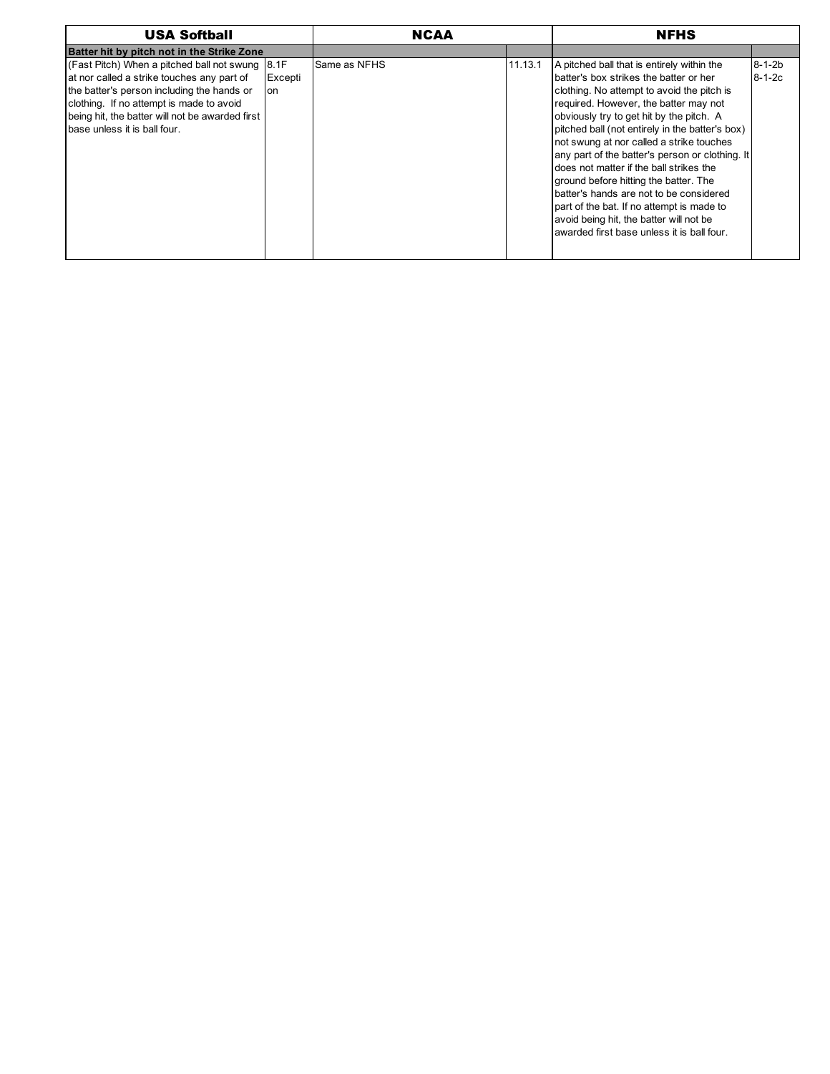| <b>USA Softball</b>                                                                                                                                                                                                                                                            |               | <b>NCAA</b>  |         | <b>NFHS</b>                                                                                                                                                                                                                                                                                                                                                                                                                                                                                                                                                                                                                                    |                              |
|--------------------------------------------------------------------------------------------------------------------------------------------------------------------------------------------------------------------------------------------------------------------------------|---------------|--------------|---------|------------------------------------------------------------------------------------------------------------------------------------------------------------------------------------------------------------------------------------------------------------------------------------------------------------------------------------------------------------------------------------------------------------------------------------------------------------------------------------------------------------------------------------------------------------------------------------------------------------------------------------------------|------------------------------|
| Batter hit by pitch not in the Strike Zone                                                                                                                                                                                                                                     |               |              |         |                                                                                                                                                                                                                                                                                                                                                                                                                                                                                                                                                                                                                                                |                              |
| (Fast Pitch) When a pitched ball not swung $ 8.1$ F<br>at nor called a strike touches any part of<br>the batter's person including the hands or<br>clothing. If no attempt is made to avoid<br>being hit, the batter will not be awarded first<br>base unless it is ball four. | Excepti<br>on | Same as NFHS | 11.13.1 | A pitched ball that is entirely within the<br>batter's box strikes the batter or her<br>clothing. No attempt to avoid the pitch is<br>required. However, the batter may not<br>obviously try to get hit by the pitch. A<br>pitched ball (not entirely in the batter's box)<br>not swung at nor called a strike touches<br>any part of the batter's person or clothing. It<br>does not matter if the ball strikes the<br>ground before hitting the batter. The<br>batter's hands are not to be considered<br>part of the bat. If no attempt is made to<br>avoid being hit, the batter will not be<br>awarded first base unless it is ball four. | $8 - 1 - 2b$<br>$8 - 1 - 2c$ |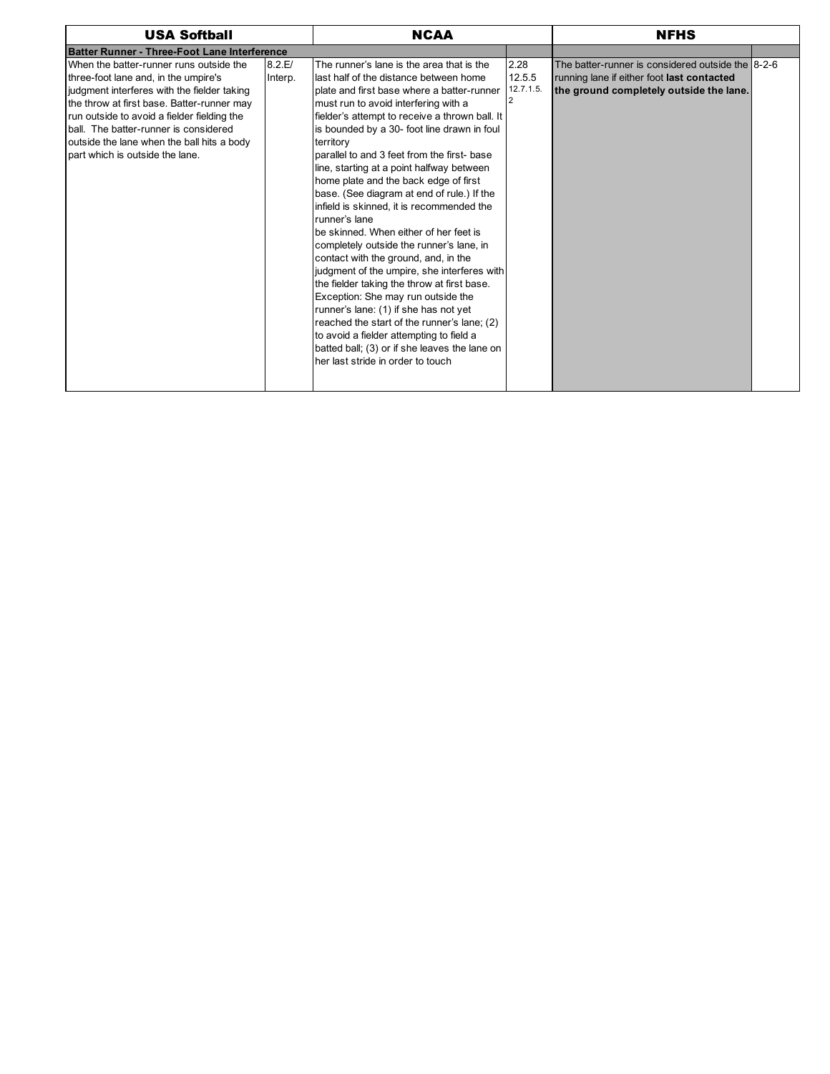| <b>USA Softball</b>                                                                                                                                                                                                                                                                                                                                   |                   | <b>NCAA</b>                                                                                                                                                                                                                                                                                                                                                                                                                                                                                                                                                                                                                                                                                                                                                                                                                                                                                                                                                                                                                          | <b>NFHS</b>                    |                                                                                                                                            |  |
|-------------------------------------------------------------------------------------------------------------------------------------------------------------------------------------------------------------------------------------------------------------------------------------------------------------------------------------------------------|-------------------|--------------------------------------------------------------------------------------------------------------------------------------------------------------------------------------------------------------------------------------------------------------------------------------------------------------------------------------------------------------------------------------------------------------------------------------------------------------------------------------------------------------------------------------------------------------------------------------------------------------------------------------------------------------------------------------------------------------------------------------------------------------------------------------------------------------------------------------------------------------------------------------------------------------------------------------------------------------------------------------------------------------------------------------|--------------------------------|--------------------------------------------------------------------------------------------------------------------------------------------|--|
| <b>Batter Runner - Three-Foot Lane Interference</b>                                                                                                                                                                                                                                                                                                   |                   |                                                                                                                                                                                                                                                                                                                                                                                                                                                                                                                                                                                                                                                                                                                                                                                                                                                                                                                                                                                                                                      |                                |                                                                                                                                            |  |
| When the batter-runner runs outside the<br>three-foot lane and, in the umpire's<br>judgment interferes with the fielder taking<br>the throw at first base. Batter-runner may<br>run outside to avoid a fielder fielding the<br>ball. The batter-runner is considered<br>outside the lane when the ball hits a body<br>part which is outside the lane. | 8.2.E/<br>Interp. | The runner's lane is the area that is the<br>last half of the distance between home<br>plate and first base where a batter-runner<br>must run to avoid interfering with a<br>fielder's attempt to receive a thrown ball. It<br>is bounded by a 30- foot line drawn in foul<br>territory<br>parallel to and 3 feet from the first- base<br>line, starting at a point halfway between<br>home plate and the back edge of first<br>base. (See diagram at end of rule.) If the<br>infield is skinned, it is recommended the<br>runner's lane<br>be skinned. When either of her feet is<br>completely outside the runner's lane, in<br>contact with the ground, and, in the<br>judgment of the umpire, she interferes with<br>the fielder taking the throw at first base.<br>Exception: She may run outside the<br>runner's lane: (1) if she has not yet<br>reached the start of the runner's lane; (2)<br>to avoid a fielder attempting to field a<br>batted ball; (3) or if she leaves the lane on<br>her last stride in order to touch | 2.28<br>12.5.5<br>$12.7.1.5$ . | The batter-runner is considered outside the 8-2-6<br>running lane if either foot last contacted<br>the ground completely outside the lane. |  |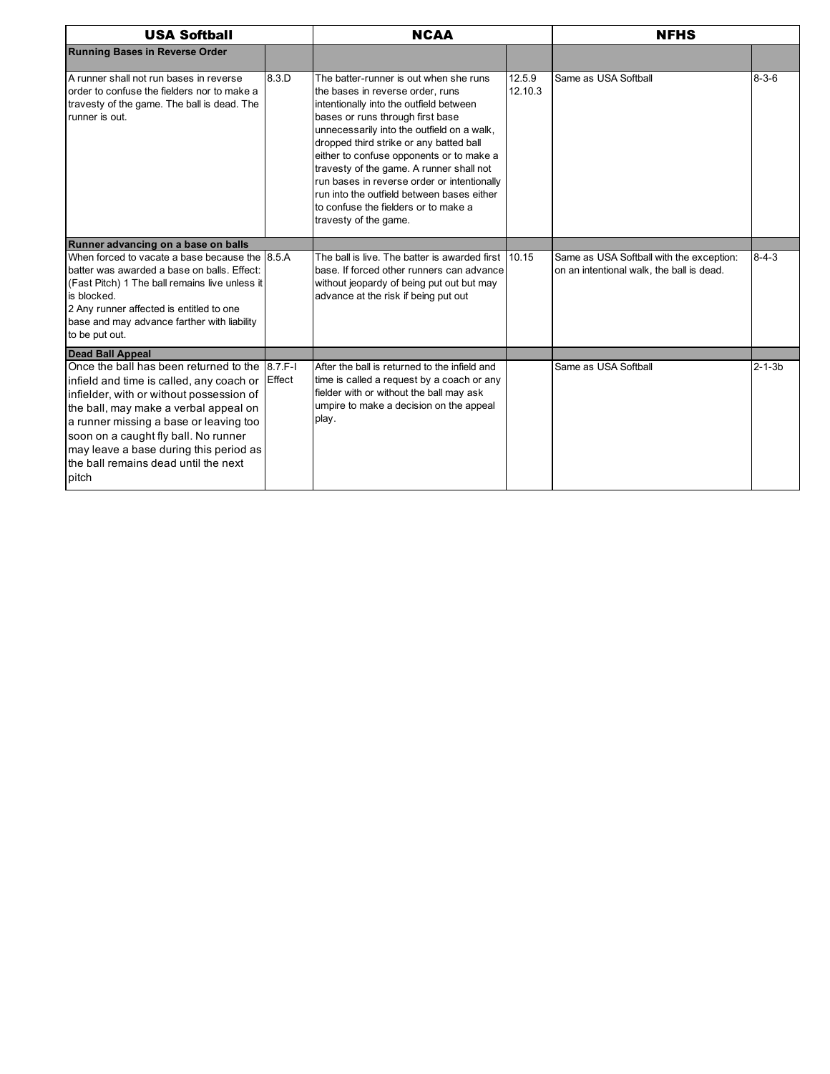| <b>USA Softball</b>                                                                                                                                                                                                                                                                                                                                          |        | <b>NCAA</b>                                                                                                                                                                                                                                                                                                                                                                                                                                                                                              |                   | <b>NFHS</b>                                                                           |              |
|--------------------------------------------------------------------------------------------------------------------------------------------------------------------------------------------------------------------------------------------------------------------------------------------------------------------------------------------------------------|--------|----------------------------------------------------------------------------------------------------------------------------------------------------------------------------------------------------------------------------------------------------------------------------------------------------------------------------------------------------------------------------------------------------------------------------------------------------------------------------------------------------------|-------------------|---------------------------------------------------------------------------------------|--------------|
| <b>Running Bases in Reverse Order</b>                                                                                                                                                                                                                                                                                                                        |        |                                                                                                                                                                                                                                                                                                                                                                                                                                                                                                          |                   |                                                                                       |              |
| A runner shall not run bases in reverse<br>order to confuse the fielders nor to make a<br>travesty of the game. The ball is dead. The<br>runner is out.                                                                                                                                                                                                      | 8.3.D  | The batter-runner is out when she runs<br>the bases in reverse order, runs<br>intentionally into the outfield between<br>bases or runs through first base<br>unnecessarily into the outfield on a walk,<br>dropped third strike or any batted ball<br>either to confuse opponents or to make a<br>travesty of the game. A runner shall not<br>run bases in reverse order or intentionally<br>run into the outfield between bases either<br>to confuse the fielders or to make a<br>travesty of the game. | 12.5.9<br>12.10.3 | Same as USA Softball                                                                  | $8 - 3 - 6$  |
| Runner advancing on a base on balls                                                                                                                                                                                                                                                                                                                          |        |                                                                                                                                                                                                                                                                                                                                                                                                                                                                                                          |                   |                                                                                       |              |
| When forced to vacate a base because the 8.5.A<br>batter was awarded a base on balls. Effect:<br>(Fast Pitch) 1 The ball remains live unless it<br>is blocked.<br>2 Any runner affected is entitled to one<br>base and may advance farther with liability<br>to be put out.                                                                                  |        | The ball is live. The batter is awarded first 10.15<br>base. If forced other runners can advance<br>without jeopardy of being put out but may<br>advance at the risk if being put out                                                                                                                                                                                                                                                                                                                    |                   | Same as USA Softball with the exception:<br>on an intentional walk, the ball is dead. | $8 - 4 - 3$  |
| <b>Dead Ball Appeal</b>                                                                                                                                                                                                                                                                                                                                      |        |                                                                                                                                                                                                                                                                                                                                                                                                                                                                                                          |                   |                                                                                       |              |
| Once the ball has been returned to the 8.7 F-I<br>infield and time is called, any coach or<br>infielder, with or without possession of<br>the ball, may make a verbal appeal on<br>a runner missing a base or leaving too<br>soon on a caught fly ball. No runner<br>may leave a base during this period as<br>the ball remains dead until the next<br>pitch | Effect | After the ball is returned to the infield and<br>time is called a request by a coach or any<br>fielder with or without the ball may ask<br>umpire to make a decision on the appeal<br>play.                                                                                                                                                                                                                                                                                                              |                   | Same as USA Softball                                                                  | $2 - 1 - 3b$ |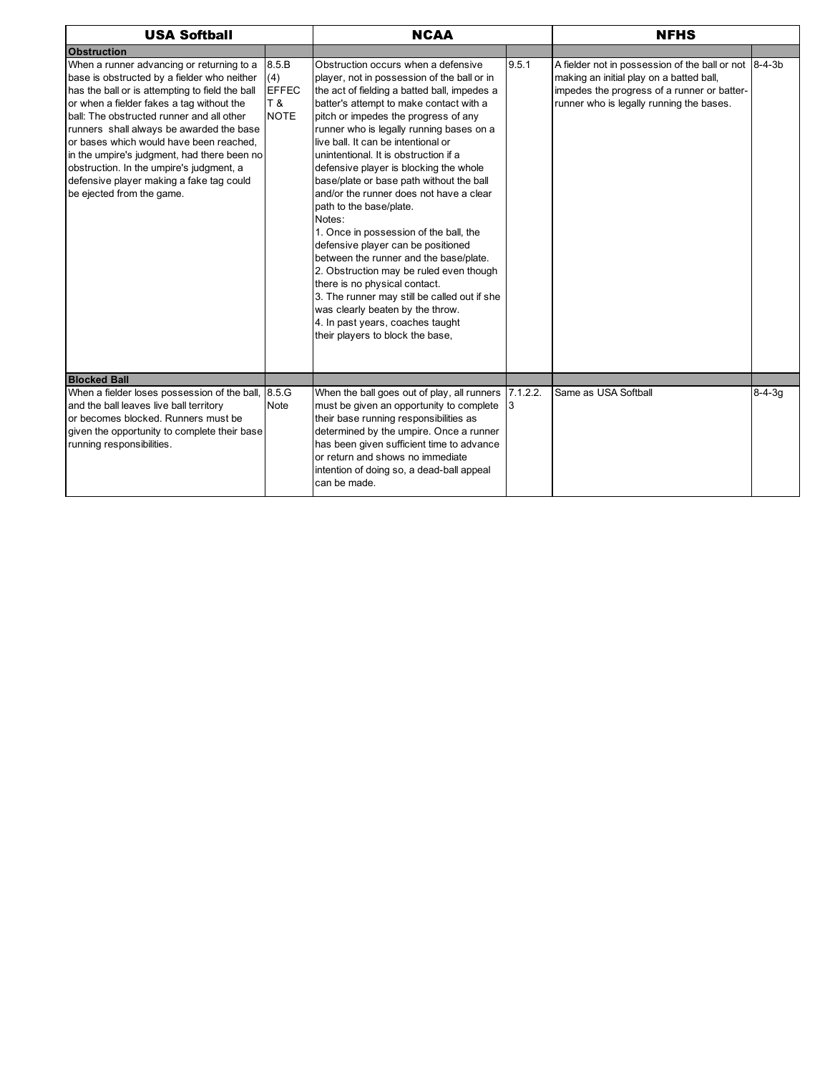| <b>USA Softball</b>                                                                                                                                                                                                                                                                                                                                                                                                                                                                              |                                                    | <b>NCAA</b>                                                                                                                                                                                                                                                                                                                                                                                                                                                                                                                                                                                                                                                                                                                                                                                                                                                                               |       | <b>NFHS</b>                                                                                                                                                                                  |              |  |
|--------------------------------------------------------------------------------------------------------------------------------------------------------------------------------------------------------------------------------------------------------------------------------------------------------------------------------------------------------------------------------------------------------------------------------------------------------------------------------------------------|----------------------------------------------------|-------------------------------------------------------------------------------------------------------------------------------------------------------------------------------------------------------------------------------------------------------------------------------------------------------------------------------------------------------------------------------------------------------------------------------------------------------------------------------------------------------------------------------------------------------------------------------------------------------------------------------------------------------------------------------------------------------------------------------------------------------------------------------------------------------------------------------------------------------------------------------------------|-------|----------------------------------------------------------------------------------------------------------------------------------------------------------------------------------------------|--------------|--|
| <b>Obstruction</b>                                                                                                                                                                                                                                                                                                                                                                                                                                                                               |                                                    |                                                                                                                                                                                                                                                                                                                                                                                                                                                                                                                                                                                                                                                                                                                                                                                                                                                                                           |       |                                                                                                                                                                                              |              |  |
| When a runner advancing or returning to a<br>base is obstructed by a fielder who neither<br>has the ball or is attempting to field the ball<br>or when a fielder fakes a tag without the<br>ball: The obstructed runner and all other<br>runners shall always be awarded the base<br>or bases which would have been reached,<br>in the umpire's judgment, had there been no<br>obstruction. In the umpire's judgment, a<br>defensive player making a fake tag could<br>be ejected from the game. | 8.5.B<br>(4)<br><b>EFFEC</b><br>T &<br><b>NOTE</b> | Obstruction occurs when a defensive<br>player, not in possession of the ball or in<br>the act of fielding a batted ball, impedes a<br>batter's attempt to make contact with a<br>pitch or impedes the progress of any<br>runner who is legally running bases on a<br>live ball. It can be intentional or<br>unintentional. It is obstruction if a<br>defensive player is blocking the whole<br>base/plate or base path without the ball<br>and/or the runner does not have a clear<br>path to the base/plate.<br>Notes:<br>1. Once in possession of the ball, the<br>defensive player can be positioned<br>between the runner and the base/plate.<br>2. Obstruction may be ruled even though<br>there is no physical contact.<br>3. The runner may still be called out if she<br>was clearly beaten by the throw.<br>4. In past years, coaches taught<br>their players to block the base, | 9.5.1 | A fielder not in possession of the ball or not 8-4-3b<br>making an initial play on a batted ball,<br>impedes the progress of a runner or batter-<br>runner who is legally running the bases. |              |  |
| <b>Blocked Ball</b>                                                                                                                                                                                                                                                                                                                                                                                                                                                                              |                                                    |                                                                                                                                                                                                                                                                                                                                                                                                                                                                                                                                                                                                                                                                                                                                                                                                                                                                                           |       |                                                                                                                                                                                              |              |  |
| When a fielder loses possession of the ball,<br>and the ball leaves live ball territory<br>or becomes blocked. Runners must be<br>given the opportunity to complete their base<br>running responsibilities.                                                                                                                                                                                                                                                                                      | 8.5.G<br>Note                                      | When the ball goes out of play, all runners 7.1.2.2.<br>must be given an opportunity to complete<br>their base running responsibilities as<br>determined by the umpire. Once a runner<br>has been given sufficient time to advance<br>or return and shows no immediate<br>intention of doing so, a dead-ball appeal<br>can be made.                                                                                                                                                                                                                                                                                                                                                                                                                                                                                                                                                       | 13    | Same as USA Softball                                                                                                                                                                         | $8 - 4 - 3q$ |  |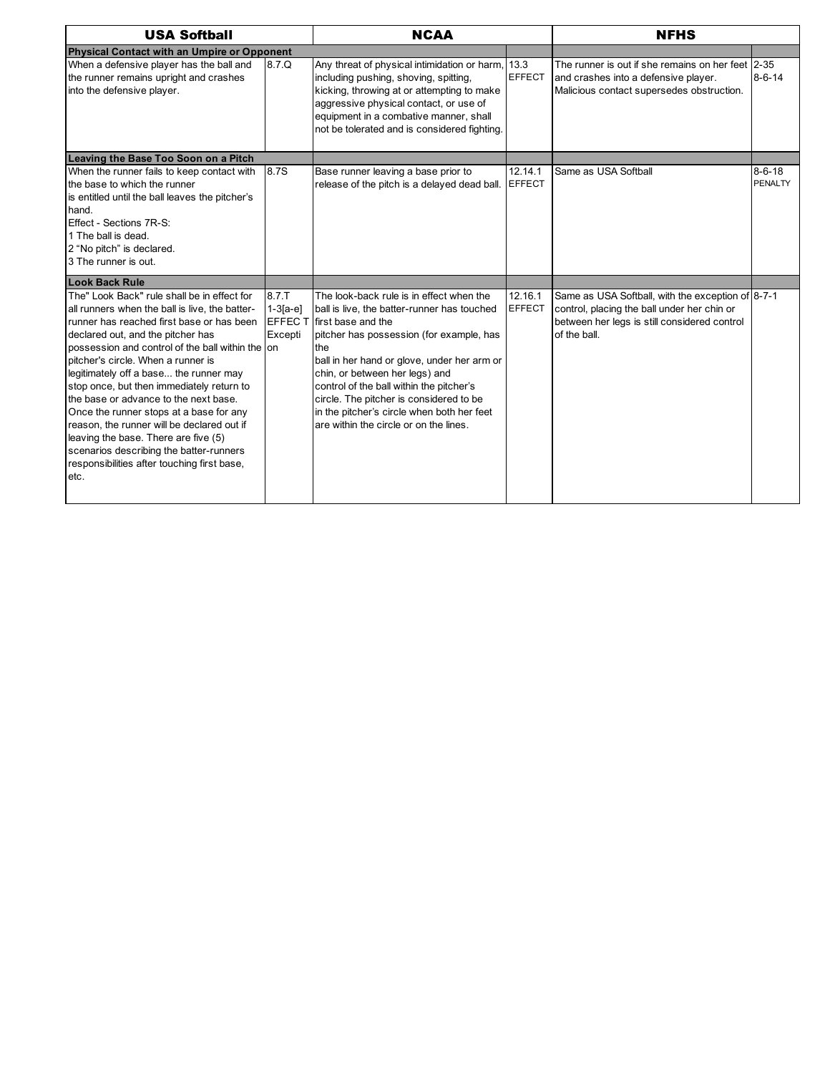| <b>USA Softball</b>                                                                                                                                                                                                                                                                                                                                                                                                                                                                                                                                                                                                                          |                                           | <b>NCAA</b><br><b>NFHS</b>                                                                                                                                                                                                                                                                                                                                                                                                       |                          |                                                                                                                                                                  |                         |  |
|----------------------------------------------------------------------------------------------------------------------------------------------------------------------------------------------------------------------------------------------------------------------------------------------------------------------------------------------------------------------------------------------------------------------------------------------------------------------------------------------------------------------------------------------------------------------------------------------------------------------------------------------|-------------------------------------------|----------------------------------------------------------------------------------------------------------------------------------------------------------------------------------------------------------------------------------------------------------------------------------------------------------------------------------------------------------------------------------------------------------------------------------|--------------------------|------------------------------------------------------------------------------------------------------------------------------------------------------------------|-------------------------|--|
| Physical Contact with an Umpire or Opponent                                                                                                                                                                                                                                                                                                                                                                                                                                                                                                                                                                                                  |                                           |                                                                                                                                                                                                                                                                                                                                                                                                                                  |                          |                                                                                                                                                                  |                         |  |
| When a defensive player has the ball and<br>the runner remains upright and crashes<br>into the defensive player.                                                                                                                                                                                                                                                                                                                                                                                                                                                                                                                             | 8.7.Q                                     | Any threat of physical intimidation or harm, 13.3<br>including pushing, shoving, spitting,<br>kicking, throwing at or attempting to make<br>aggressive physical contact, or use of<br>equipment in a combative manner, shall<br>not be tolerated and is considered fighting.                                                                                                                                                     | <b>EFFECT</b>            | The runner is out if she remains on her feet 2-35<br>and crashes into a defensive player.<br>Malicious contact supersedes obstruction.                           | $8 - 6 - 14$            |  |
| Leaving the Base Too Soon on a Pitch                                                                                                                                                                                                                                                                                                                                                                                                                                                                                                                                                                                                         |                                           |                                                                                                                                                                                                                                                                                                                                                                                                                                  |                          |                                                                                                                                                                  |                         |  |
| When the runner fails to keep contact with<br>the base to which the runner<br>is entitled until the ball leaves the pitcher's<br>hand.<br>Effect - Sections 7R-S:<br>1 The ball is dead.<br>2 "No pitch" is declared.<br>3 The runner is out.                                                                                                                                                                                                                                                                                                                                                                                                | 8.7S                                      | Base runner leaving a base prior to<br>release of the pitch is a delayed dead ball. EFFECT                                                                                                                                                                                                                                                                                                                                       | 12.14.1                  | Same as USA Softball                                                                                                                                             | $8 - 6 - 18$<br>PENALTY |  |
| Look Back Rule                                                                                                                                                                                                                                                                                                                                                                                                                                                                                                                                                                                                                               |                                           |                                                                                                                                                                                                                                                                                                                                                                                                                                  |                          |                                                                                                                                                                  |                         |  |
| The" Look Back" rule shall be in effect for<br>all runners when the ball is live, the batter-<br>runner has reached first base or has been<br>declared out, and the pitcher has<br>possession and control of the ball within the on<br>pitcher's circle. When a runner is<br>legitimately off a base the runner may<br>stop once, but then immediately return to<br>the base or advance to the next base.<br>Once the runner stops at a base for any<br>reason, the runner will be declared out if<br>leaving the base. There are five (5)<br>scenarios describing the batter-runners<br>responsibilities after touching first base,<br>etc. | 8.7.T<br>$1-3[a-e]$<br>EFFEC T<br>Excepti | The look-back rule is in effect when the<br>ball is live, the batter-runner has touched<br>first base and the<br>pitcher has possession (for example, has<br>the<br>ball in her hand or glove, under her arm or<br>chin, or between her legs) and<br>control of the ball within the pitcher's<br>circle. The pitcher is considered to be<br>in the pitcher's circle when both her feet<br>are within the circle or on the lines. | 12.16.1<br><b>EFFECT</b> | Same as USA Softball, with the exception of 8-7-1<br>control, placing the ball under her chin or<br>between her legs is still considered control<br>of the ball. |                         |  |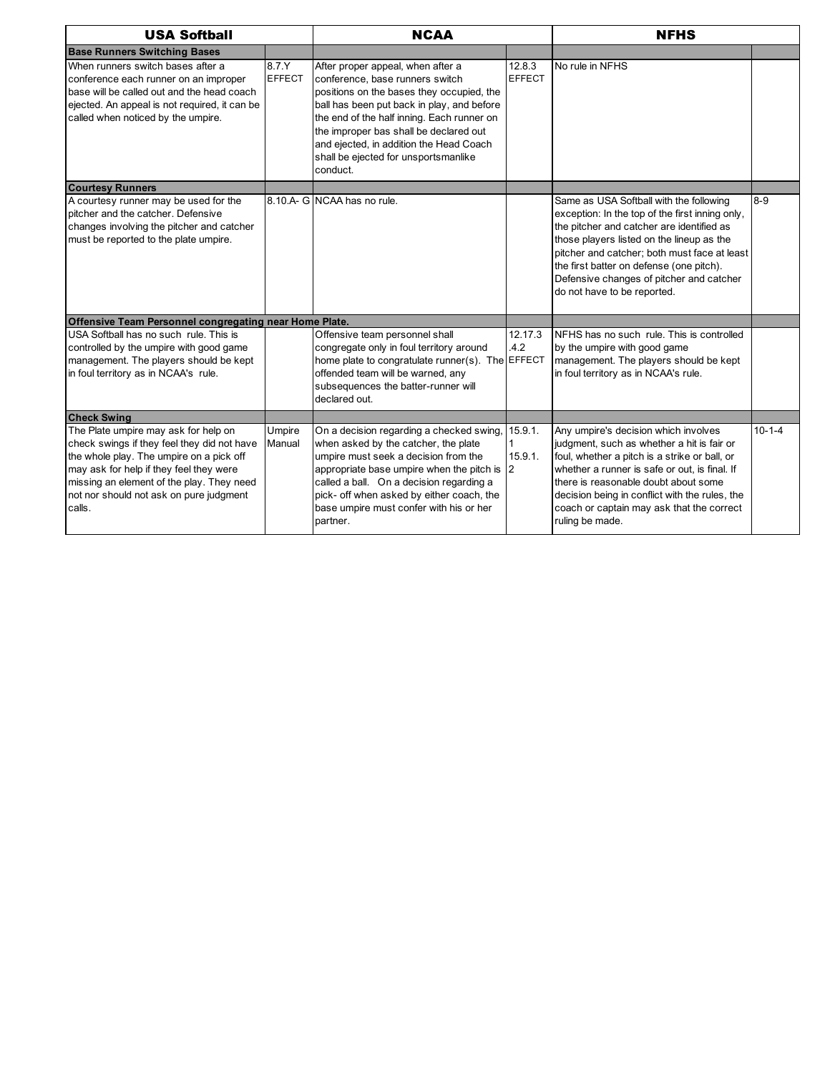| <b>USA Softball</b>                                                                                                                                                                                                                                                          |                        | <b>NCAA</b>                                                                                                                                                                                                                                                                                                                                            |                                   | <b>NFHS</b>                                                                                                                                                                                                                                                                                                                                                 |              |
|------------------------------------------------------------------------------------------------------------------------------------------------------------------------------------------------------------------------------------------------------------------------------|------------------------|--------------------------------------------------------------------------------------------------------------------------------------------------------------------------------------------------------------------------------------------------------------------------------------------------------------------------------------------------------|-----------------------------------|-------------------------------------------------------------------------------------------------------------------------------------------------------------------------------------------------------------------------------------------------------------------------------------------------------------------------------------------------------------|--------------|
| <b>Base Runners Switching Bases</b>                                                                                                                                                                                                                                          |                        |                                                                                                                                                                                                                                                                                                                                                        |                                   |                                                                                                                                                                                                                                                                                                                                                             |              |
| When runners switch bases after a<br>conference each runner on an improper<br>base will be called out and the head coach<br>ejected. An appeal is not required, it can be<br>called when noticed by the umpire.                                                              | 8.7.Y<br><b>EFFECT</b> | After proper appeal, when after a<br>conference, base runners switch<br>positions on the bases they occupied, the<br>ball has been put back in play, and before<br>the end of the half inning. Each runner on<br>the improper bas shall be declared out<br>and ejected, in addition the Head Coach<br>shall be ejected for unsportsmanlike<br>conduct. | 12.8.3<br><b>EFFECT</b>           | No rule in NFHS                                                                                                                                                                                                                                                                                                                                             |              |
| <b>Courtesy Runners</b>                                                                                                                                                                                                                                                      |                        |                                                                                                                                                                                                                                                                                                                                                        |                                   |                                                                                                                                                                                                                                                                                                                                                             |              |
| A courtesy runner may be used for the<br>pitcher and the catcher. Defensive<br>changes involving the pitcher and catcher<br>must be reported to the plate umpire.                                                                                                            |                        | 8.10.A- G NCAA has no rule.                                                                                                                                                                                                                                                                                                                            |                                   | Same as USA Softball with the following<br>exception: In the top of the first inning only,<br>the pitcher and catcher are identified as<br>those players listed on the lineup as the<br>pitcher and catcher; both must face at least<br>the first batter on defense (one pitch).<br>Defensive changes of pitcher and catcher<br>do not have to be reported. | $8 - 9$      |
| Offensive Team Personnel congregating near Home Plate.                                                                                                                                                                                                                       |                        |                                                                                                                                                                                                                                                                                                                                                        |                                   |                                                                                                                                                                                                                                                                                                                                                             |              |
| USA Softball has no such rule. This is<br>controlled by the umpire with good game<br>management. The players should be kept<br>in foul territory as in NCAA's rule.                                                                                                          |                        | Offensive team personnel shall<br>congregate only in foul territory around<br>home plate to congratulate runner(s). The EFFECT<br>offended team will be warned, any<br>subsequences the batter-runner will<br>declared out.                                                                                                                            | 12.17.3<br>4.2                    | NFHS has no such rule. This is controlled<br>by the umpire with good game<br>management. The players should be kept<br>in foul territory as in NCAA's rule.                                                                                                                                                                                                 |              |
| <b>Check Swing</b>                                                                                                                                                                                                                                                           |                        |                                                                                                                                                                                                                                                                                                                                                        |                                   |                                                                                                                                                                                                                                                                                                                                                             |              |
| The Plate umpire may ask for help on<br>check swings if they feel they did not have<br>the whole play. The umpire on a pick off<br>may ask for help if they feel they were<br>missing an element of the play. They need<br>not nor should not ask on pure judgment<br>calls. | Umpire<br>Manual       | On a decision regarding a checked swing,<br>when asked by the catcher, the plate<br>umpire must seek a decision from the<br>appropriate base umpire when the pitch is<br>called a ball. On a decision regarding a<br>pick- off when asked by either coach, the<br>base umpire must confer with his or her<br>partner.                                  | 15.9.1.<br>15.9.1.<br>$ 2\rangle$ | Any umpire's decision which involves<br>judgment, such as whether a hit is fair or<br>foul, whether a pitch is a strike or ball, or<br>whether a runner is safe or out, is final. If<br>there is reasonable doubt about some<br>decision being in conflict with the rules, the<br>coach or captain may ask that the correct<br>ruling be made.              | $10 - 1 - 4$ |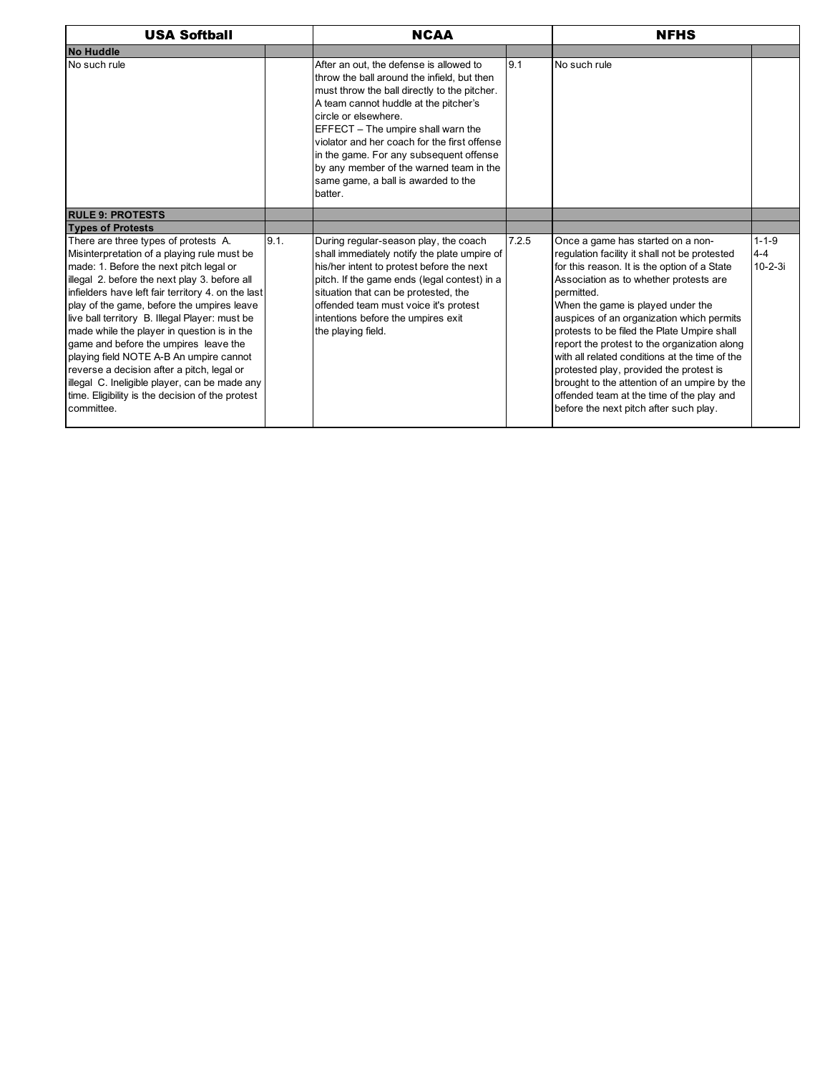| <b>USA Softball</b>                                                                                                                                                                                                                                                                                                                                                                                                                                                                                                                                                                                                                       |      | <b>NCAA</b>                                                                                                                                                                                                                                                                                                                                                                                                                           |       | <b>NFHS</b>                                                                                                                                                                                                                                                                                                                                                                                                                                                                                                                                                                                                     |                                         |  |
|-------------------------------------------------------------------------------------------------------------------------------------------------------------------------------------------------------------------------------------------------------------------------------------------------------------------------------------------------------------------------------------------------------------------------------------------------------------------------------------------------------------------------------------------------------------------------------------------------------------------------------------------|------|---------------------------------------------------------------------------------------------------------------------------------------------------------------------------------------------------------------------------------------------------------------------------------------------------------------------------------------------------------------------------------------------------------------------------------------|-------|-----------------------------------------------------------------------------------------------------------------------------------------------------------------------------------------------------------------------------------------------------------------------------------------------------------------------------------------------------------------------------------------------------------------------------------------------------------------------------------------------------------------------------------------------------------------------------------------------------------------|-----------------------------------------|--|
| No Huddle                                                                                                                                                                                                                                                                                                                                                                                                                                                                                                                                                                                                                                 |      |                                                                                                                                                                                                                                                                                                                                                                                                                                       |       |                                                                                                                                                                                                                                                                                                                                                                                                                                                                                                                                                                                                                 |                                         |  |
| No such rule                                                                                                                                                                                                                                                                                                                                                                                                                                                                                                                                                                                                                              |      | After an out, the defense is allowed to<br>throw the ball around the infield, but then<br>must throw the ball directly to the pitcher.<br>A team cannot huddle at the pitcher's<br>circle or elsewhere.<br>EFFECT - The umpire shall warn the<br>violator and her coach for the first offense<br>in the game. For any subsequent offense<br>by any member of the warned team in the<br>same game, a ball is awarded to the<br>batter. | 9.1   | No such rule                                                                                                                                                                                                                                                                                                                                                                                                                                                                                                                                                                                                    |                                         |  |
| <b>RULE 9: PROTESTS</b>                                                                                                                                                                                                                                                                                                                                                                                                                                                                                                                                                                                                                   |      |                                                                                                                                                                                                                                                                                                                                                                                                                                       |       |                                                                                                                                                                                                                                                                                                                                                                                                                                                                                                                                                                                                                 |                                         |  |
| <b>Types of Protests</b>                                                                                                                                                                                                                                                                                                                                                                                                                                                                                                                                                                                                                  |      |                                                                                                                                                                                                                                                                                                                                                                                                                                       |       |                                                                                                                                                                                                                                                                                                                                                                                                                                                                                                                                                                                                                 |                                         |  |
| There are three types of protests A.<br>Misinterpretation of a playing rule must be<br>made: 1. Before the next pitch legal or<br>illegal 2. before the next play 3. before all<br>infielders have left fair territory 4. on the last<br>play of the game, before the umpires leave<br>live ball territory B. Illegal Player: must be<br>made while the player in question is in the<br>game and before the umpires leave the<br>playing field NOTE A-B An umpire cannot<br>reverse a decision after a pitch, legal or<br>illegal C. Ineligible player, can be made any<br>time. Eligibility is the decision of the protest<br>committee. | 9.1. | During regular-season play, the coach<br>shall immediately notify the plate umpire of<br>his/her intent to protest before the next<br>pitch. If the game ends (legal contest) in a<br>situation that can be protested, the<br>offended team must voice it's protest<br>intentions before the umpires exit<br>the playing field.                                                                                                       | 7.2.5 | Once a game has started on a non-<br>regulation facility it shall not be protested<br>for this reason. It is the option of a State<br>Association as to whether protests are<br>permitted.<br>When the game is played under the<br>auspices of an organization which permits<br>protests to be filed the Plate Umpire shall<br>report the protest to the organization along<br>with all related conditions at the time of the<br>protested play, provided the protest is<br>brought to the attention of an umpire by the<br>offended team at the time of the play and<br>before the next pitch after such play. | $1 - 1 - 9$<br>$4 - 4$<br>$10 - 2 - 3i$ |  |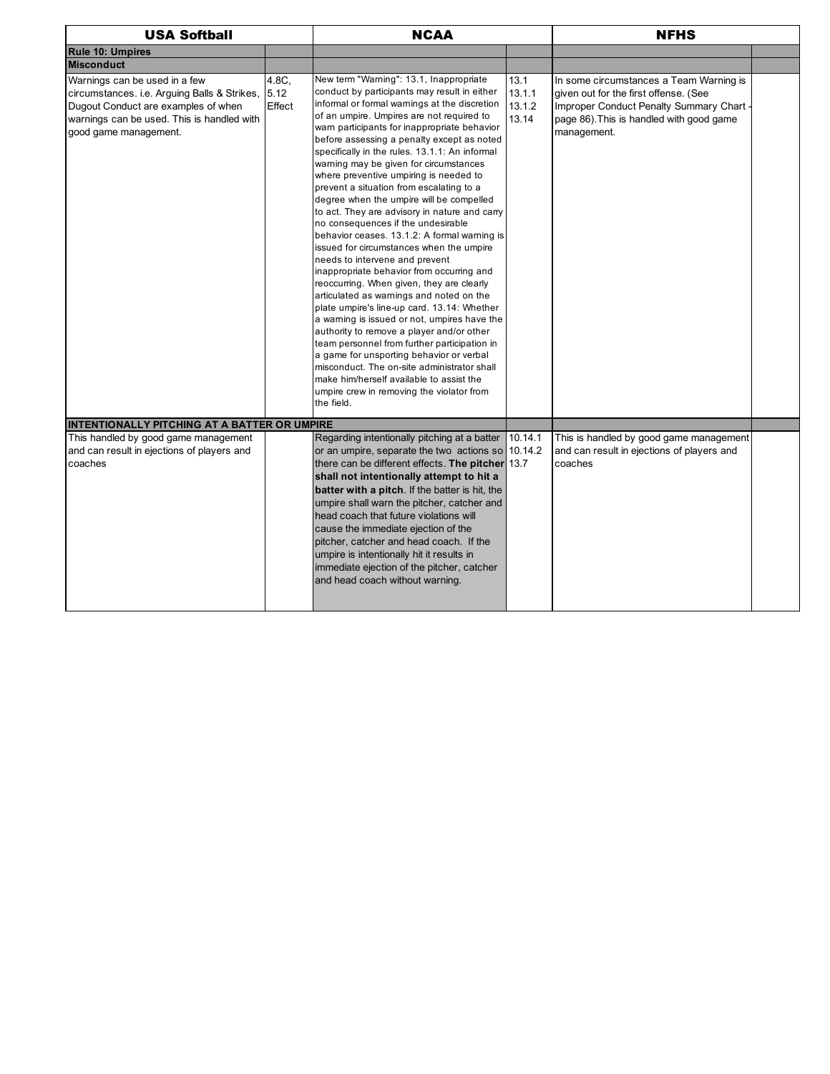| <b>USA Softball</b>                                                                                                                                                                              |                 | <b>NCAA</b>                                                                                                                                                                                                                                                                                                                                                                                                                                                                                                                                                                                                                                                                                                                                                                                                                                                                                                                                                                                                                                                                                                                                                                                                                                                                |                                   | <b>NFHS</b>                                                                                                                                                                             |  |
|--------------------------------------------------------------------------------------------------------------------------------------------------------------------------------------------------|-----------------|----------------------------------------------------------------------------------------------------------------------------------------------------------------------------------------------------------------------------------------------------------------------------------------------------------------------------------------------------------------------------------------------------------------------------------------------------------------------------------------------------------------------------------------------------------------------------------------------------------------------------------------------------------------------------------------------------------------------------------------------------------------------------------------------------------------------------------------------------------------------------------------------------------------------------------------------------------------------------------------------------------------------------------------------------------------------------------------------------------------------------------------------------------------------------------------------------------------------------------------------------------------------------|-----------------------------------|-----------------------------------------------------------------------------------------------------------------------------------------------------------------------------------------|--|
| <b>Rule 10: Umpires</b>                                                                                                                                                                          |                 |                                                                                                                                                                                                                                                                                                                                                                                                                                                                                                                                                                                                                                                                                                                                                                                                                                                                                                                                                                                                                                                                                                                                                                                                                                                                            |                                   |                                                                                                                                                                                         |  |
| <b>Misconduct</b>                                                                                                                                                                                |                 |                                                                                                                                                                                                                                                                                                                                                                                                                                                                                                                                                                                                                                                                                                                                                                                                                                                                                                                                                                                                                                                                                                                                                                                                                                                                            |                                   |                                                                                                                                                                                         |  |
| Warnings can be used in a few<br>circumstances. i.e. Arguing Balls & Strikes, 5.12<br>Dugout Conduct are examples of when<br>warnings can be used. This is handled with<br>good game management. | 4.8C,<br>Effect | New term "Warning": 13.1, Inappropriate<br>conduct by participants may result in either<br>informal or formal warnings at the discretion<br>of an umpire. Umpires are not required to<br>warn participants for inappropriate behavior<br>before assessing a penalty except as noted<br>specifically in the rules. 13.1.1: An informal<br>warning may be given for circumstances<br>where preventive umpiring is needed to<br>prevent a situation from escalating to a<br>degree when the umpire will be compelled<br>to act. They are advisory in nature and carry<br>no consequences if the undesirable<br>behavior ceases. 13.1.2: A formal warning is<br>issued for circumstances when the umpire<br>needs to intervene and prevent<br>inappropriate behavior from occurring and<br>reoccurring. When given, they are clearly<br>articulated as warnings and noted on the<br>plate umpire's line-up card. 13.14: Whether<br>a warning is issued or not, umpires have the<br>authority to remove a player and/or other<br>team personnel from further participation in<br>a game for unsporting behavior or verbal<br>misconduct. The on-site administrator shall<br>make him/herself available to assist the<br>umpire crew in removing the violator from<br>the field. | 13.1<br>13.1.1<br>13.1.2<br>13.14 | In some circumstances a Team Warning is<br>given out for the first offense. (See<br>Improper Conduct Penalty Summary Chart -<br>page 86). This is handled with good game<br>management. |  |
| INTENTIONALLY PITCHING AT A BATTER OR UMPIRE                                                                                                                                                     |                 |                                                                                                                                                                                                                                                                                                                                                                                                                                                                                                                                                                                                                                                                                                                                                                                                                                                                                                                                                                                                                                                                                                                                                                                                                                                                            |                                   |                                                                                                                                                                                         |  |
| This handled by good game management<br>and can result in ejections of players and<br>coaches                                                                                                    |                 | Regarding intentionally pitching at a batter<br>or an umpire, separate the two actions so 10.14.2<br>there can be different effects. The pitcher 13.7<br>shall not intentionally attempt to hit a<br>batter with a pitch. If the batter is hit, the<br>umpire shall warn the pitcher, catcher and<br>head coach that future violations will<br>cause the immediate ejection of the<br>pitcher, catcher and head coach. If the<br>umpire is intentionally hit it results in<br>immediate ejection of the pitcher, catcher<br>and head coach without warning.                                                                                                                                                                                                                                                                                                                                                                                                                                                                                                                                                                                                                                                                                                                | 10.14.1                           | This is handled by good game management<br>and can result in ejections of players and<br>coaches                                                                                        |  |